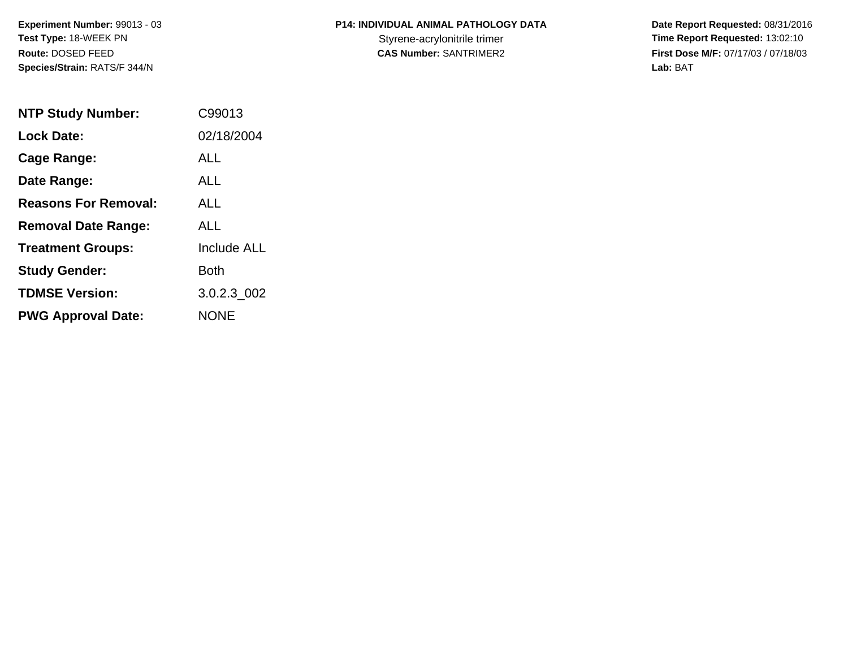**Experiment Number:** 99013 - 03**Test Type:** 18-WEEK PN**Route:** DOSED FEED**Species/Strain:** RATS/F 344/N

## **P14: INDIVIDUAL ANIMAL PATHOLOGY DATA**

 **Date Report Requested:** 08/31/2016 Styrene-acrylonitrile trimer<br>
CAS Number: SANTRIMER2<br>
CAS Number: SANTRIMER2<br>
Tirst Dose M/F: 07/17/03 / 07/18/03 **First Dose M/F:** 07/17/03 / 07/18/03<br>Lab: BAT **Lab:** BAT

| <b>NTP Study Number:</b>    | C99013             |
|-----------------------------|--------------------|
| <b>Lock Date:</b>           | 02/18/2004         |
| Cage Range:                 | ALL                |
| Date Range:                 | ALL                |
| <b>Reasons For Removal:</b> | ALL                |
| <b>Removal Date Range:</b>  | ALL                |
| <b>Treatment Groups:</b>    | <b>Include ALL</b> |
| <b>Study Gender:</b>        | Both               |
| <b>TDMSE Version:</b>       | 3.0.2.3 002        |
| <b>PWG Approval Date:</b>   | <b>NONE</b>        |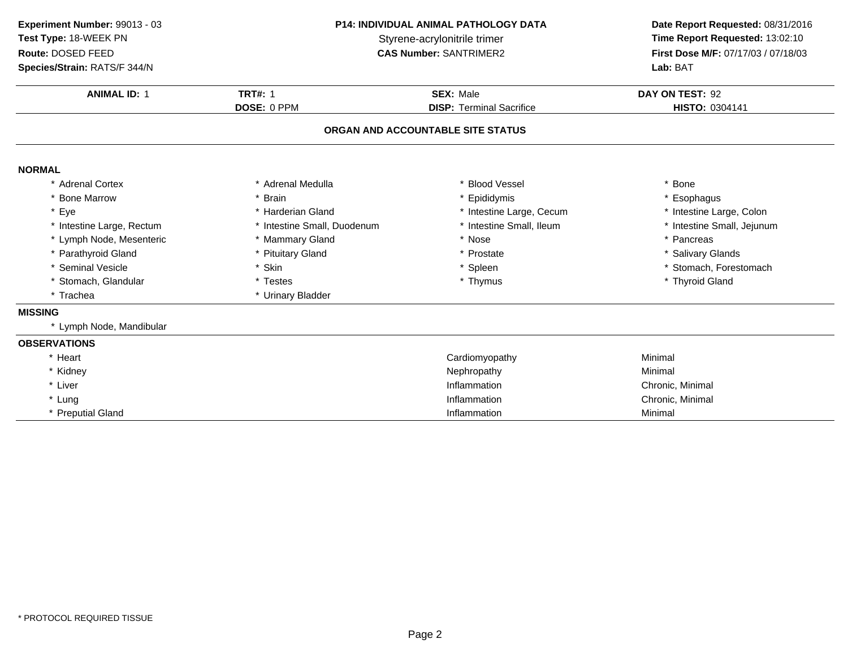**ANIMAL ID:** <sup>1</sup> **TRT#:** <sup>1</sup> **SEX:** Male **DAY ON TEST:** <sup>92</sup> **DOSE:** 0 PPM**DISP:** Terminal Sacrifice **HISTO:** 0304141 **ORGAN AND ACCOUNTABLE SITE STATUSNORMAL** \* Adrenal Cortex \* Adrenal Medullaa the set of the set of the set of the set of the set of the set of the set of the set of the set of the set o<br>Set of the set of the set of the set of the set of the set of the set of the set of the set of the set of the s \* Bone Marrow \* Brain \* Epididymis \* Esophagus \* Eye\* Harderian Gland \* 11 \* 11testine Large, Cecum<br>\* Intestine Small, Duodenum \* 11testine Small, Ileum \* Intestine Large, Colon<br>\* Intestine Small, Jejunum \* Intestine Large, Rectum\* Intestine Small, Duodenum \* 11testine Small, Ileum \* 11testine Small, Ileum \* 11testine Small, Ileum \* 11testine Small, Ileum \* 11testine Small, Ileum \* 11testine Small, Ileum \* 11testine Small, Ileum \* 12testine Small, \* Lymph Node, Mesenteric \* Mammary Gland \* Nose \* Pancreas \* Parathyroid Glandd **the set of the set of the set of the set of the set of the set of the set of the set of the set of the set of the set of the set of the set of the set of the set of the set of the set of the set of the set of the set of** \* Seminal Vesiclee the settlement of the settlement of the settlement of the settlement of the settlement of the set of the set of the set of the set of the set of the set of the set of the set of the set of the set of the set of the set o \* Stomach, Glandular \* Testes \* Testes \* Thymus \* Thymus \* Thymus \* Thymus \* Thymus \* Thyroid Gland \* Trachea \* Urinary Bladder **MISSING** \* Lymph Node, Mandibular **OBSERVATIONS**\* Heart Cardiomyopathy Minimal \* Kidneyy the contract of the contract of the Nephropathy Nephropathy and the Minimal Minimal  $\lambda$ \* Liver \* Liver **Inflammation** Inflammation Chronic, Minimal<br>
Inflammation Chronic, Minimal \* Lungg is a controller to the controller of the Inflammation controller that  $\Gamma$  Chronic, Minimal  $\Gamma$ \* Preputial Gland Inflammation Minimal **Experiment Number:** 99013 - 03 **P14: INDIVIDUAL ANIMAL PATHOLOGY DATA Date Report Requested:** 08/31/2016 **Test Type:** 18-WEEK PNStyrene-acrylonitrile trimer<br>
CAS Number: SANTRIMER2<br>
CAS Number: SANTRIMER2<br>
Time Report Requested: 13:02:10 **Route:** DOSED FEED**First Dose M/F:** 07/17/03 / 07/18/03<br>**Lab:** BAT **Species/Strain:** RATS/F 344/N**Lab:** BAT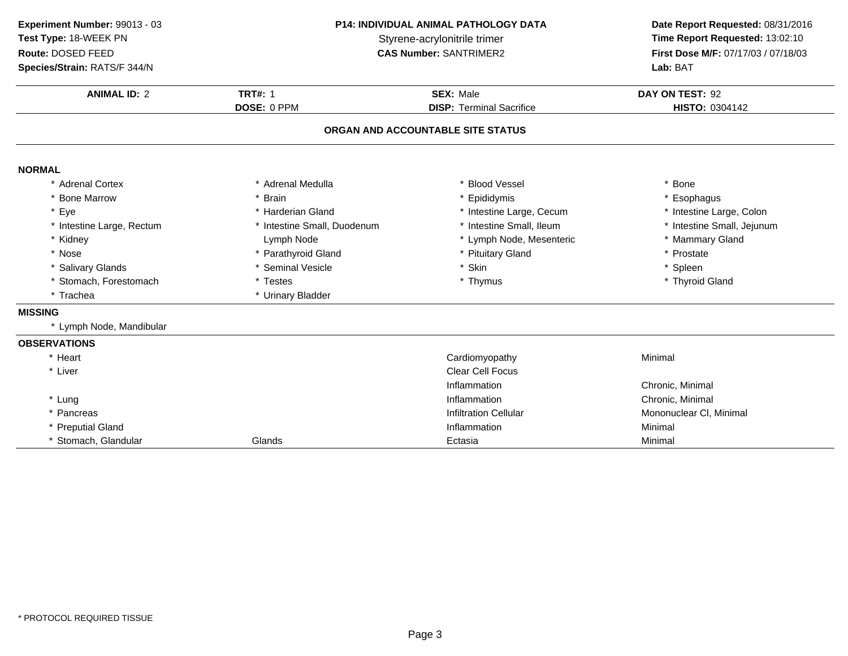**ANIMAL ID:** <sup>2</sup> **TRT#:** <sup>1</sup> **SEX:** Male **DAY ON TEST:** <sup>92</sup> **DOSE:** 0 PPM**DISP:** Terminal Sacrifice **HISTO:** 0304142 **ORGAN AND ACCOUNTABLE SITE STATUSNORMAL** \* Adrenal Cortex \* Adrenal Medullaa the set of the set of the set of the set of the set of the set of the set of the set of the set of the set o<br>Set of the set of the set of the set of the set of the set of the set of the set of the set of the set of the s \* Bone Marrow \* Brain \* Epididymis \* Esophagus \* Eye\* Harderian Gland \* 11 \* 111 \* 111 \* 111 \* 111 \* 111 \* 111 \* 111 \* 111 \* 111 \* 111 \* 111 \* 111 \* 111 \* 111 \* 1<br>\* Intestine Small. Duodenum \* 111 \* 111 \* 111 \* 111 \* 111 \* 111 \* 111 \* 111 \* 111 \* 111 \* 111 \* 111 \* 111 \* 11 \* Intestine Large, Colon<br>\* Intestine Small, Jejunum \* Intestine Large, Rectum\* Intestine Small, Duodenum \* 1992 \* Intestine Small, Ileum \* Intestine Small, J<br>
Lymph Node \* Lymph Node, Mesenteric \* 1993 \* Mammary Gland \* KidneyLymph Node<br>\* Parathyroid Gland \* Lymph Node, Mesenteric \* \* Mammar<br>\* Pituitary Gland \* \* Prostate \* Nosee the second of the second vertex  $^*$  Parathyroid Gland the second vertex  $^*$  Prituitary Gland the second vertex  $^*$  Prostate \* Salivary Glands \* Seminal Vesiclee the set of the set of the set of the set of the set of the set of the set of the set of the set of the set of the set of the set of the set of the set of the set of the set of the set of the set of the set of the set of \* Stomach, Forestomach \* Testes \* Thymus \* Thyroid Gland \* Trachea \* Urinary Bladder **MISSING** \* Lymph Node, Mandibular **OBSERVATIONS**\* Heart Cardiomyopathy Minimal \* Liver Clear Cell Focus InflammationInflammation<br>
Inflammation<br>
Chronic, Minimal \* Lungg is a controller to the controller of the Inflammation controller that  $\Gamma$  Chronic, Minimal  $\Gamma$ \* PancreasInfiltration Cellular Mononuclear Cl, Minimal \* Preputial Glandd and the control of the control of the control of the control of the control of the control of the control of the control of the control of the control of the control of the control of the control of the control of the co \* Stomach, Glandular Glands Ectasiaa Minimal **Experiment Number:** 99013 - 03 **P14: INDIVIDUAL ANIMAL PATHOLOGY DATA Date Report Requested:** 08/31/2016 **Test Type:** 18-WEEK PNStyrene-acrylonitrile trimer<br>
CAS Number: SANTRIMER2<br>
CAS Number: SANTRIMER2<br>
Time Report Requested: 13:02:10 **Route:** DOSED FEED**First Dose M/F:** 07/17/03 / 07/18/03<br>**Lab:** BAT **Species/Strain:** RATS/F 344/N**Lab:** BAT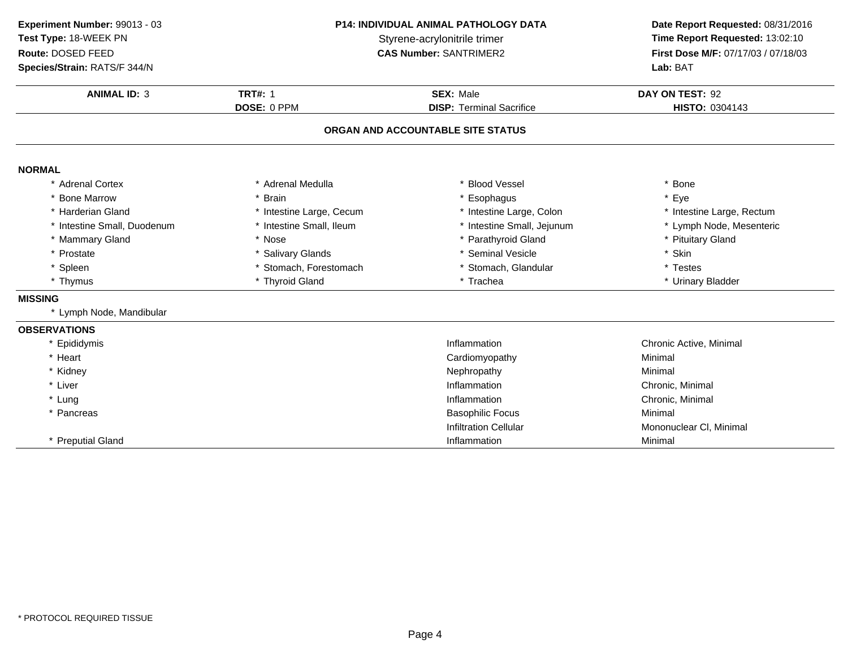**ANIMAL ID:** <sup>3</sup> **TRT#:** <sup>1</sup> **SEX:** Male **DAY ON TEST:** <sup>92</sup> **DOSE:** 0 PPM**DISP:** Terminal Sacrifice **HISTO:** 0304143 **ORGAN AND ACCOUNTABLE SITE STATUSNORMAL** \* Adrenal Cortex \* Adrenal Medullaa the set of the set of the set of the set of the set of the set of the set of the set of the set of the set o<br>Set of the set of the set of the set of the set of the set of the set of the set of the set of the set of the s \* Bone Marrow \* Brain \* Esophagus \* Eye \* Harderian Gland\* Intestine Large, Cecum<br>\* Intestine Small, Ileum \* Intestine Large, Colon \* 11testine Large, Rectum<br>\* Intestine Small, Jejunum \* 1testine Node, Mesenteric \* Intestine Small, Duodenumm and the small, Ileum the state of the small, Jejunum the small, Sejunum the state of the state of the state of the state of the state of the state of the state of the state of the state of the state of the state of the s \* Mammary Gland \* Nose \* Parathyroid Gland \* Pituitary Gland \* Prostate \* Salivary Glands \* Seminal Vesicle \* Skin \* Spleen\* Stomach, Forestomach \* \* Stomach, Glandular \* Testes \* Testes \* Testes \* Testes \* Testes \* Urinary \* Thymus \* Thyroid Gland\* Urinary Bladder **MISSING** \* Lymph Node, Mandibular **OBSERVATIONS** \* Epididymiss and the contract of the contract of the contract of the contract of the contract of the contract of the contract of the contract of the contract of the contract of the contract of the contract of the contract of the cont Chronic Active, Minimal \* Heart Cardiomyopathy Minimal \* Kidneyy the contract of the contract of the Nephropathy Nephropathy and the Minimal Minimal  $\lambda$ \* Liver \* Liver **Inflammation** Inflammation<br>
Inflammation<br>
Chronic, Minimal \* Lungg is a controller to the controller of the Inflammation controller that  $\Gamma$  Chronic, Minimal  $\Gamma$ \* Pancreass and the contract of the contract of the Basophilic Focus and the Minimal Minimal Section 1, 2011, 2012, 2013 Infiltration Cellular Mononuclear Cl, Minimal \* Preputial Gland Inflammation Minimal **Experiment Number:** 99013 - 03 **P14: INDIVIDUAL ANIMAL PATHOLOGY DATA Date Report Requested:** 08/31/2016 **Test Type:** 18-WEEK PNStyrene-acrylonitrile trimer<br>
CAS Number: SANTRIMER2<br> **CAS Number:** SANTRIMER2<br> **Time Report Requested:** 13:02:10 **Route:** DOSED FEED**First Dose M/F:** 07/17/03 / 07/18/03<br>**Lab:** BAT **Species/Strain:** RATS/F 344/N**Lab:** BAT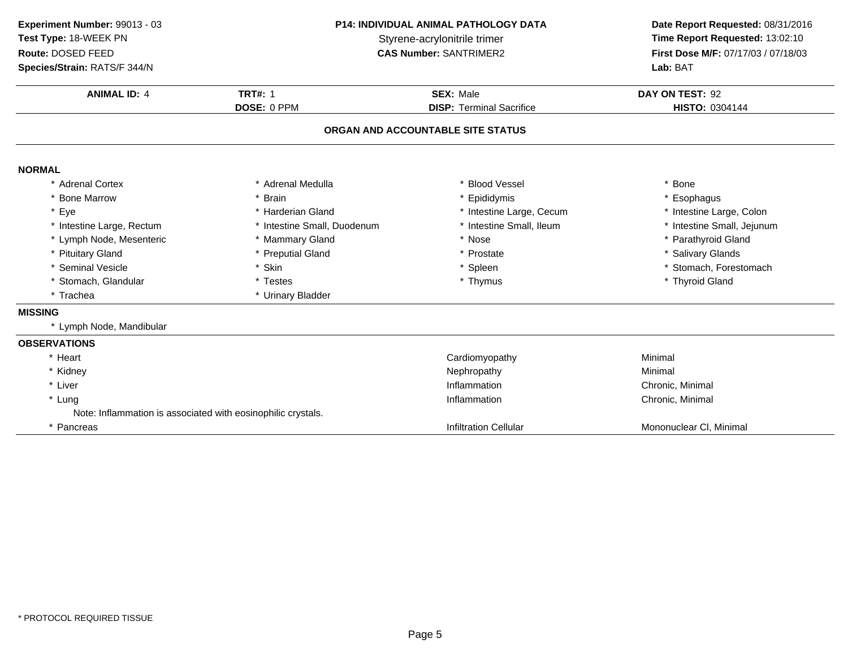**ANIMAL ID:** <sup>4</sup> **TRT#:** <sup>1</sup> **SEX:** Male **DAY ON TEST:** <sup>92</sup> **DOSE:** 0 PPM**DISP:** Terminal Sacrifice **HISTO:** 0304144 **ORGAN AND ACCOUNTABLE SITE STATUSNORMAL** \* Adrenal Cortex \* Adrenal Medullaa the set of the set of the set of the set of the set of the set of the set of the set of the set of the set o<br>Set of the set of the set of the set of the set of the set of the set of the set of the set of the set of the s \* Bone Marrow \* Brain \* Epididymis \* Esophagus \* Eye\* Harderian Gland \* 11testine Large, Cecum<br>
\* Intestine Small, Duodenum \* 11testine Small, Ileum \* Intestine Large, Colon<br>\* Intestine Small, Jejunum \* Intestine Large, Rectumm and the small, Duodenum and the small, Ileum and the small, Ileum and the Small, Intestine Small, Jejunum and the small, Jejunum \* Lymph Node, Mesenteric \* Mammary Gland\* Mammary Gland \* 1992 \* 1993 \* 1994 \* Nose \* 1995 \* Parathyroid Gland \* Preputial Gland \* Preputial Gland \* Preputial Gland \* Preputial Gland \* Present \* Preputial Gland \* Present \* Present \* Preputial Glands \* Present \* \* Pituitary Glandd and the second of the preputial Gland the second of the second term of the second of the second of the second  $^*$  Salivary Glands \* Seminal Vesiclee the settlement of the settlement of the settlement of the settlement of the settlement of the set of the set of the set of the set of the set of the set of the set of the set of the set of the set of the set of the set o \* Stomach, Glandular \* Testes \* Testes \* Thymus \* Thymus \* Thymus \* Thymus \* Thymus \* Thyroid Gland \* Trachea \* Urinary Bladder **MISSING** \* Lymph Node, Mandibular **OBSERVATIONS**\* Heart Cardiomyopathy Minimal \* Kidneyy the contract of the contract of the Nephropathy Nephropathy and the Minimal Minimal  $\lambda$ \* Liver \* Liver **Inflammation** Inflammation Chronic, Minimal<br>
Inflammation Chronic, Minimal \* Lungg is a controller to the controller of the Inflammation controller that  $\Gamma$  Chronic, Minimal  $\Gamma$ Note: Inflammation is associated with eosinophilic crystals.\* PancreasInfiltration Cellular Mononuclear Cl, Minimal **Experiment Number:** 99013 - 03 **P14: INDIVIDUAL ANIMAL PATHOLOGY DATA Date Report Requested:** 08/31/2016 **Test Type:** 18-WEEK PNStyrene-acrylonitrile trimer<br>
CAS Number: SANTRIMER2<br>
CAS Number: SANTRIMER2<br>
Time Report Requested: 13:02:10 **Route:** DOSED FEED**First Dose M/F:** 07/17/03 / 07/18/03<br>**Lab:** BAT **Species/Strain:** RATS/F 344/N**Lab:** BAT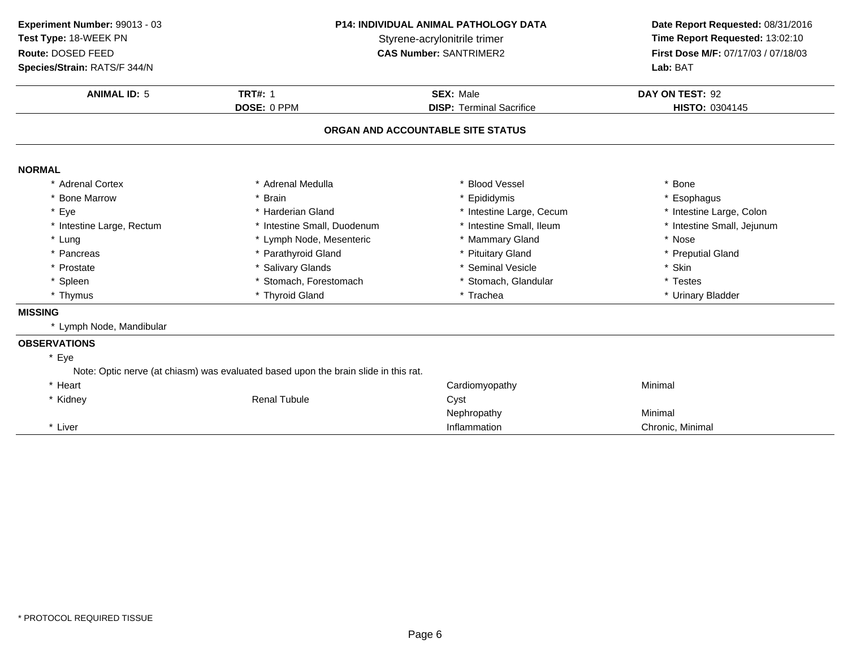**ANIMAL ID:** <sup>5</sup> **TRT#:** <sup>1</sup> **SEX:** Male **DAY ON TEST:** <sup>92</sup> **DOSE:** 0 PPM**DISP:** Terminal Sacrifice **HISTO:** 0304145 **ORGAN AND ACCOUNTABLE SITE STATUSNORMAL** \* Adrenal Cortex \* Adrenal Medullaa the set of the set of the set of the set of the set of the set of the set of the set of the set of the set o<br>Set of the set of the set of the set of the set of the set of the set of the set of the set of the set of the s \* Bone Marrow \* Brain \* Epididymis \* Esophagus \* Eye\* Harderian Gland \* 11 \* 11testine Large, Cecum<br>\* Intestine Small, Duodenum \* 11testine Small, Ileum \* Intestine Large, Colon<br>\* Intestine Small, Jejunum \* Intestine Large, Rectum\* Intestine Small, Duodenum \* \* Intestine Small, Ileum \* 11testine Small, Ileum \* 1ntest<br>
\* Lymph Node, Mesenteric \* \* Mammary Gland \* \* Nose \* Lung\* Lymph Node, Mesenteric \* \* Mammary Gland \* \* Mose \* Nose \* Nose \* Nose \* Nose \* Preputial Gland \* Preputial Gland \* Preputial Gland \* Preputial Gland \* Preputial Gland \* Preputial Gland \* Preputial Gland \* Preputial Glan \* Pancreas \* Parathyroid Gland\* Pituitary Gland \* Preputial \* Preputial \* Preputial \* Preputial \* Preputial \* Skin \* Prostatee the second of the Salivary Glands the second of the seminal Vesicle the second of the second  $\ast$  Skin \* Spleen\* Stomach, Forestomach \* \* Stomach, Glandular \* Testes \* Testes \* Thyroid Gland<br>\* Thyroid Gland \* \* Trachea \* Trachea \* Trachea \* Urinary \* Thymus \* Thyroid Gland\* Urinary Bladder **MISSING** \* Lymph Node, Mandibular **OBSERVATIONS**\* EyeNote: Optic nerve (at chiasm) was evaluated based upon the brain slide in this rat.\* Heart Cardiomyopathy Minimal \* Kidney Renal Tubulee Cyst Nephropathy Minimal \* Liver \* Liver **Inflammation** Inflammation **Chronic, Minimal Experiment Number:** 99013 - 03 **P14: INDIVIDUAL ANIMAL PATHOLOGY DATA Date Report Requested:** 08/31/2016 **Test Type:** 18-WEEK PNStyrene-acrylonitrile trimer<br>
CAS Number: SANTRIMER2<br>
CAS Number: SANTRIMER2<br>
Time Report Requested: 13:02:10 **Route:** DOSED FEED**First Dose M/F:** 07/17/03 / 07/18/03<br>**Lab:** BAT **Species/Strain:** RATS/F 344/N**Lab:** BAT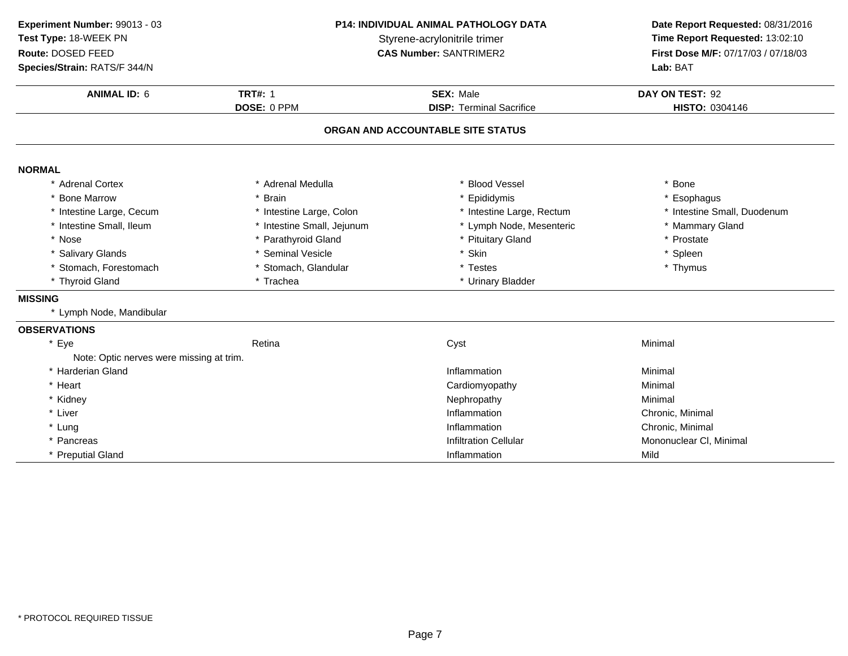**ANIMAL ID:** <sup>6</sup> **TRT#:** <sup>1</sup> **SEX:** Male **DAY ON TEST:** <sup>92</sup> **DOSE:** 0 PPM**DISP:** Terminal Sacrifice **HISTO:** 0304146 **ORGAN AND ACCOUNTABLE SITE STATUSNORMAL** \* Adrenal Cortex \* Adrenal Medullaa the set of the set of the set of the set of the set of the set of the set of the set of the set of the set o<br>Set of the set of the set of the set of the set of the set of the set of the set of the set of the set of the s \* Bone Marrow \* Brain \* Epididymis \* Esophagus \* Intestine Large, Cecumm and the stime Large, Colon the state of the testine Large, Rectum the state of the small, Duodenum and the state of the state of the state of the state of the state of the state of the state of the state of the state of \* Intestine Small, Ileumm and the small, Jejunum and the studies of the Mesenteric the studies of the studies of the studies of the studies of the studies of the studies of the studies of the studies of the studies of the studies of the studies o \* Nosee the second of the second vertex  $^*$  Parathyroid Gland the second vertex  $^*$  Prituitary Gland the second vertex  $^*$  Prostate \* Salivary Glands \* Seminal Vesicle \* Skin \* Spleen \* Stomach, Forestomachh the test of the stomach, Glandular the test of the test of the storm  $*$  Thymus  $*$  Thymus \* Thyroid Gland\* Trachea \* \* Urinary Bladder **MISSING** \* Lymph Node, Mandibular **OBSERVATIONS**\* Eyee the contraction of the Retina Cyst Cyst Cyst Contraction of the Minimal Note: Optic nerves were missing at trim.\* Harderian Glandd and the control of the control of the control of the control of the control of the control of the control of the control of the control of the control of the control of the control of the control of the control of the co \* Heart Cardiomyopathy Minimal<br>Minimal \* Kidneyy the contract of the contract of the Mephropathy the Minimal Minimal Sepan $\sim$  Minimal Minimal Sepan $\sim$ \* Liver \* Liver **Inflammation Inflammation** Inflammation **Chronic, Minimal**<br> **Inflammation** Chronic, Minimal \* Lungg is a controller to the controller of the inflammation controller that  $\Gamma$  chronic, Minimal  $\Gamma$ \* PancreasInfiltration Cellular Mononuclear Cl, Minimal \* Preputial Gland Inflammation Mild **Experiment Number:** 99013 - 03 **P14: INDIVIDUAL ANIMAL PATHOLOGY DATA Date Report Requested:** 08/31/2016 **Test Type:** 18-WEEK PNStyrene-acrylonitrile trimer<br>
CAS Number: SANTRIMER2<br> **CAS Number:** SANTRIMER2<br> **Time Report Requested:** 13:02:10 **Route:** DOSED FEED**First Dose M/F:** 07/17/03 / 07/18/03<br>**Lab:** BAT **Species/Strain:** RATS/F 344/N**Lab:** BAT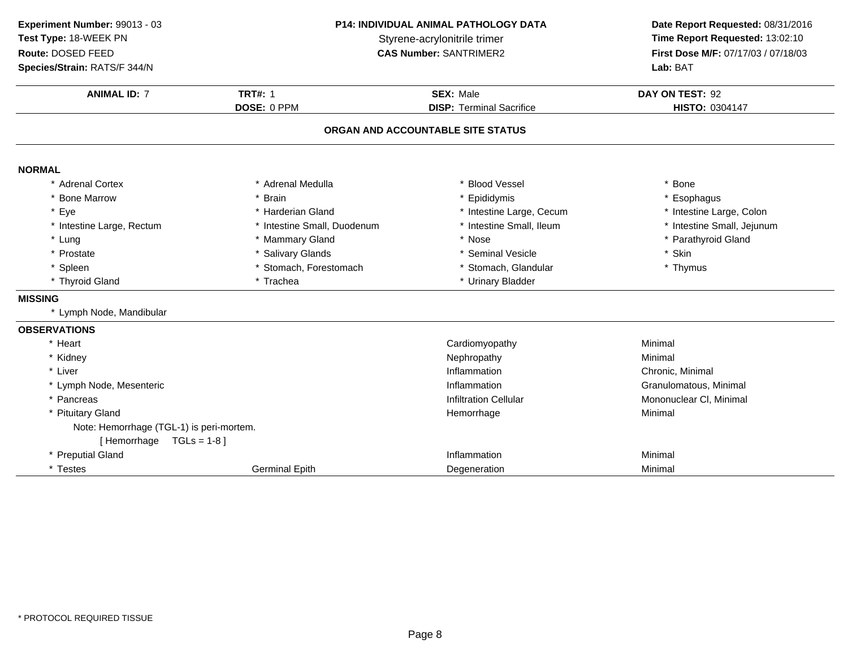**ANIMAL ID:** <sup>7</sup> **TRT#:** <sup>1</sup> **SEX:** Male **DAY ON TEST:** <sup>92</sup> **DOSE:** 0 PPM**DISP:** Terminal Sacrifice **HISTO:** 0304147 **ORGAN AND ACCOUNTABLE SITE STATUSNORMAL** \* Adrenal Cortex \* Adrenal Medullaa the set of the set of the set of the set of the set of the set of the set of the set of the set of the set o<br>Set of the set of the set of the set of the set of the set of the set of the set of the set of the set of the s \* Bone Marrow \* Brain \* Epididymis \* Esophagus \* Eye\* Harderian Gland \* 11testine Large, Cecum<br>
\* Intestine Small, Duodenum \* 11testine Small, Ileum \* Intestine Large, Colon<br>\* Intestine Small, Jejunum \* Intestine Large, Rectumm and the small, Duodenum and the small, Ileum and the small, Ileum and the Small, Intestine Small, Jejunum and the small, Jejunum \* Lung \* Mammary Gland \* Nose \* Parathyroid Gland \* Prostate \* Salivary Glands \* Seminal Vesicle \* Skin \* Spleen\* Stomach, Forestomach \* \* Stomach, Glandular \* Thymus \* Thymus \* Thymus \* Thymus \* Thymus \* Thymus \* Thymus \* Thymus \* Thymus \* Thymus \* Thymus \* Thymus \* Thymus \* Thymus \* Thymus \* Thymus \* Thymus \* Thymus \* Thymus \* Thy \* Thyroid Gland\* Urinary Bladder **MISSING** \* Lymph Node, Mandibular **OBSERVATIONS**\* Heart Cardiomyopathy Minimal \* Kidneyy the contract of the contract of the Mephropathy the Minimal Minimal Sepan $\sim$  Minimal Minimal Sepan $\sim$ \* Liver \* Liver **Inflammation Inflammation** Inflammation **Example 2** Chronic, Minimal<br>
Inflammation **Chronic Chronic Chronic Chronic Chronic** Granulomatous \* Lymph Node, Mesentericc intervals and the control of the control of the control of the control of the control of the control of the control of the control of the control of the control of the control of the control of the control of the control Inflammation<br>
Inflitration Cellular<br>
Inflitration Cellular<br>
Granulomatous, Minimal<br>
Mononuclear Cl. Minimal \* PancreasMononuclear Cl, Minimal \* Pituitary Glandd and the control of the control of the Hemorrhage Minimal Minimal Section 1, 2012, 2014, 2016, 2017, 2017, 20<br>The control of the control of the control of the control of the control of the control of the control of the c Note: Hemorrhage (TGL-1) is peri-mortem.[ Hemorrhage TGLs = 1-8 ]\* Preputial Glandd and the control of the control of the control of the control of the control of the control of the control of the control of the control of the control of the control of the control of the control of the control of the co \* Testes Germinal EpithDegeneration Minimal **Experiment Number:** 99013 - 03 **P14: INDIVIDUAL ANIMAL PATHOLOGY DATA Date Report Requested:** 08/31/2016 **Test Type:** 18-WEEK PNStyrene-acrylonitrile trimer<br>
CAS Number: SANTRIMER2<br> **CAS Number:** SANTRIMER2<br> **Time Report Requested:** 13:02:10 **Route:** DOSED FEED**First Dose M/F:** 07/17/03 / 07/18/03<br>**Lab:** BAT **Species/Strain:** RATS/F 344/N**Lab:** BAT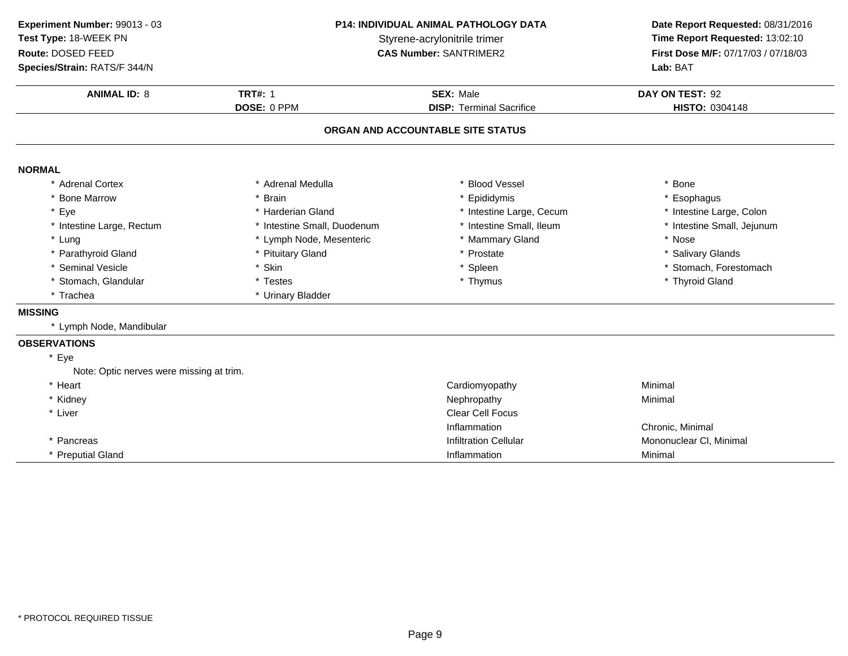**ANIMAL ID:** <sup>8</sup> **TRT#:** <sup>1</sup> **SEX:** Male **DAY ON TEST:** <sup>92</sup> **DOSE:** 0 PPM**DISP:** Terminal Sacrifice **HISTO:** 0304148 **ORGAN AND ACCOUNTABLE SITE STATUSNORMAL** \* Adrenal Cortex \* Adrenal Medullaa the set of the set of the set of the set of the set of the set of the set of the set of the set of the set o<br>Set of the set of the set of the set of the set of the set of the set of the set of the set of the set of the s \* Bone Marrow \* Brain \* Epididymis \* Esophagus \* Eye \* Harderian Gland \* Intestine Large, Cecum\* Intestine Large, Colon<br>\* Intestine Small, Jejunum \* Intestine Large, Rectum\* Intestine Small, Duodenum \* 1992 \* 11testine Small, Ileum \* 11testine Small, Ileum \* 11test<br>
\* Lymph Node, Mesenteric \* 12testine 12testine Small, Ileum \* 12testine 12testine 12testine 12testine 12testine<br>
\* Nose \* Lung\* Lymph Node, Mesenteric \* \* Mammary Gland \* Nose \* Nose \* Nose \* Nose \* Nose \* Nose \* Pituitary Glands \* Prostate \* Prostate \* Prostate \* \* Salivary Glands \* Parathyroid Glandd **the set of the set of the set of the set of the set of the set of the set of the set of the set of the set of the set of the set of the set of the set of the set of the set of the set of the set of the set of the set of** \* Seminal Vesiclee the settlement of the settlement of the settlement of the settlement of the settlement of the set of the set of the set of the set of the set of the set of the set of the set of the set of the set of the set of the set o \* Stomach, Glandular \* Testes \* Testes \* Thymus \* Thymus \* Thymus \* Thymus \* Thyroid Gland \* Trachea \* Urinary Bladder **MISSING** \* Lymph Node, Mandibular **OBSERVATIONS**\* EyeNote: Optic nerves were missing at trim.\* Heart Cardiomyopathy Minimal<br>Minimal \* Kidneyy the contract of the contract of the Mephropathy the Minimal Minimal Sepan $\sim$  Minimal Minimal Sepan $\sim$ \* Liver Clear Cell Focus InflammationInflammation **Chronic, Minimal**<br>
Infiltration Cellular **Chronic Mononuclear Cl.** \* PancreasMononuclear Cl, Minimal \* Preputial Gland Inflammation Minimal **Experiment Number:** 99013 - 03 **P14: INDIVIDUAL ANIMAL PATHOLOGY DATA Date Report Requested:** 08/31/2016 **Test Type:** 18-WEEK PNStyrene-acrylonitrile trimer<br>
CAS Number: SANTRIMER2<br>
CAS Number: SANTRIMER2<br>
Time Report Requested: 13:02:10 **Route:** DOSED FEED**First Dose M/F:** 07/17/03 / 07/18/03<br>**Lab:** BAT **Species/Strain:** RATS/F 344/N**Lab:** BAT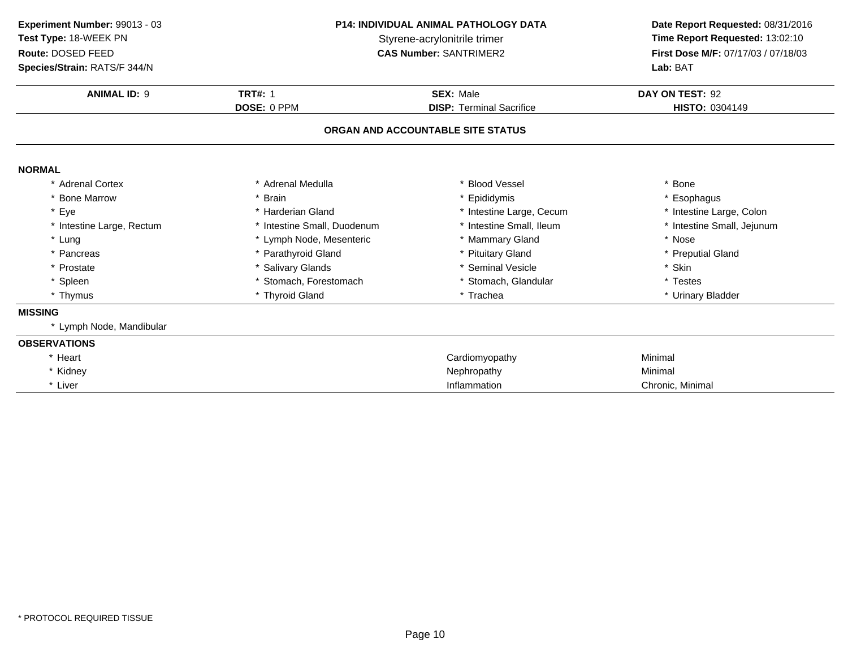| Experiment Number: 99013 - 03<br>Test Type: 18-WEEK PN<br>Route: DOSED FEED<br>Species/Strain: RATS/F 344/N | <b>P14: INDIVIDUAL ANIMAL PATHOLOGY DATA</b><br>Styrene-acrylonitrile trimer<br><b>CAS Number: SANTRIMER2</b> |                                   | Date Report Requested: 08/31/2016<br>Time Report Requested: 13:02:10<br>First Dose M/F: 07/17/03 / 07/18/03<br>Lab: BAT |
|-------------------------------------------------------------------------------------------------------------|---------------------------------------------------------------------------------------------------------------|-----------------------------------|-------------------------------------------------------------------------------------------------------------------------|
| <b>ANIMAL ID: 9</b>                                                                                         | <b>TRT#: 1</b>                                                                                                | <b>SEX: Male</b>                  | DAY ON TEST: 92                                                                                                         |
|                                                                                                             | DOSE: 0 PPM                                                                                                   | <b>DISP: Terminal Sacrifice</b>   | <b>HISTO: 0304149</b>                                                                                                   |
|                                                                                                             |                                                                                                               | ORGAN AND ACCOUNTABLE SITE STATUS |                                                                                                                         |
| <b>NORMAL</b>                                                                                               |                                                                                                               |                                   |                                                                                                                         |
| * Adrenal Cortex                                                                                            | * Adrenal Medulla                                                                                             | <b>Blood Vessel</b>               | * Bone                                                                                                                  |
| * Bone Marrow                                                                                               | * Epididymis<br>* Brain                                                                                       |                                   | * Esophagus                                                                                                             |
| * Eye                                                                                                       | * Harderian Gland                                                                                             | * Intestine Large, Cecum          | * Intestine Large, Colon                                                                                                |
| * Intestine Large, Rectum                                                                                   | * Intestine Small, Duodenum                                                                                   | * Intestine Small, Ileum          | * Intestine Small, Jejunum                                                                                              |
| * Lung                                                                                                      | * Lymph Node, Mesenteric                                                                                      | * Mammary Gland                   | * Nose                                                                                                                  |
| * Pancreas                                                                                                  | * Parathyroid Gland                                                                                           | * Pituitary Gland                 | * Preputial Gland                                                                                                       |
| * Prostate                                                                                                  | * Salivary Glands                                                                                             | * Seminal Vesicle                 | * Skin                                                                                                                  |
| * Spleen                                                                                                    | * Stomach, Forestomach                                                                                        | Stomach, Glandular                | * Testes                                                                                                                |
| * Thymus                                                                                                    | * Thyroid Gland<br>* Trachea                                                                                  |                                   | * Urinary Bladder                                                                                                       |
| <b>MISSING</b>                                                                                              |                                                                                                               |                                   |                                                                                                                         |
| * Lymph Node, Mandibular                                                                                    |                                                                                                               |                                   |                                                                                                                         |
| <b>OBSERVATIONS</b>                                                                                         |                                                                                                               |                                   |                                                                                                                         |
| * Heart                                                                                                     |                                                                                                               | Cardiomyopathy                    | Minimal                                                                                                                 |
| * Kidney                                                                                                    |                                                                                                               | Nephropathy                       | Minimal                                                                                                                 |
| * Liver                                                                                                     |                                                                                                               | Inflammation                      | Chronic, Minimal                                                                                                        |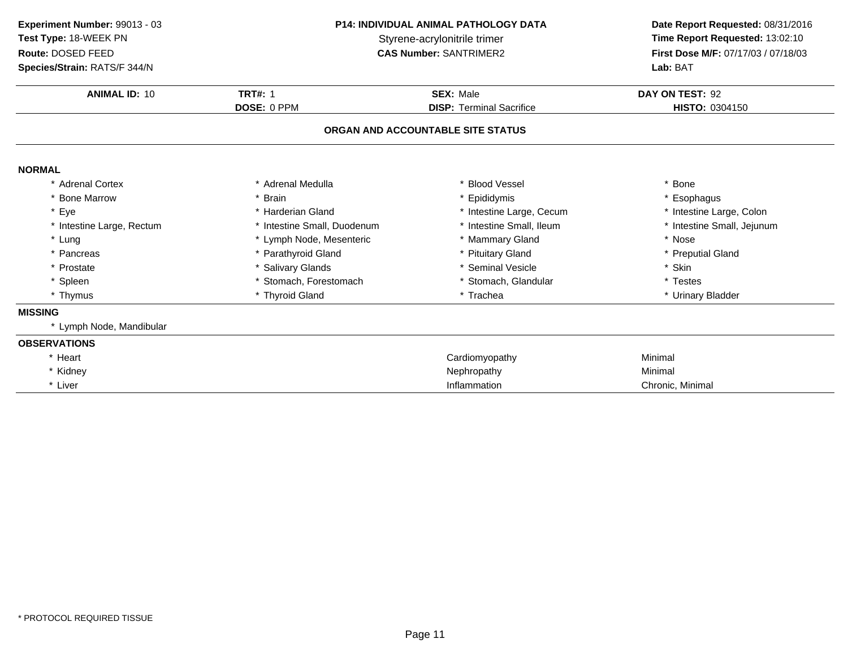| Experiment Number: 99013 - 03<br>Test Type: 18-WEEK PN<br>Route: DOSED FEED<br>Species/Strain: RATS/F 344/N | <b>P14: INDIVIDUAL ANIMAL PATHOLOGY DATA</b><br>Styrene-acrylonitrile trimer<br><b>CAS Number: SANTRIMER2</b> |                                   | Date Report Requested: 08/31/2016<br>Time Report Requested: 13:02:10<br>First Dose M/F: 07/17/03 / 07/18/03<br>Lab: BAT |
|-------------------------------------------------------------------------------------------------------------|---------------------------------------------------------------------------------------------------------------|-----------------------------------|-------------------------------------------------------------------------------------------------------------------------|
| <b>ANIMAL ID: 10</b>                                                                                        | <b>TRT#: 1</b>                                                                                                | <b>SEX: Male</b>                  | DAY ON TEST: 92                                                                                                         |
|                                                                                                             | DOSE: 0 PPM                                                                                                   | <b>DISP: Terminal Sacrifice</b>   | <b>HISTO: 0304150</b>                                                                                                   |
|                                                                                                             |                                                                                                               | ORGAN AND ACCOUNTABLE SITE STATUS |                                                                                                                         |
| <b>NORMAL</b>                                                                                               |                                                                                                               |                                   |                                                                                                                         |
| * Adrenal Cortex                                                                                            | * Adrenal Medulla                                                                                             | * Blood Vessel                    | Bone                                                                                                                    |
| * Bone Marrow                                                                                               | * Brain<br>* Epididymis                                                                                       |                                   | * Esophagus                                                                                                             |
| * Eye                                                                                                       | * Harderian Gland                                                                                             | * Intestine Large, Cecum          | * Intestine Large, Colon                                                                                                |
| * Intestine Large, Rectum                                                                                   | * Intestine Small, Duodenum                                                                                   | * Intestine Small, Ileum          | * Intestine Small, Jejunum                                                                                              |
| * Lung                                                                                                      | * Lymph Node, Mesenteric                                                                                      | * Mammary Gland                   | * Nose                                                                                                                  |
| * Pancreas                                                                                                  | * Parathyroid Gland                                                                                           | * Pituitary Gland                 | * Preputial Gland                                                                                                       |
| * Prostate                                                                                                  | <b>Salivary Glands</b>                                                                                        | * Seminal Vesicle                 | * Skin                                                                                                                  |
| * Spleen                                                                                                    | * Stomach, Forestomach<br>* Stomach, Glandular                                                                |                                   | * Testes                                                                                                                |
| * Thymus                                                                                                    | * Thyroid Gland<br>* Trachea                                                                                  |                                   | * Urinary Bladder                                                                                                       |
| <b>MISSING</b>                                                                                              |                                                                                                               |                                   |                                                                                                                         |
| * Lymph Node, Mandibular                                                                                    |                                                                                                               |                                   |                                                                                                                         |
| <b>OBSERVATIONS</b>                                                                                         |                                                                                                               |                                   |                                                                                                                         |
| * Heart                                                                                                     |                                                                                                               | Cardiomyopathy                    | Minimal                                                                                                                 |
| * Kidney                                                                                                    |                                                                                                               | Nephropathy                       | Minimal                                                                                                                 |
| * Liver                                                                                                     | Inflammation                                                                                                  |                                   | Chronic, Minimal                                                                                                        |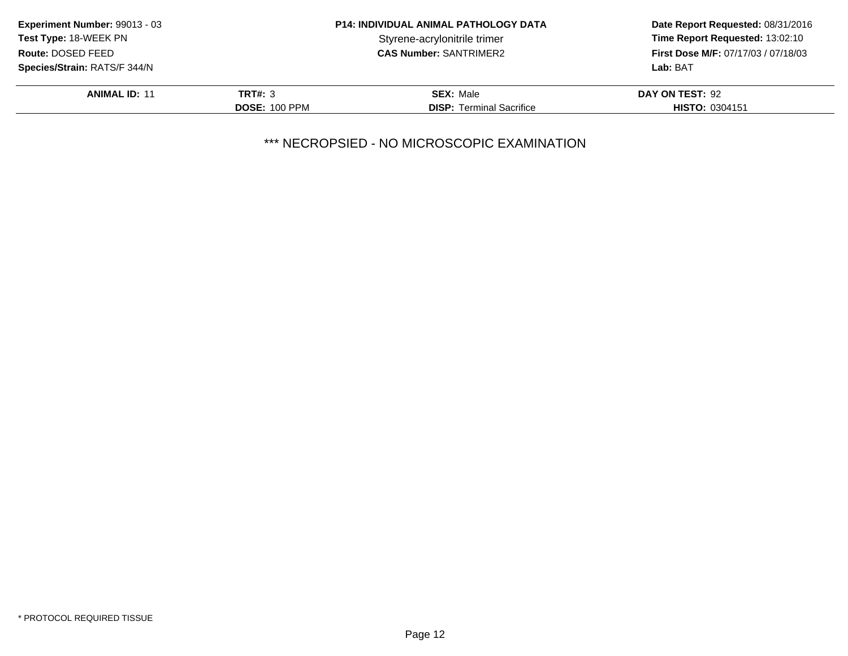| Experiment Number: 99013 - 03       |                      | <b>P14: INDIVIDUAL ANIMAL PATHOLOGY DATA</b> | Date Report Requested: 08/31/2016          |
|-------------------------------------|----------------------|----------------------------------------------|--------------------------------------------|
| <b>Test Type: 18-WEEK PN</b>        |                      | Styrene-acrylonitrile trimer                 | Time Report Requested: 13:02:10            |
| Route: DOSED FEED                   |                      | <b>CAS Number: SANTRIMER2</b>                | <b>First Dose M/F: 07/17/03 / 07/18/03</b> |
| <b>Species/Strain: RATS/F 344/N</b> |                      |                                              | Lab: BAT                                   |
| <b>ANIMAL ID: 11</b>                | <b>TRT#: 3</b>       | <b>SEX: Male</b>                             | DAY ON TEST: 92                            |
|                                     | <b>DOSE: 100 PPM</b> | <b>DISP:</b> Terminal Sacrifice              | <b>HISTO: 0304151</b>                      |
|                                     |                      |                                              |                                            |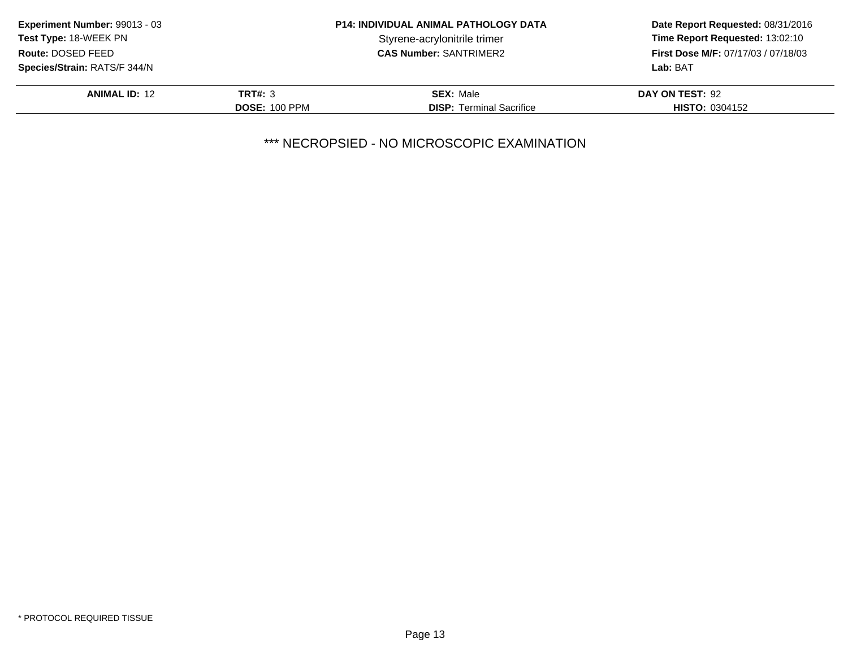|                      | <b>P14: INDIVIDUAL ANIMAL PATHOLOGY DATA</b> | Date Report Requested: 08/31/2016          |
|----------------------|----------------------------------------------|--------------------------------------------|
|                      | Styrene-acrylonitrile trimer                 | Time Report Requested: 13:02:10            |
|                      | <b>CAS Number: SANTRIMER2</b>                | <b>First Dose M/F: 07/17/03 / 07/18/03</b> |
|                      |                                              | Lab: BAT                                   |
| <b>TRT#: 3</b>       | <b>SEX: Male</b>                             | DAY ON TEST: 92                            |
| <b>DOSE: 100 PPM</b> | <b>DISP:</b> Terminal Sacrifice              | <b>HISTO: 0304152</b>                      |
|                      |                                              |                                            |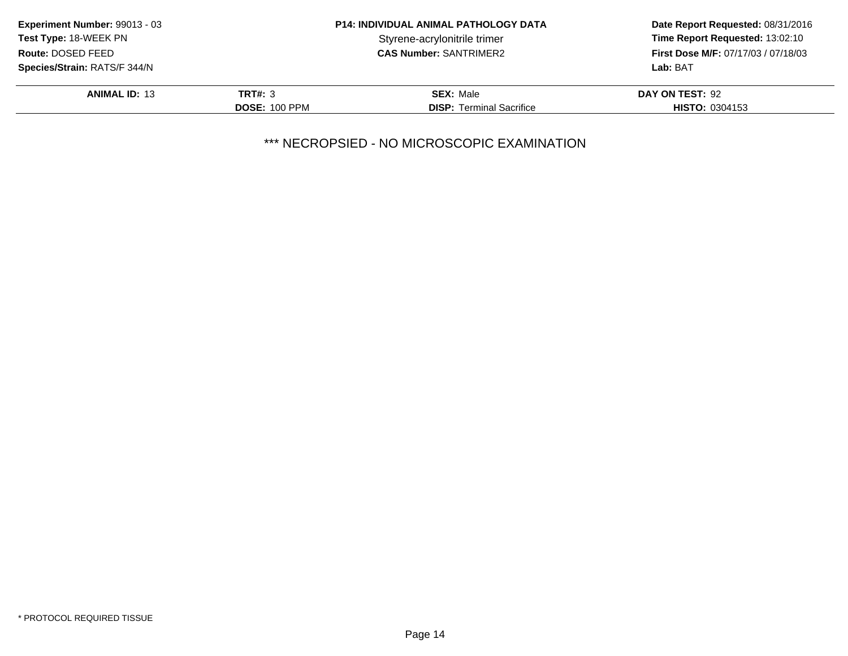|                      | <b>P14: INDIVIDUAL ANIMAL PATHOLOGY DATA</b> | Date Report Requested: 08/31/2016          |
|----------------------|----------------------------------------------|--------------------------------------------|
|                      | Styrene-acrylonitrile trimer                 | Time Report Requested: 13:02:10            |
|                      | <b>CAS Number: SANTRIMER2</b>                | <b>First Dose M/F: 07/17/03 / 07/18/03</b> |
|                      |                                              | Lab: BAT                                   |
| <b>TRT#: 3</b>       | <b>SEX: Male</b>                             | DAY ON TEST: 92                            |
| <b>DOSE: 100 PPM</b> | <b>DISP:</b> Terminal Sacrifice              | <b>HISTO: 0304153</b>                      |
|                      |                                              |                                            |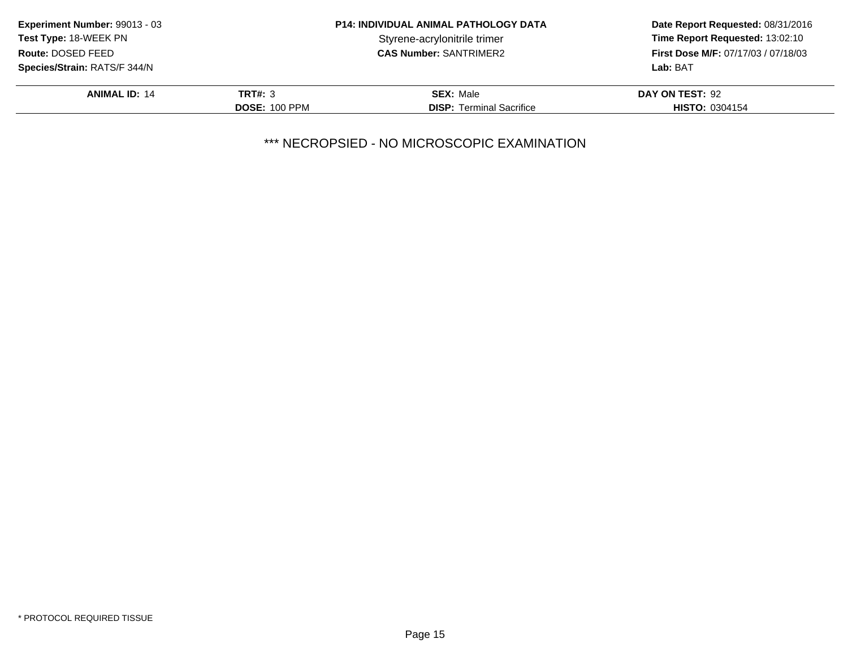|                      | <b>P14: INDIVIDUAL ANIMAL PATHOLOGY DATA</b> | Date Report Requested: 08/31/2016          |
|----------------------|----------------------------------------------|--------------------------------------------|
|                      | Styrene-acrylonitrile trimer                 | Time Report Requested: 13:02:10            |
|                      | <b>CAS Number: SANTRIMER2</b>                | <b>First Dose M/F: 07/17/03 / 07/18/03</b> |
|                      |                                              | Lab: BAT                                   |
| <b>TRT#: 3</b>       | <b>SEX: Male</b>                             | DAY ON TEST: 92                            |
| <b>DOSE: 100 PPM</b> | <b>DISP:</b> Terminal Sacrifice              | <b>HISTO: 0304154</b>                      |
|                      |                                              |                                            |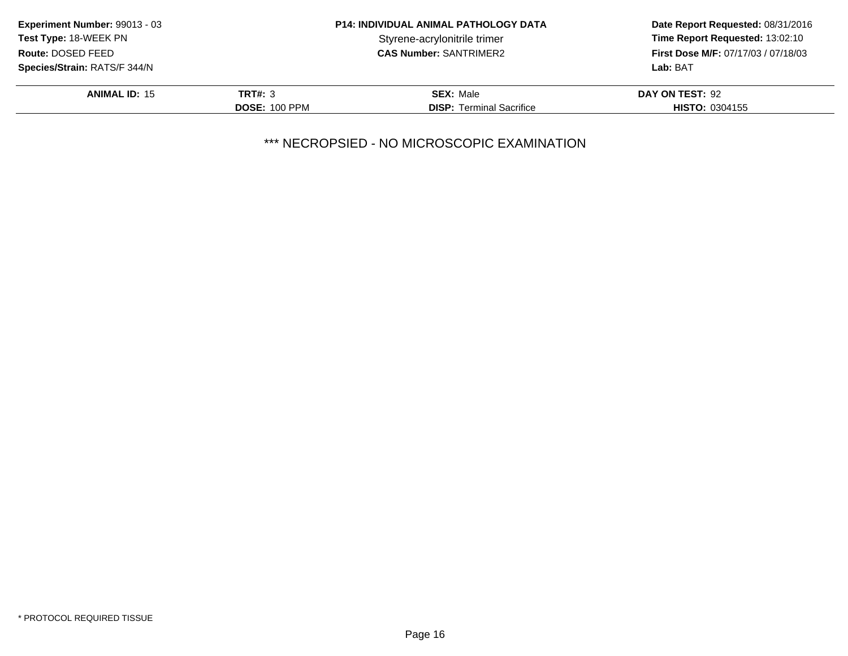| Experiment Number: 99013 - 03       |                      | <b>P14: INDIVIDUAL ANIMAL PATHOLOGY DATA</b> | Date Report Requested: 08/31/2016          |
|-------------------------------------|----------------------|----------------------------------------------|--------------------------------------------|
| <b>Test Type: 18-WEEK PN</b>        |                      | Styrene-acrylonitrile trimer                 | Time Report Requested: 13:02:10            |
| Route: DOSED FEED                   |                      | <b>CAS Number: SANTRIMER2</b>                | <b>First Dose M/F: 07/17/03 / 07/18/03</b> |
| <b>Species/Strain: RATS/F 344/N</b> |                      |                                              | Lab: BAT                                   |
| <b>ANIMAL ID: 15</b>                | <b>TRT#: 3</b>       | <b>SEX: Male</b>                             | DAY ON TEST: 92                            |
|                                     | <b>DOSE: 100 PPM</b> | <b>DISP:</b> Terminal Sacrifice              | <b>HISTO: 0304155</b>                      |
|                                     |                      |                                              |                                            |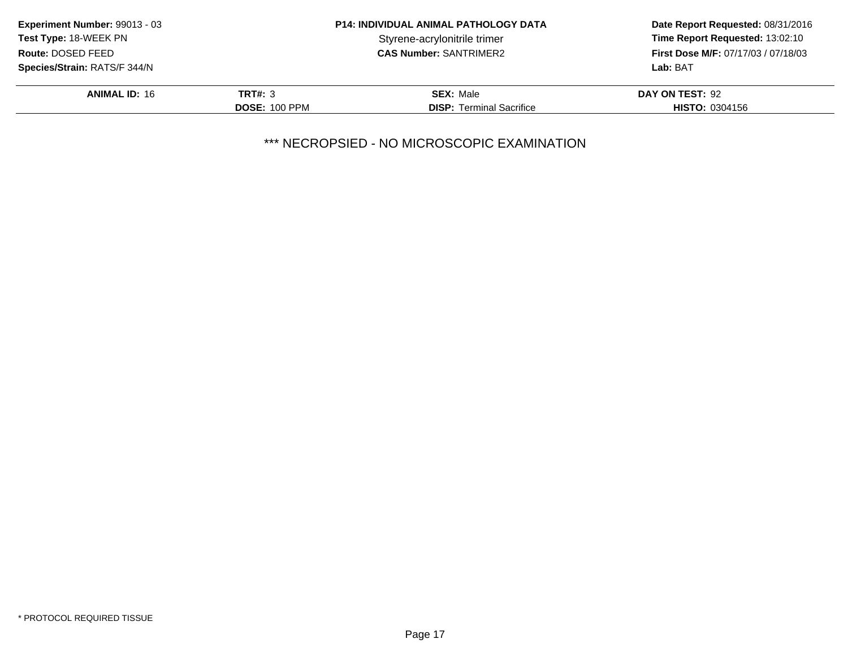| Time Report Requested: 13:02:10            |
|--------------------------------------------|
| <b>First Dose M/F: 07/17/03 / 07/18/03</b> |
|                                            |
|                                            |
|                                            |
|                                            |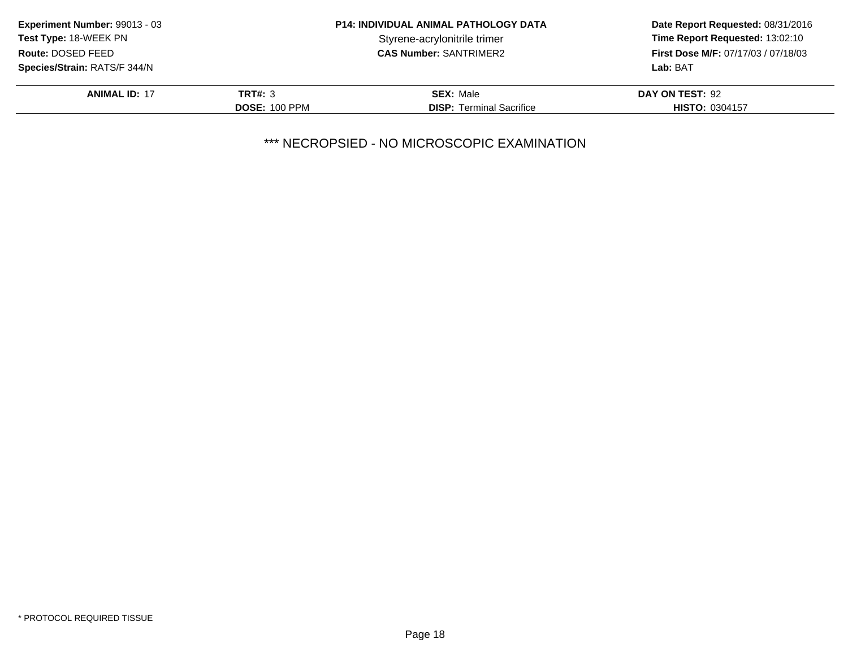| Experiment Number: 99013 - 03                      |                      | <b>P14: INDIVIDUAL ANIMAL PATHOLOGY DATA</b> | Date Report Requested: 08/31/2016<br>Time Report Requested: 13:02:10 |
|----------------------------------------------------|----------------------|----------------------------------------------|----------------------------------------------------------------------|
| Test Type: 18-WEEK PN                              |                      | Styrene-acrylonitrile trimer                 |                                                                      |
| Route: DOSED FEED<br><b>CAS Number: SANTRIMER2</b> |                      |                                              | <b>First Dose M/F: 07/17/03 / 07/18/03</b>                           |
| Species/Strain: RATS/F 344/N                       |                      |                                              | Lab: BAT                                                             |
| <b>ANIMAL ID: 17</b>                               | TRT#: 3              | <b>SEX: Male</b>                             | DAY ON TEST: 92                                                      |
|                                                    | <b>DOSE: 100 PPM</b> | <b>DISP:</b> Terminal Sacrifice              | <b>HISTO: 0304157</b>                                                |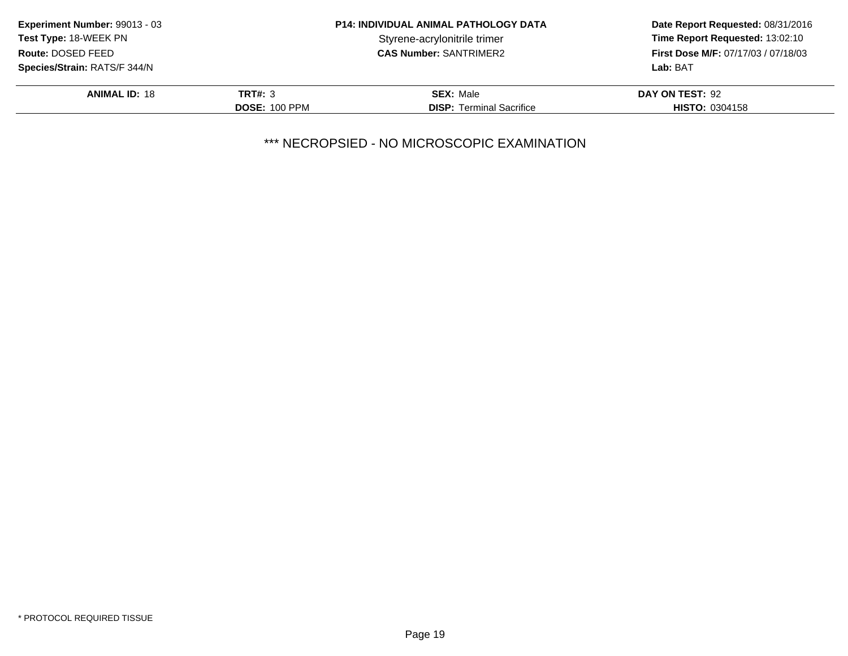| Experiment Number: 99013 - 03<br><b>Test Type: 18-WEEK PN</b> |                      | <b>P14: INDIVIDUAL ANIMAL PATHOLOGY DATA</b> | Date Report Requested: 08/31/2016<br>Time Report Requested: 13:02:10 |
|---------------------------------------------------------------|----------------------|----------------------------------------------|----------------------------------------------------------------------|
|                                                               |                      | Styrene-acrylonitrile trimer                 |                                                                      |
| Route: DOSED FEED                                             |                      | <b>CAS Number: SANTRIMER2</b>                | <b>First Dose M/F: 07/17/03 / 07/18/03</b>                           |
| <b>Species/Strain: RATS/F 344/N</b>                           |                      |                                              | Lab: BAT                                                             |
| <b>ANIMAL ID: 18</b>                                          | <b>TRT#: 3</b>       | <b>SEX: Male</b>                             | DAY ON TEST: 92                                                      |
|                                                               | <b>DOSE: 100 PPM</b> | <b>DISP:</b> Terminal Sacrifice              | <b>HISTO: 0304158</b>                                                |
|                                                               |                      |                                              |                                                                      |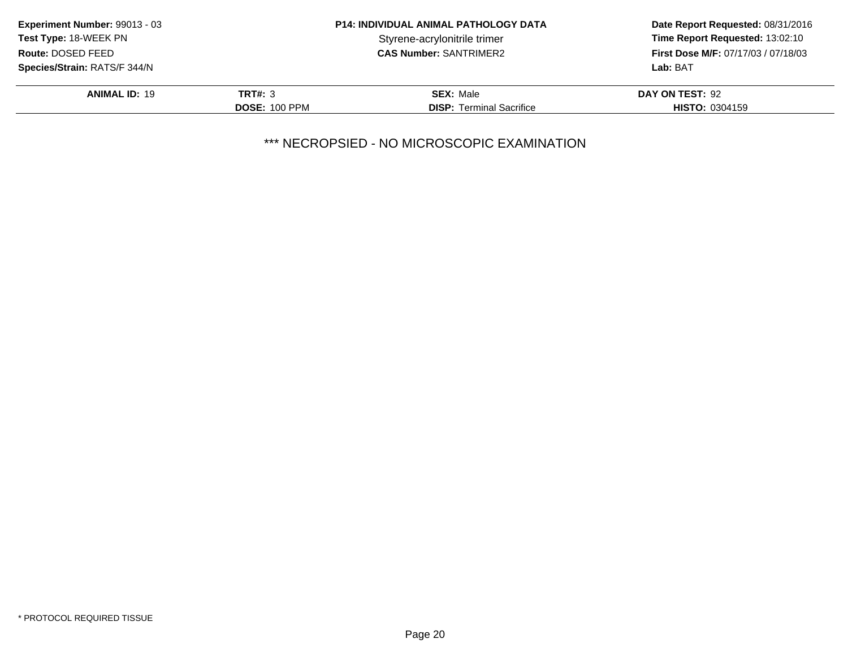| <b>Experiment Number: 99013 - 03</b> |                      | <b>P14: INDIVIDUAL ANIMAL PATHOLOGY DATA</b> | Date Report Requested: 08/31/2016          |
|--------------------------------------|----------------------|----------------------------------------------|--------------------------------------------|
| <b>Test Type: 18-WEEK PN</b>         |                      | Styrene-acrylonitrile trimer                 | Time Report Requested: 13:02:10            |
| Route: DOSED FEED                    |                      | <b>CAS Number: SANTRIMER2</b>                | <b>First Dose M/F: 07/17/03 / 07/18/03</b> |
| <b>Species/Strain: RATS/F 344/N</b>  |                      |                                              | Lab: BAT                                   |
| <b>ANIMAL ID: 19</b>                 | <b>TRT#: 3</b>       | <b>SEX: Male</b>                             | DAY ON TEST: 92                            |
|                                      | <b>DOSE: 100 PPM</b> | <b>DISP:</b> Terminal Sacrifice              | <b>HISTO: 0304159</b>                      |
|                                      |                      |                                              |                                            |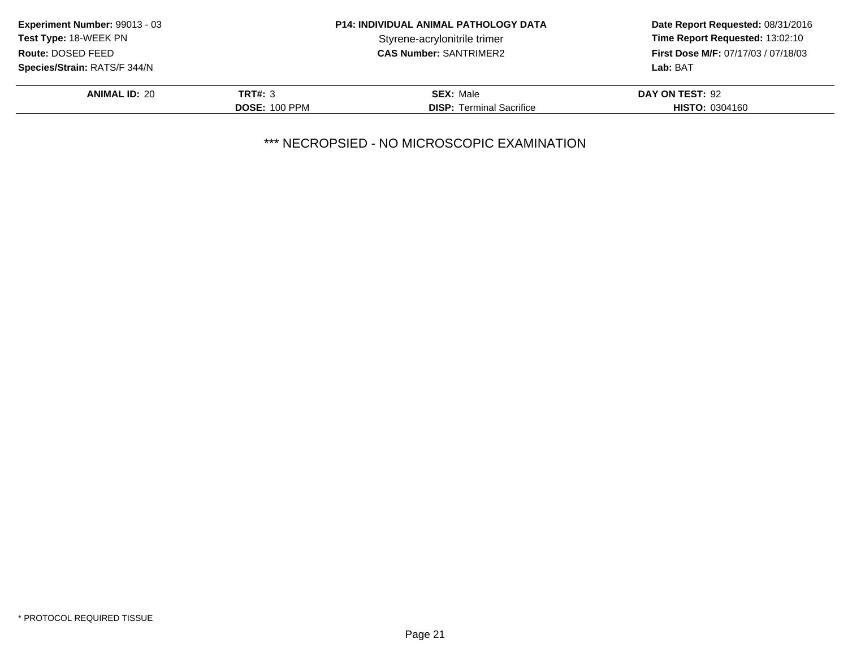| Experiment Number: 99013 - 03       | <b>P14: INDIVIDUAL ANIMAL PATHOLOGY DATA</b> |                                 | Date Report Requested: 08/31/2016          |  |
|-------------------------------------|----------------------------------------------|---------------------------------|--------------------------------------------|--|
| Test Type: 18-WEEK PN               |                                              | Styrene-acrylonitrile trimer    | Time Report Requested: 13:02:10            |  |
| Route: DOSED FEED                   |                                              | <b>CAS Number: SANTRIMER2</b>   | <b>First Dose M/F: 07/17/03 / 07/18/03</b> |  |
| <b>Species/Strain: RATS/F 344/N</b> |                                              |                                 | Lab: BAT                                   |  |
| <b>ANIMAL ID: 20</b>                | <b>TRT#: 3</b>                               | <b>SEX: Male</b>                | DAY ON TEST: 92                            |  |
|                                     | <b>DOSE: 100 PPM</b>                         | <b>DISP:</b> Terminal Sacrifice | <b>HISTO: 0304160</b>                      |  |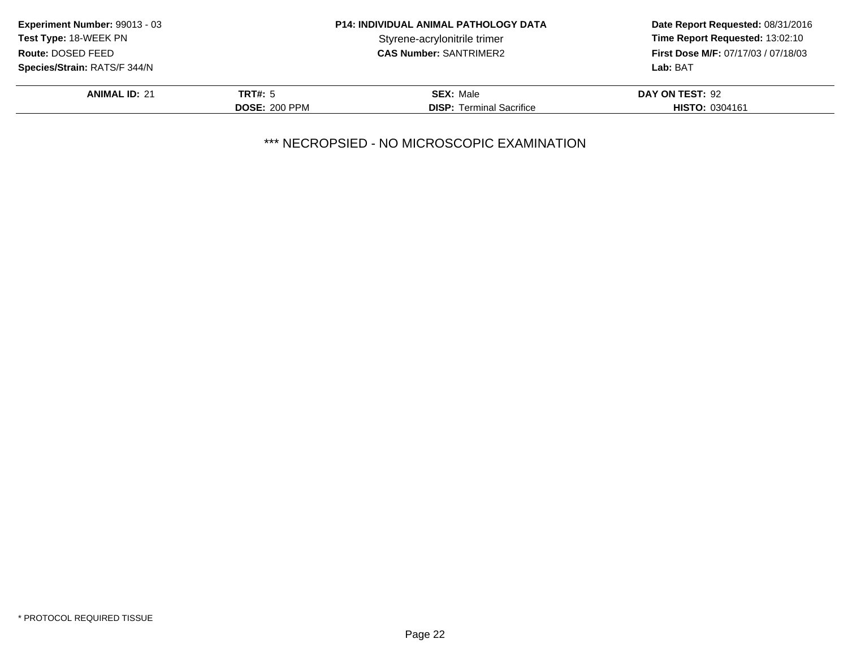| Experiment Number: 99013 - 03       | <b>P14: INDIVIDUAL ANIMAL PATHOLOGY DATA</b> |                                 | Date Report Requested: 08/31/2016   |
|-------------------------------------|----------------------------------------------|---------------------------------|-------------------------------------|
| <b>Test Type: 18-WEEK PN</b>        |                                              | Styrene-acrylonitrile trimer    | Time Report Requested: 13:02:10     |
| Route: DOSED FEED                   |                                              | <b>CAS Number: SANTRIMER2</b>   | First Dose M/F: 07/17/03 / 07/18/03 |
| <b>Species/Strain: RATS/F 344/N</b> |                                              |                                 | Lab: BAT                            |
| <b>ANIMAL ID: 21</b>                | TRT#: 5                                      | <b>SEX: Male</b>                | DAY ON TEST: 92                     |
|                                     | <b>DOSE: 200 PPM</b>                         | <b>DISP:</b> Terminal Sacrifice | <b>HISTO: 0304161</b>               |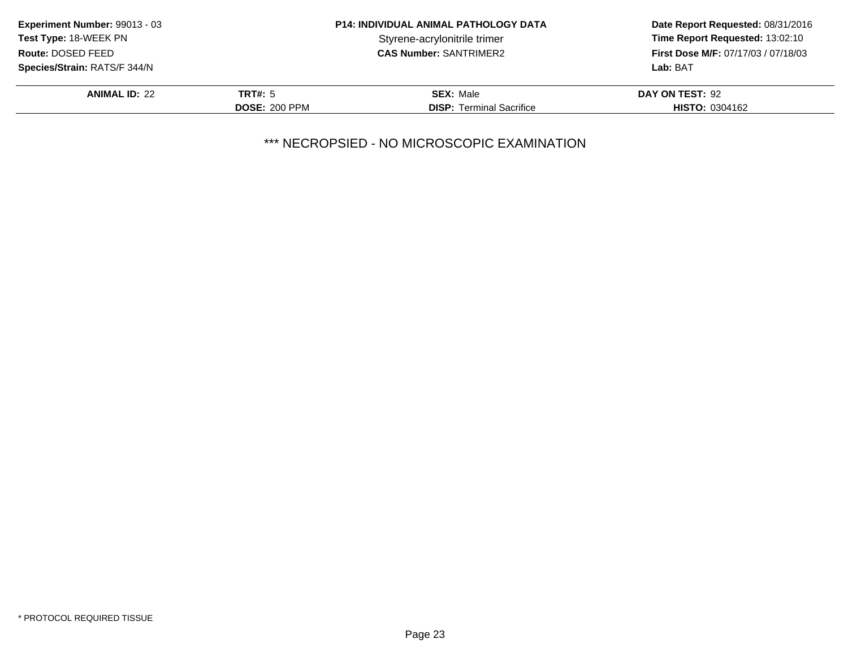| <b>Experiment Number: 99013 - 03</b> | <b>P14: INDIVIDUAL ANIMAL PATHOLOGY DATA</b> |                                 | Date Report Requested: 08/31/2016          |
|--------------------------------------|----------------------------------------------|---------------------------------|--------------------------------------------|
| Test Type: 18-WEEK PN                |                                              | Styrene-acrylonitrile trimer    | Time Report Requested: 13:02:10            |
| Route: DOSED FEED                    |                                              | <b>CAS Number: SANTRIMER2</b>   | <b>First Dose M/F: 07/17/03 / 07/18/03</b> |
| <b>Species/Strain: RATS/F 344/N</b>  |                                              |                                 | Lab: BAT                                   |
| <b>ANIMAL ID: 22</b>                 | <b>TRT#:</b> 5                               | <b>SEX: Male</b>                | DAY ON TEST: 92                            |
|                                      | <b>DOSE: 200 PPM</b>                         | <b>DISP:</b> Terminal Sacrifice | <b>HISTO: 0304162</b>                      |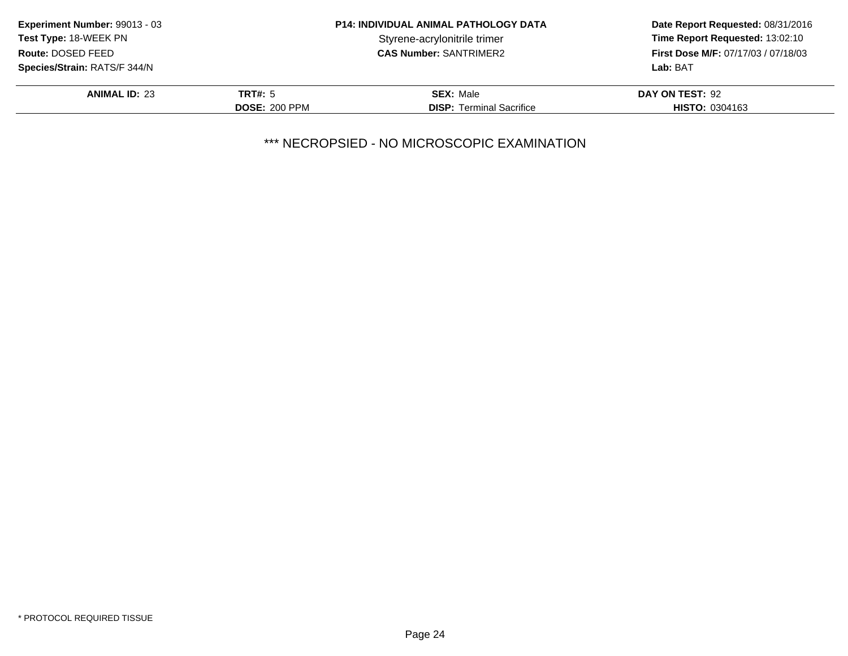| <b>Experiment Number: 99013 - 03</b> | <b>P14: INDIVIDUAL ANIMAL PATHOLOGY DATA</b> |                                 | Date Report Requested: 08/31/2016          |
|--------------------------------------|----------------------------------------------|---------------------------------|--------------------------------------------|
| <b>Test Type: 18-WEEK PN</b>         |                                              | Styrene-acrylonitrile trimer    | Time Report Requested: 13:02:10            |
| Route: DOSED FEED                    |                                              | <b>CAS Number: SANTRIMER2</b>   | <b>First Dose M/F: 07/17/03 / 07/18/03</b> |
| <b>Species/Strain: RATS/F 344/N</b>  |                                              |                                 | Lab: BAT                                   |
| <b>ANIMAL ID: 23</b>                 | TRT#: 5                                      | <b>SEX: Male</b>                | DAY ON TEST: 92                            |
|                                      | <b>DOSE: 200 PPM</b>                         | <b>DISP:</b> Terminal Sacrifice | <b>HISTO: 0304163</b>                      |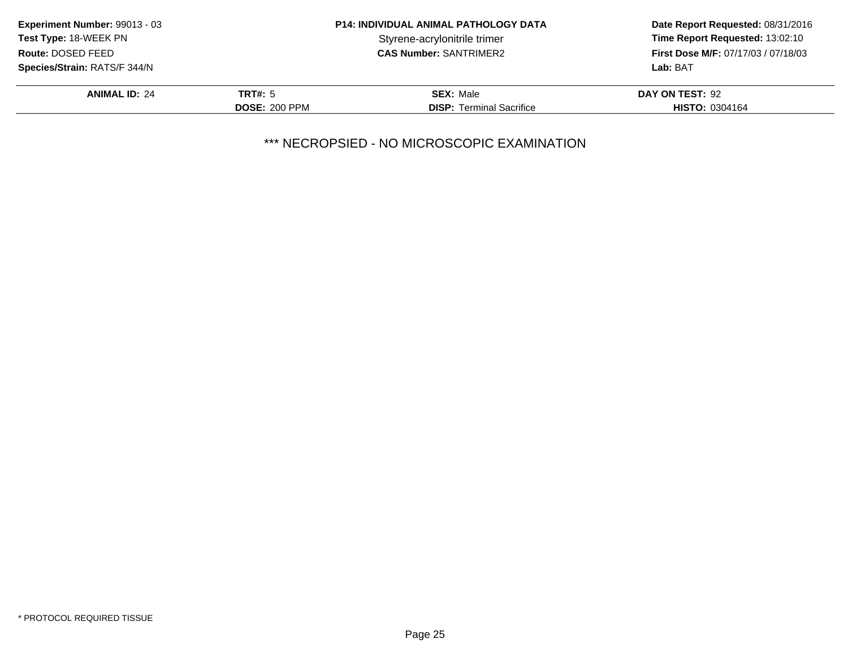| Experiment Number: 99013 - 03       | <b>P14: INDIVIDUAL ANIMAL PATHOLOGY DATA</b> |                                 | Date Report Requested: 08/31/2016          |  |
|-------------------------------------|----------------------------------------------|---------------------------------|--------------------------------------------|--|
| Test Type: 18-WEEK PN               |                                              | Styrene-acrylonitrile trimer    | Time Report Requested: 13:02:10            |  |
| Route: DOSED FEED                   |                                              | <b>CAS Number: SANTRIMER2</b>   | <b>First Dose M/F: 07/17/03 / 07/18/03</b> |  |
| <b>Species/Strain: RATS/F 344/N</b> |                                              |                                 | Lab: BAT                                   |  |
| <b>ANIMAL ID: 24</b>                | <b>TRT#:</b> 5                               | <b>SEX: Male</b>                | DAY ON TEST: 92                            |  |
|                                     | <b>DOSE: 200 PPM</b>                         | <b>DISP:</b> Terminal Sacrifice | <b>HISTO: 0304164</b>                      |  |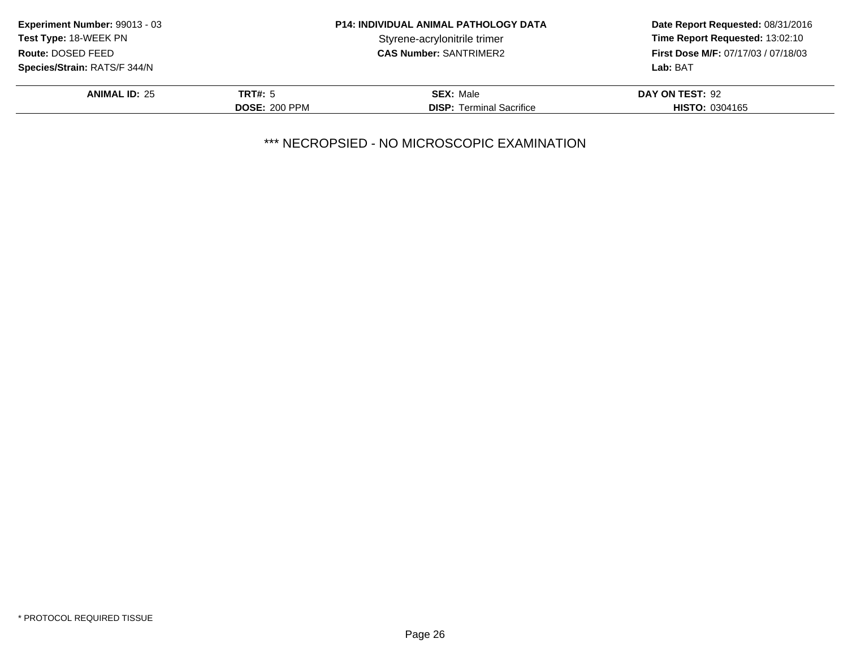| Experiment Number: 99013 - 03       | <b>P14: INDIVIDUAL ANIMAL PATHOLOGY DATA</b> |                                 | Date Report Requested: 08/31/2016          |  |
|-------------------------------------|----------------------------------------------|---------------------------------|--------------------------------------------|--|
| Test Type: 18-WEEK PN               |                                              | Styrene-acrylonitrile trimer    | Time Report Requested: 13:02:10            |  |
| Route: DOSED FEED                   |                                              | <b>CAS Number: SANTRIMER2</b>   | <b>First Dose M/F: 07/17/03 / 07/18/03</b> |  |
| <b>Species/Strain: RATS/F 344/N</b> |                                              |                                 | Lab: BAT                                   |  |
| <b>ANIMAL ID: 25</b>                | <b>TRT#: 5</b>                               | <b>SEX: Male</b>                | DAY ON TEST: 92                            |  |
|                                     | <b>DOSE: 200 PPM</b>                         | <b>DISP:</b> Terminal Sacrifice | <b>HISTO: 0304165</b>                      |  |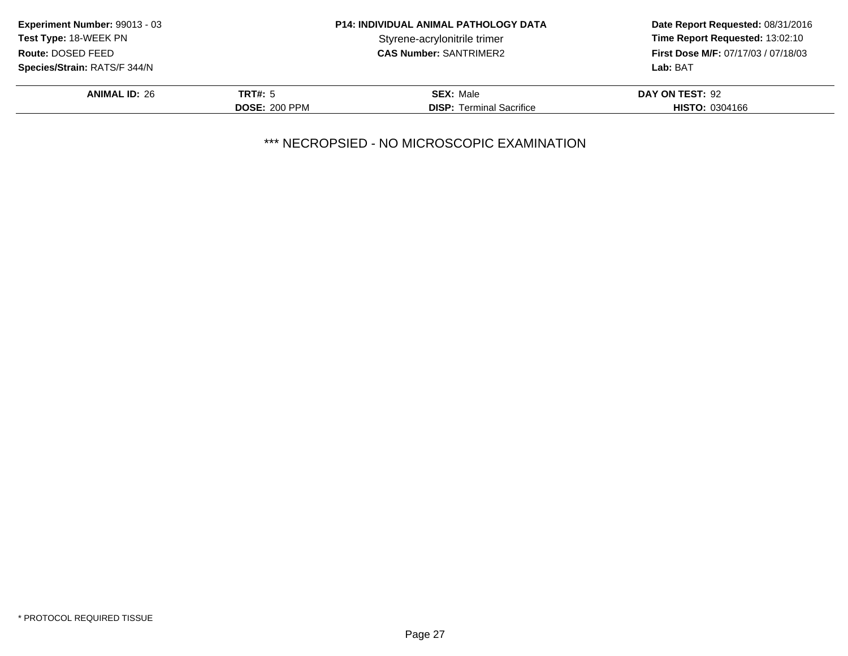| Experiment Number: 99013 - 03       | <b>P14: INDIVIDUAL ANIMAL PATHOLOGY DATA</b> |                                 | Date Report Requested: 08/31/2016          |  |
|-------------------------------------|----------------------------------------------|---------------------------------|--------------------------------------------|--|
| Test Type: 18-WEEK PN               |                                              | Styrene-acrylonitrile trimer    | Time Report Requested: 13:02:10            |  |
| Route: DOSED FEED                   |                                              | <b>CAS Number: SANTRIMER2</b>   | <b>First Dose M/F: 07/17/03 / 07/18/03</b> |  |
| <b>Species/Strain: RATS/F 344/N</b> |                                              |                                 | Lab: BAT                                   |  |
| <b>ANIMAL ID: 26</b>                | <b>TRT#: 5</b>                               | <b>SEX: Male</b>                | DAY ON TEST: 92                            |  |
|                                     | <b>DOSE: 200 PPM</b>                         | <b>DISP:</b> Terminal Sacrifice | <b>HISTO: 0304166</b>                      |  |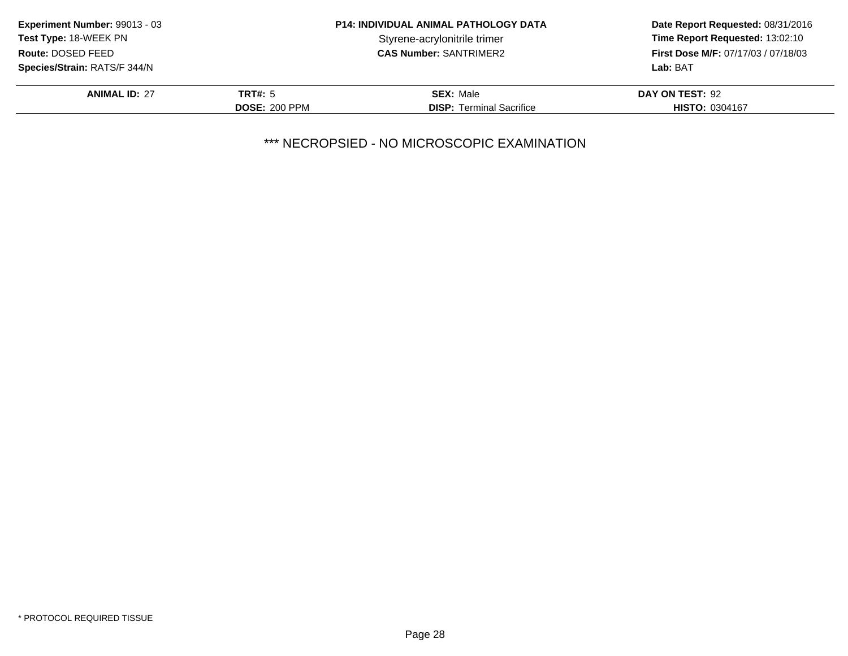| Experiment Number: 99013 - 03       | <b>P14: INDIVIDUAL ANIMAL PATHOLOGY DATA</b> |                                 | Date Report Requested: 08/31/2016          |
|-------------------------------------|----------------------------------------------|---------------------------------|--------------------------------------------|
| Test Type: 18-WEEK PN               |                                              | Styrene-acrylonitrile trimer    | Time Report Requested: 13:02:10            |
| Route: DOSED FEED                   |                                              | <b>CAS Number: SANTRIMER2</b>   | <b>First Dose M/F: 07/17/03 / 07/18/03</b> |
| <b>Species/Strain: RATS/F 344/N</b> |                                              |                                 | Lab: BAT                                   |
| <b>ANIMAL ID: 27</b>                | TRT#: 5                                      | <b>SEX: Male</b>                | DAY ON TEST: 92                            |
|                                     | <b>DOSE: 200 PPM</b>                         | <b>DISP:</b> Terminal Sacrifice | <b>HISTO: 0304167</b>                      |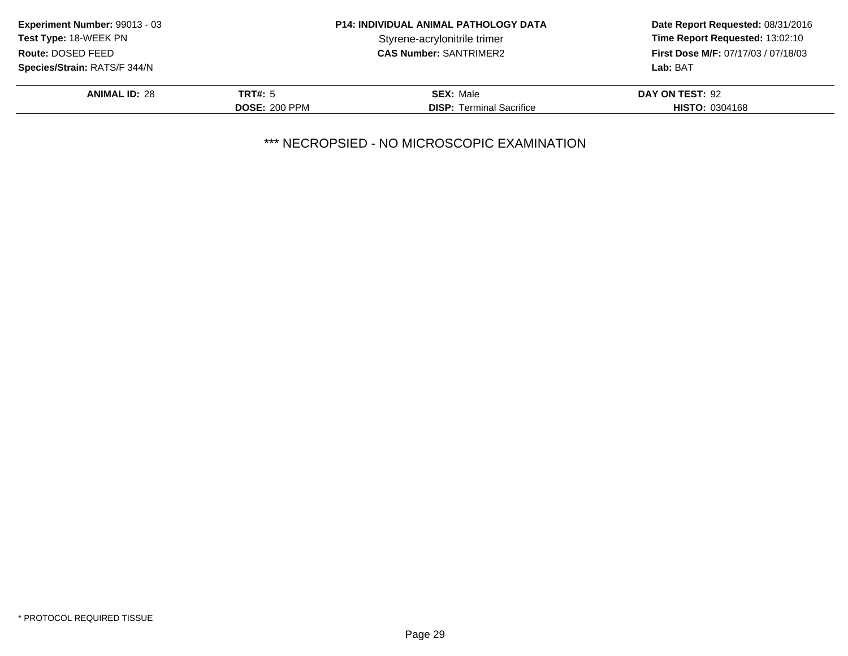| Experiment Number: 99013 - 03       | <b>P14: INDIVIDUAL ANIMAL PATHOLOGY DATA</b> |                                 | Date Report Requested: 08/31/2016          |
|-------------------------------------|----------------------------------------------|---------------------------------|--------------------------------------------|
| Test Type: 18-WEEK PN               |                                              | Styrene-acrylonitrile trimer    | Time Report Requested: 13:02:10            |
| Route: DOSED FEED                   |                                              | <b>CAS Number: SANTRIMER2</b>   | <b>First Dose M/F: 07/17/03 / 07/18/03</b> |
| <b>Species/Strain: RATS/F 344/N</b> |                                              |                                 | Lab: BAT                                   |
| <b>ANIMAL ID: 28</b>                | <b>TRT#: 5</b>                               | <b>SEX: Male</b>                | DAY ON TEST: 92                            |
|                                     | <b>DOSE: 200 PPM</b>                         | <b>DISP:</b> Terminal Sacrifice | <b>HISTO: 0304168</b>                      |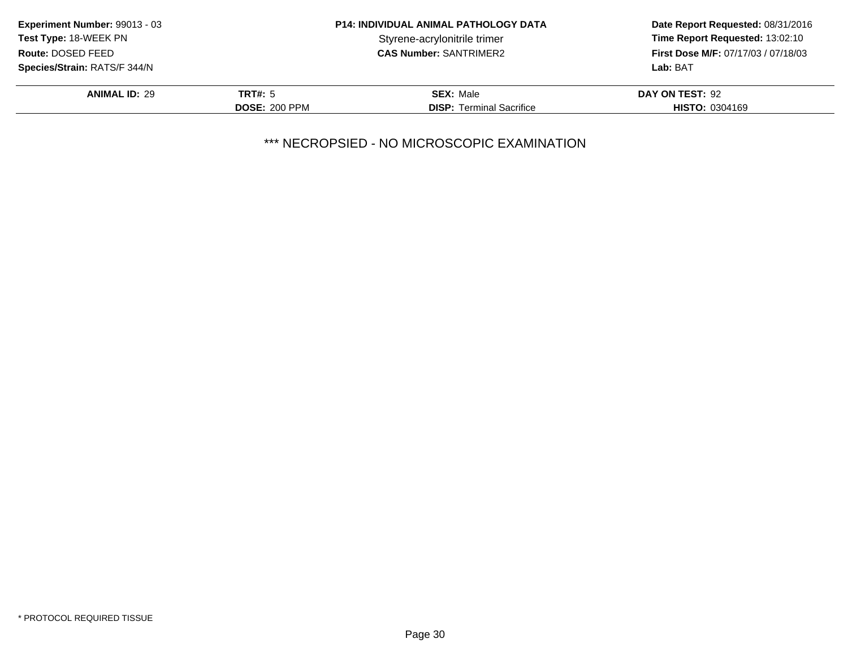| Experiment Number: 99013 - 03       | <b>P14: INDIVIDUAL ANIMAL PATHOLOGY DATA</b> |                                 | Date Report Requested: 08/31/2016   |
|-------------------------------------|----------------------------------------------|---------------------------------|-------------------------------------|
| Test Type: 18-WEEK PN               |                                              | Styrene-acrylonitrile trimer    | Time Report Requested: 13:02:10     |
| Route: DOSED FEED                   |                                              | <b>CAS Number: SANTRIMER2</b>   | First Dose M/F: 07/17/03 / 07/18/03 |
| <b>Species/Strain: RATS/F 344/N</b> |                                              |                                 | Lab: BAT                            |
| <b>ANIMAL ID: 29</b>                | <b>TRT#: 5</b>                               | <b>SEX: Male</b>                | DAY ON TEST: 92                     |
|                                     | <b>DOSE: 200 PPM</b>                         | <b>DISP:</b> Terminal Sacrifice | <b>HISTO: 0304169</b>               |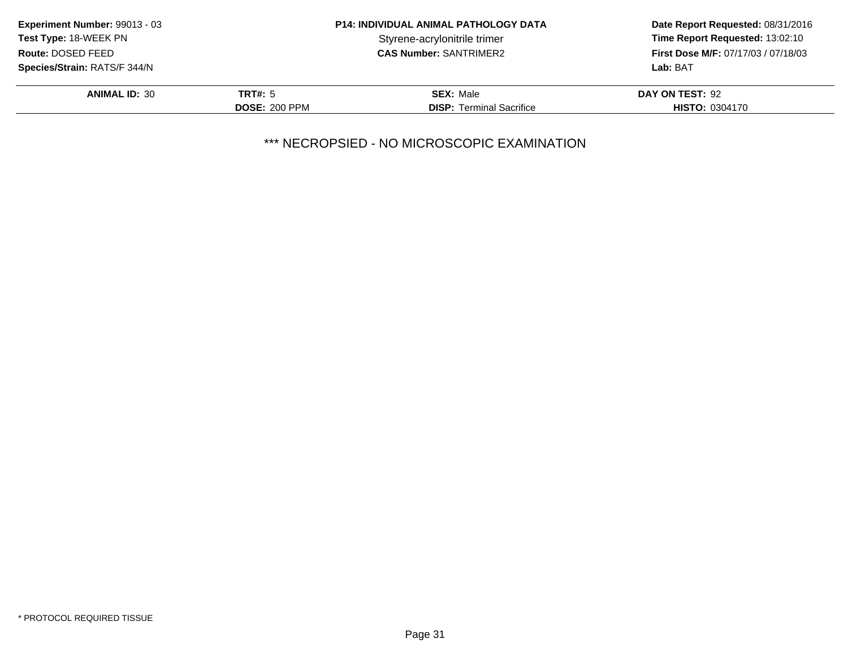|                      | <b>P14: INDIVIDUAL ANIMAL PATHOLOGY DATA</b> | Date Report Requested: 08/31/2016<br>Time Report Requested: 13:02:10 |
|----------------------|----------------------------------------------|----------------------------------------------------------------------|
|                      | Styrene-acrylonitrile trimer                 |                                                                      |
|                      | <b>CAS Number: SANTRIMER2</b>                | <b>First Dose M/F: 07/17/03 / 07/18/03</b>                           |
|                      |                                              | Lab: BAT                                                             |
| TRT#: 5              | <b>SEX: Male</b>                             | DAY ON TEST: 92                                                      |
| <b>DOSE: 200 PPM</b> | <b>DISP:</b> Terminal Sacrifice              | <b>HISTO: 0304170</b>                                                |
|                      |                                              |                                                                      |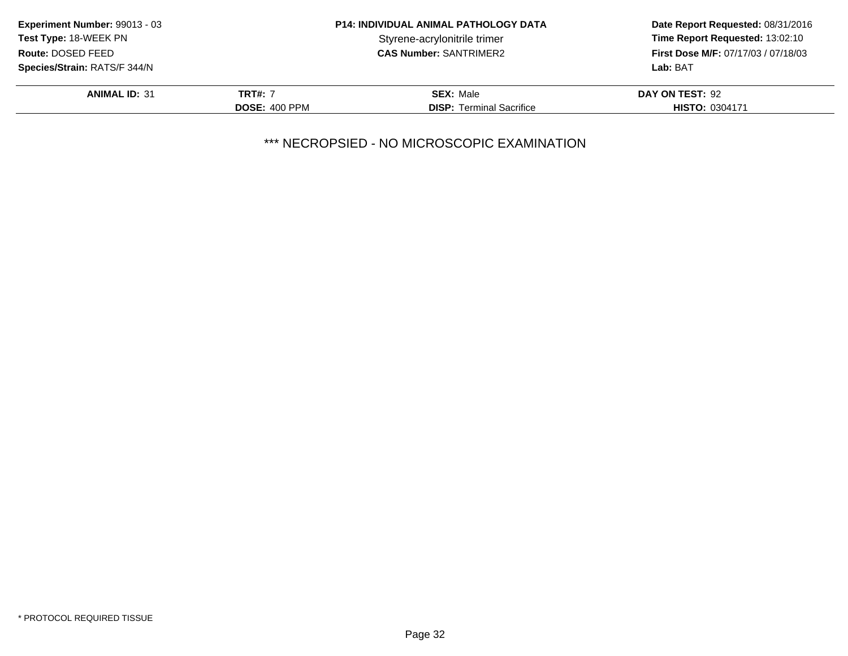| <b>Experiment Number: 99013 - 03</b> | <b>P14: INDIVIDUAL ANIMAL PATHOLOGY DATA</b> |                                 | Date Report Requested: 08/31/2016          |
|--------------------------------------|----------------------------------------------|---------------------------------|--------------------------------------------|
| <b>Test Type: 18-WEEK PN</b>         |                                              | Styrene-acrylonitrile trimer    | Time Report Requested: 13:02:10            |
| Route: DOSED FEED                    |                                              | <b>CAS Number: SANTRIMER2</b>   | <b>First Dose M/F: 07/17/03 / 07/18/03</b> |
| <b>Species/Strain: RATS/F 344/N</b>  |                                              |                                 | Lab: BAT                                   |
| <b>ANIMAL ID: 31</b>                 | <b>TRT#: 7</b>                               | <b>SEX: Male</b>                | DAY ON TEST: 92                            |
|                                      | <b>DOSE: 400 PPM</b>                         | <b>DISP:</b> Terminal Sacrifice | <b>HISTO: 0304171</b>                      |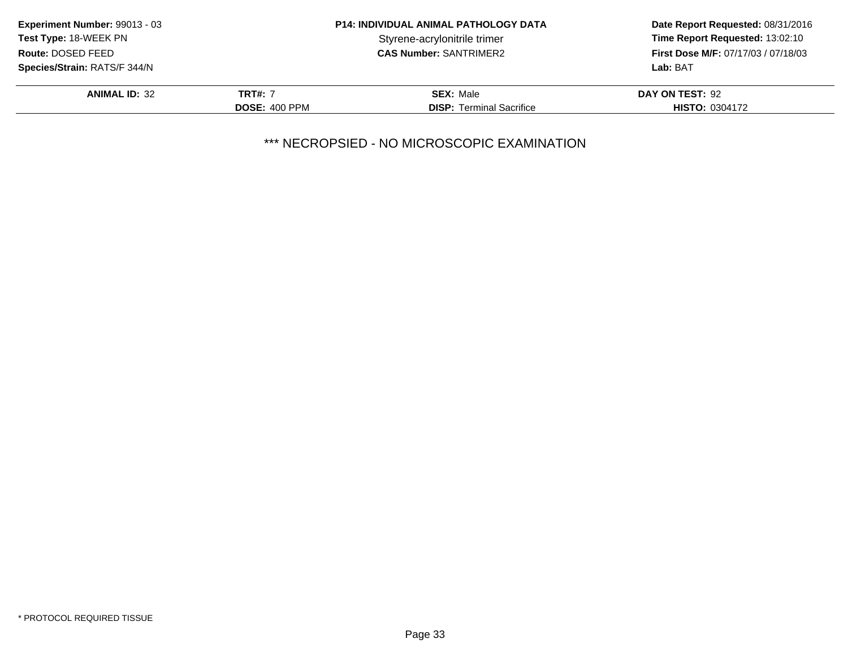| <b>Experiment Number: 99013 - 03</b> | <b>P14: INDIVIDUAL ANIMAL PATHOLOGY DATA</b> |                                 | Date Report Requested: 08/31/2016                                                         |
|--------------------------------------|----------------------------------------------|---------------------------------|-------------------------------------------------------------------------------------------|
| <b>Test Type: 18-WEEK PN</b>         |                                              | Styrene-acrylonitrile trimer    | Time Report Requested: 13:02:10<br><b>First Dose M/F: 07/17/03 / 07/18/03</b><br>Lab: BAT |
| Route: DOSED FEED                    |                                              | <b>CAS Number: SANTRIMER2</b>   |                                                                                           |
| <b>Species/Strain: RATS/F 344/N</b>  |                                              |                                 |                                                                                           |
| <b>ANIMAL ID: 32</b>                 | <b>TRT#: 7</b>                               | <b>SEX: Male</b>                | DAY ON TEST: 92                                                                           |
|                                      | <b>DOSE: 400 PPM</b>                         | <b>DISP:</b> Terminal Sacrifice | <b>HISTO: 0304172</b>                                                                     |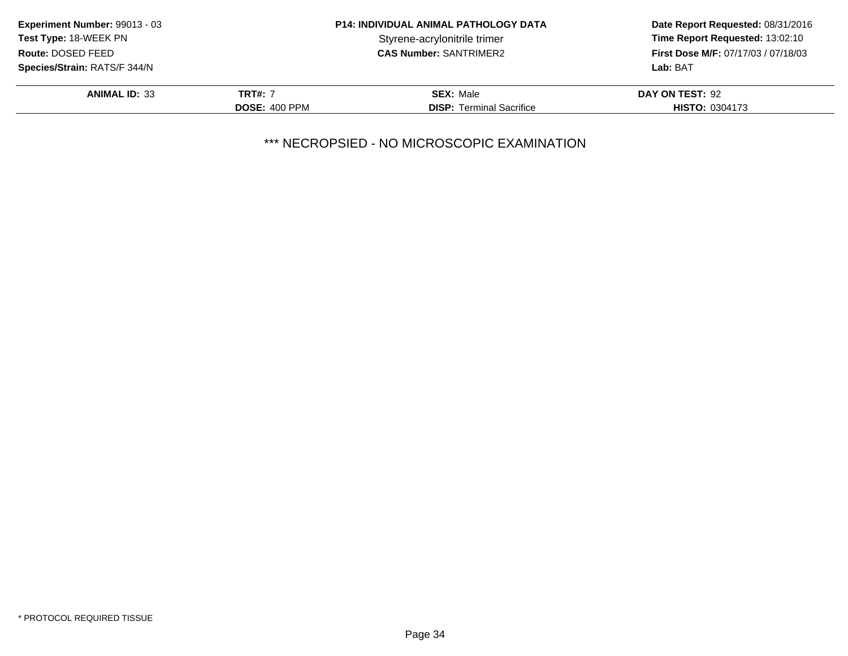| <b>Experiment Number: 99013 - 03</b> | <b>P14: INDIVIDUAL ANIMAL PATHOLOGY DATA</b> |                                 | Date Report Requested: 08/31/2016                                             |
|--------------------------------------|----------------------------------------------|---------------------------------|-------------------------------------------------------------------------------|
| <b>Test Type: 18-WEEK PN</b>         |                                              | Styrene-acrylonitrile trimer    | Time Report Requested: 13:02:10<br><b>First Dose M/F: 07/17/03 / 07/18/03</b> |
| Route: DOSED FEED                    |                                              | <b>CAS Number: SANTRIMER2</b>   |                                                                               |
| <b>Species/Strain: RATS/F 344/N</b>  |                                              |                                 | Lab: BAT                                                                      |
| <b>ANIMAL ID: 33</b>                 | <b>TRT#: 7</b>                               | <b>SEX: Male</b>                | DAY ON TEST: 92                                                               |
|                                      | <b>DOSE: 400 PPM</b>                         | <b>DISP:</b> Terminal Sacrifice | <b>HISTO: 0304173</b>                                                         |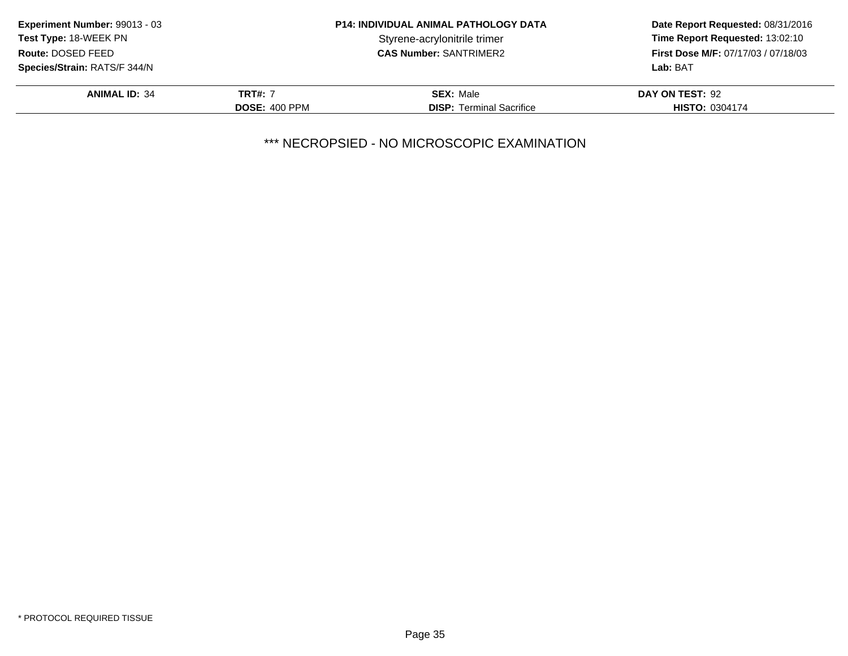| <b>Experiment Number: 99013 - 03</b> | <b>P14: INDIVIDUAL ANIMAL PATHOLOGY DATA</b> |                                 | Date Report Requested: 08/31/2016                                             |
|--------------------------------------|----------------------------------------------|---------------------------------|-------------------------------------------------------------------------------|
| <b>Test Type: 18-WEEK PN</b>         |                                              | Styrene-acrylonitrile trimer    | Time Report Requested: 13:02:10<br><b>First Dose M/F: 07/17/03 / 07/18/03</b> |
| Route: DOSED FEED                    |                                              | <b>CAS Number: SANTRIMER2</b>   |                                                                               |
| Species/Strain: RATS/F 344/N         |                                              |                                 | Lab: BAT                                                                      |
| <b>ANIMAL ID: 34</b>                 | <b>TRT#: 7</b>                               | <b>SEX: Male</b>                | DAY ON TEST: 92                                                               |
|                                      | <b>DOSE: 400 PPM</b>                         | <b>DISP:</b> Terminal Sacrifice | <b>HISTO: 0304174</b>                                                         |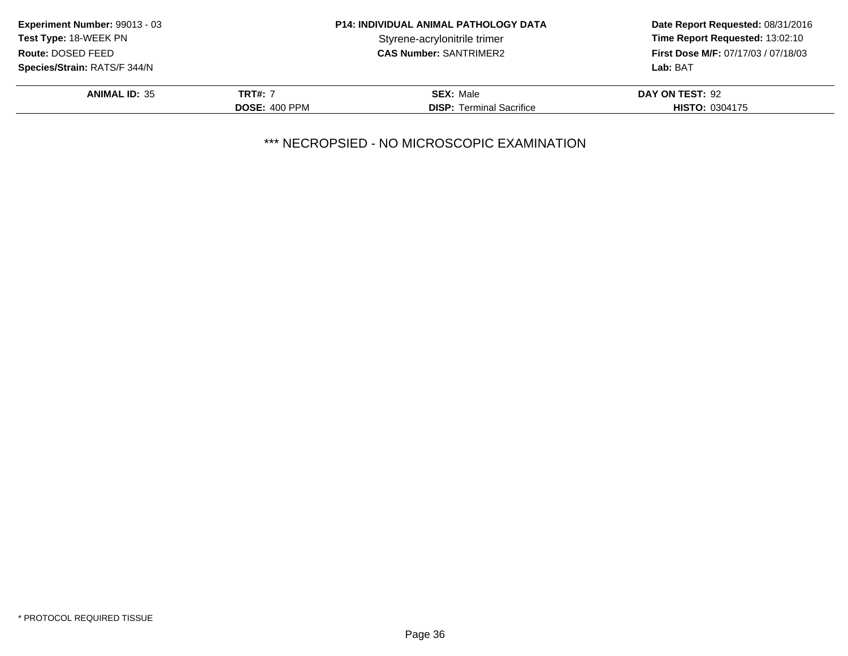| <b>Experiment Number: 99013 - 03</b> | <b>P14: INDIVIDUAL ANIMAL PATHOLOGY DATA</b> |                                 | Date Report Requested: 08/31/2016                                             |
|--------------------------------------|----------------------------------------------|---------------------------------|-------------------------------------------------------------------------------|
| <b>Test Type: 18-WEEK PN</b>         |                                              | Styrene-acrylonitrile trimer    | Time Report Requested: 13:02:10<br><b>First Dose M/F: 07/17/03 / 07/18/03</b> |
| Route: DOSED FEED                    |                                              | <b>CAS Number: SANTRIMER2</b>   |                                                                               |
| <b>Species/Strain: RATS/F 344/N</b>  |                                              |                                 | Lab: BAT                                                                      |
| <b>ANIMAL ID: 35</b>                 | <b>TRT#: 7</b>                               | <b>SEX: Male</b>                | DAY ON TEST: 92                                                               |
|                                      | <b>DOSE: 400 PPM</b>                         | <b>DISP:</b> Terminal Sacrifice | <b>HISTO: 0304175</b>                                                         |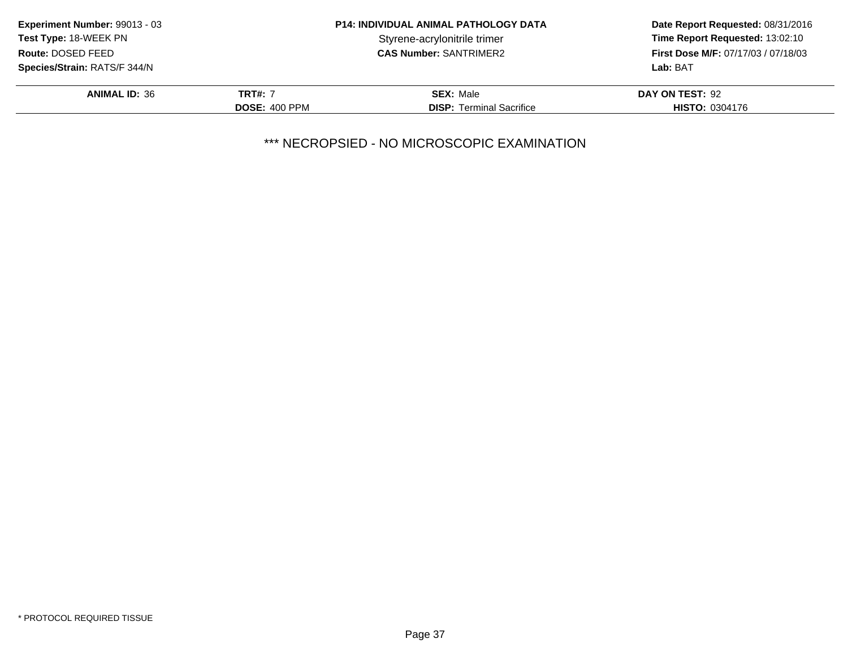| <b>Experiment Number: 99013 - 03</b> | <b>P14: INDIVIDUAL ANIMAL PATHOLOGY DATA</b> |                                 | Date Report Requested: 08/31/2016          |
|--------------------------------------|----------------------------------------------|---------------------------------|--------------------------------------------|
| <b>Test Type: 18-WEEK PN</b>         |                                              | Styrene-acrylonitrile trimer    | Time Report Requested: 13:02:10            |
| Route: DOSED FEED                    |                                              | <b>CAS Number: SANTRIMER2</b>   | <b>First Dose M/F: 07/17/03 / 07/18/03</b> |
| <b>Species/Strain: RATS/F 344/N</b>  |                                              |                                 | Lab: BAT                                   |
| <b>ANIMAL ID: 36</b>                 | <b>TRT#: 7</b>                               | <b>SEX: Male</b>                | DAY ON TEST: 92                            |
|                                      | <b>DOSE: 400 PPM</b>                         | <b>DISP:</b> Terminal Sacrifice | <b>HISTO: 0304176</b>                      |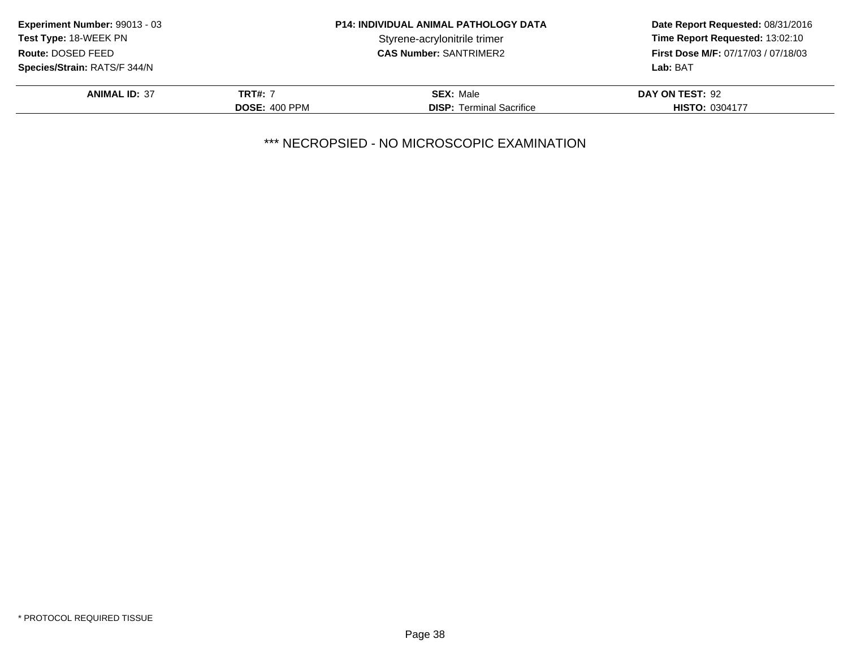| <b>Experiment Number: 99013 - 03</b> | <b>P14: INDIVIDUAL ANIMAL PATHOLOGY DATA</b> |                                 | Date Report Requested: 08/31/2016          |
|--------------------------------------|----------------------------------------------|---------------------------------|--------------------------------------------|
| <b>Test Type: 18-WEEK PN</b>         |                                              | Styrene-acrylonitrile trimer    | Time Report Requested: 13:02:10            |
| Route: DOSED FEED                    |                                              | <b>CAS Number: SANTRIMER2</b>   | <b>First Dose M/F: 07/17/03 / 07/18/03</b> |
| <b>Species/Strain: RATS/F 344/N</b>  |                                              |                                 | Lab: BAT                                   |
| <b>ANIMAL ID: 37</b>                 | <b>TRT#: 7</b>                               | <b>SEX: Male</b>                | DAY ON TEST: 92                            |
|                                      | <b>DOSE: 400 PPM</b>                         | <b>DISP:</b> Terminal Sacrifice | <b>HISTO: 0304177</b>                      |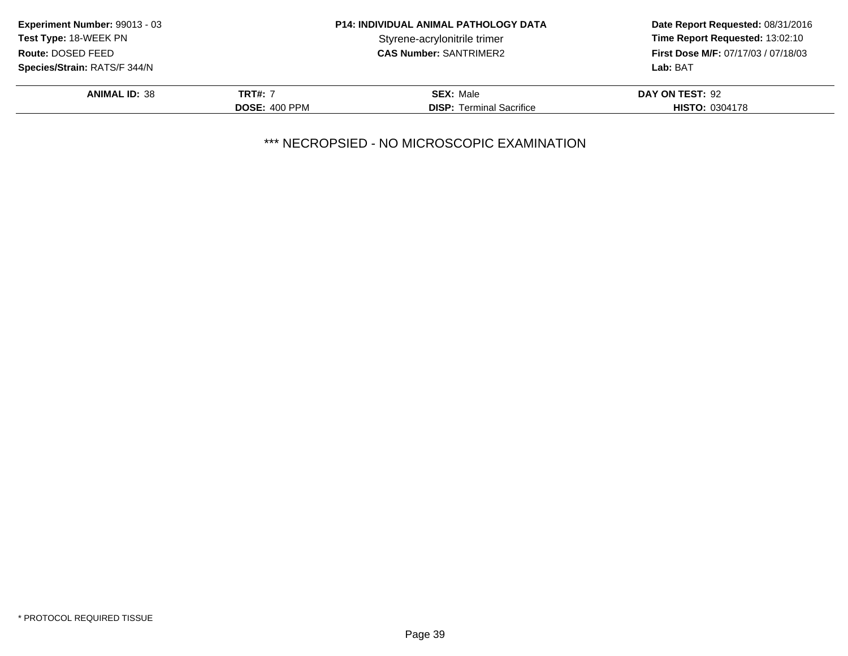| <b>Experiment Number: 99013 - 03</b> | <b>P14: INDIVIDUAL ANIMAL PATHOLOGY DATA</b> |                                 | Date Report Requested: 08/31/2016          |
|--------------------------------------|----------------------------------------------|---------------------------------|--------------------------------------------|
| <b>Test Type: 18-WEEK PN</b>         |                                              | Styrene-acrylonitrile trimer    | Time Report Requested: 13:02:10            |
| Route: DOSED FEED                    |                                              | <b>CAS Number: SANTRIMER2</b>   | <b>First Dose M/F: 07/17/03 / 07/18/03</b> |
| <b>Species/Strain: RATS/F 344/N</b>  |                                              |                                 | Lab: BAT                                   |
| <b>ANIMAL ID: 38</b>                 | <b>TRT#: 7</b>                               | <b>SEX: Male</b>                | DAY ON TEST: 92                            |
|                                      | <b>DOSE: 400 PPM</b>                         | <b>DISP:</b> Terminal Sacrifice | <b>HISTO: 0304178</b>                      |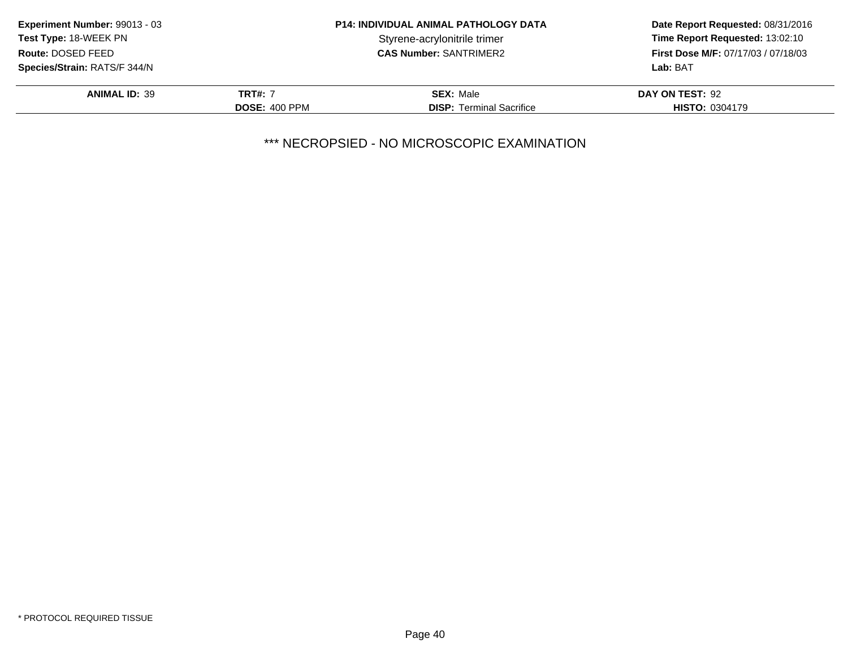| <b>Experiment Number: 99013 - 03</b> | <b>P14: INDIVIDUAL ANIMAL PATHOLOGY DATA</b> |                                 | Date Report Requested: 08/31/2016          |
|--------------------------------------|----------------------------------------------|---------------------------------|--------------------------------------------|
| <b>Test Type: 18-WEEK PN</b>         |                                              | Styrene-acrylonitrile trimer    | Time Report Requested: 13:02:10            |
| Route: DOSED FEED                    |                                              | <b>CAS Number: SANTRIMER2</b>   | <b>First Dose M/F: 07/17/03 / 07/18/03</b> |
| <b>Species/Strain: RATS/F 344/N</b>  |                                              |                                 | Lab: BAT                                   |
| <b>ANIMAL ID: 39</b>                 | <b>TRT#: 7</b>                               | <b>SEX: Male</b>                | DAY ON TEST: 92                            |
|                                      | <b>DOSE: 400 PPM</b>                         | <b>DISP:</b> Terminal Sacrifice | <b>HISTO: 0304179</b>                      |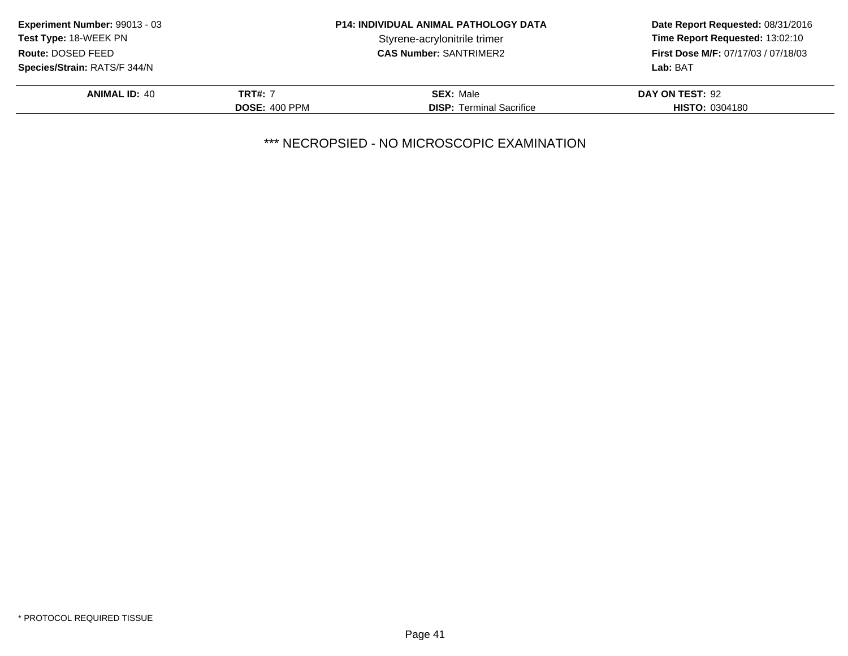| <b>Experiment Number: 99013 - 03</b> | <b>P14: INDIVIDUAL ANIMAL PATHOLOGY DATA</b> |                                 | Date Report Requested: 08/31/2016          |
|--------------------------------------|----------------------------------------------|---------------------------------|--------------------------------------------|
| <b>Test Type: 18-WEEK PN</b>         |                                              | Styrene-acrylonitrile trimer    | Time Report Requested: 13:02:10            |
| Route: DOSED FEED                    |                                              | <b>CAS Number: SANTRIMER2</b>   | <b>First Dose M/F: 07/17/03 / 07/18/03</b> |
| <b>Species/Strain: RATS/F 344/N</b>  |                                              |                                 | Lab: BAT                                   |
| <b>ANIMAL ID: 40</b>                 | TRT#: 7                                      | <b>SEX: Male</b>                | DAY ON TEST: 92                            |
|                                      | <b>DOSE: 400 PPM</b>                         | <b>DISP:</b> Terminal Sacrifice | <b>HISTO: 0304180</b>                      |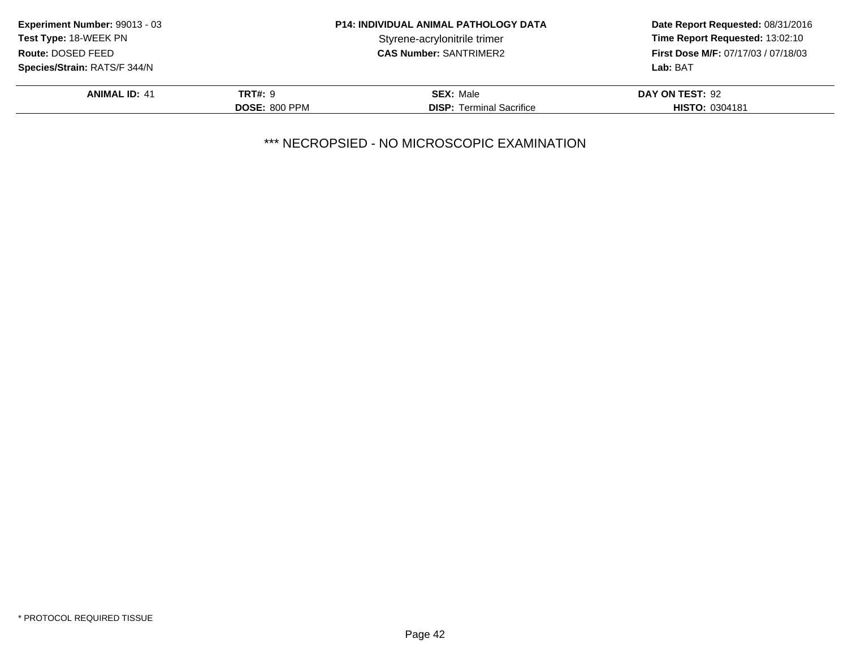| Experiment Number: 99013 - 03       | <b>P14: INDIVIDUAL ANIMAL PATHOLOGY DATA</b> |                                 | Date Report Requested: 08/31/2016   |
|-------------------------------------|----------------------------------------------|---------------------------------|-------------------------------------|
| <b>Test Type: 18-WEEK PN</b>        |                                              | Styrene-acrylonitrile trimer    | Time Report Requested: 13:02:10     |
| Route: DOSED FEED                   |                                              | <b>CAS Number: SANTRIMER2</b>   | First Dose M/F: 07/17/03 / 07/18/03 |
| <b>Species/Strain: RATS/F 344/N</b> |                                              |                                 | Lab: BAT                            |
| <b>ANIMAL ID: 41</b>                | <b>TRT#: 9</b>                               | <b>SEX: Male</b>                | DAY ON TEST: 92                     |
|                                     | <b>DOSE: 800 PPM</b>                         | <b>DISP:</b> Terminal Sacrifice | <b>HISTO: 0304181</b>               |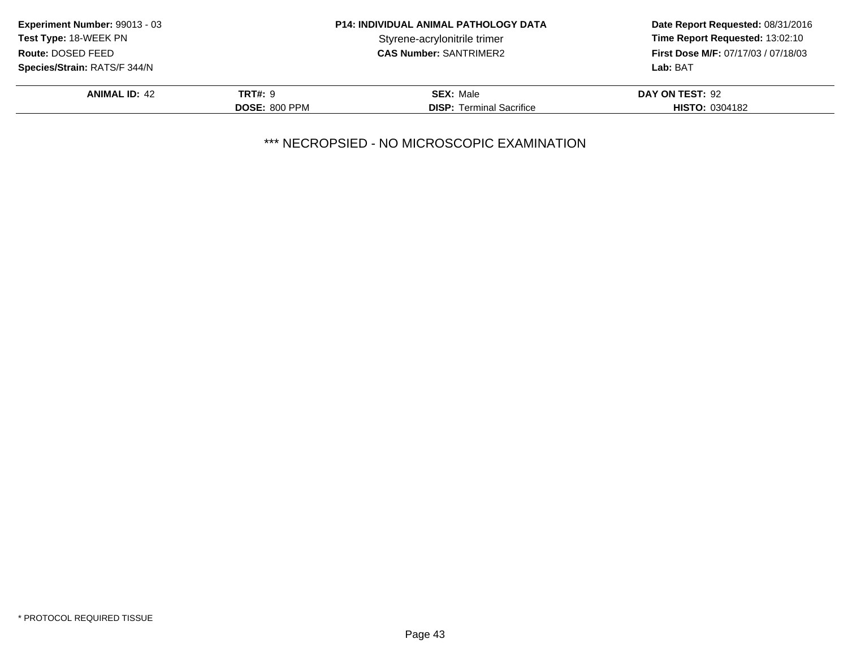| Experiment Number: 99013 - 03       | <b>P14: INDIVIDUAL ANIMAL PATHOLOGY DATA</b> |                                 | Date Report Requested: 08/31/2016          |
|-------------------------------------|----------------------------------------------|---------------------------------|--------------------------------------------|
| Test Type: 18-WEEK PN               |                                              | Styrene-acrylonitrile trimer    | Time Report Requested: 13:02:10            |
| Route: DOSED FEED                   |                                              | <b>CAS Number: SANTRIMER2</b>   | <b>First Dose M/F: 07/17/03 / 07/18/03</b> |
| <b>Species/Strain: RATS/F 344/N</b> |                                              |                                 | Lab: BAT                                   |
| <b>ANIMAL ID: 42</b>                | <b>TRT#: 9</b>                               | <b>SEX: Male</b>                | DAY ON TEST: 92                            |
|                                     | <b>DOSE: 800 PPM</b>                         | <b>DISP:</b> Terminal Sacrifice | <b>HISTO: 0304182</b>                      |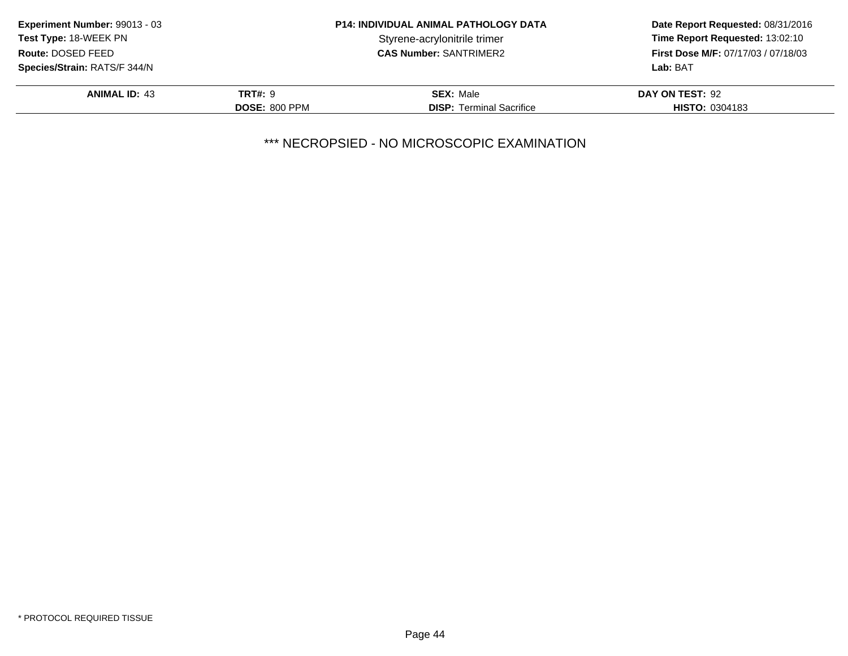| Experiment Number: 99013 - 03       | <b>P14: INDIVIDUAL ANIMAL PATHOLOGY DATA</b> |                                 | Date Report Requested: 08/31/2016          |
|-------------------------------------|----------------------------------------------|---------------------------------|--------------------------------------------|
| Test Type: 18-WEEK PN               |                                              | Styrene-acrylonitrile trimer    | Time Report Requested: 13:02:10            |
| Route: DOSED FEED                   |                                              | <b>CAS Number: SANTRIMER2</b>   | <b>First Dose M/F: 07/17/03 / 07/18/03</b> |
| <b>Species/Strain: RATS/F 344/N</b> |                                              |                                 | Lab: BAT                                   |
| <b>ANIMAL ID: 43</b>                | <b>TRT#: 9</b>                               | <b>SEX: Male</b>                | DAY ON TEST: 92                            |
|                                     | <b>DOSE: 800 PPM</b>                         | <b>DISP:</b> Terminal Sacrifice | <b>HISTO: 0304183</b>                      |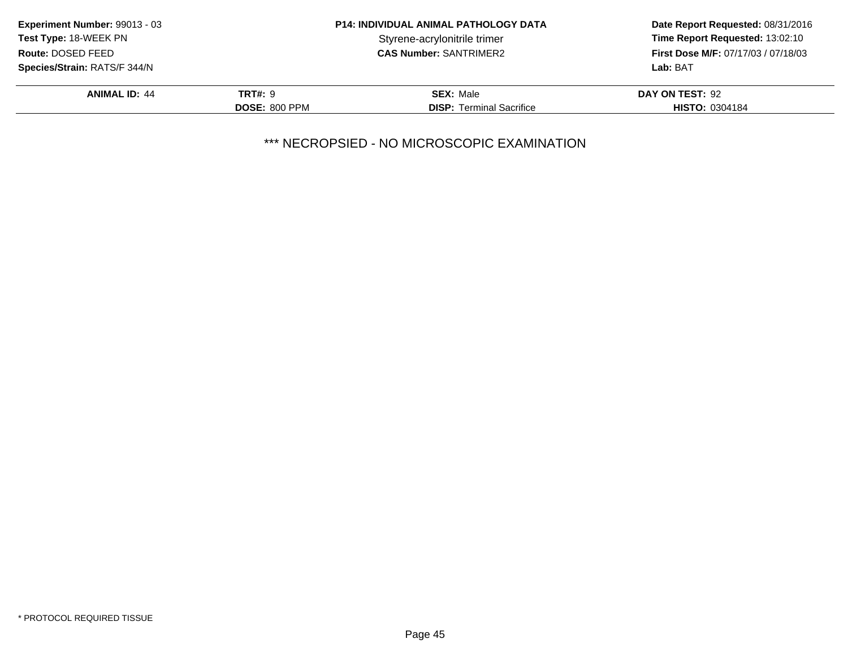| Experiment Number: 99013 - 03       | <b>P14: INDIVIDUAL ANIMAL PATHOLOGY DATA</b> |                                 | Date Report Requested: 08/31/2016          |
|-------------------------------------|----------------------------------------------|---------------------------------|--------------------------------------------|
| Test Type: 18-WEEK PN               |                                              | Styrene-acrylonitrile trimer    | Time Report Requested: 13:02:10            |
| Route: DOSED FEED                   |                                              | <b>CAS Number: SANTRIMER2</b>   | <b>First Dose M/F: 07/17/03 / 07/18/03</b> |
| <b>Species/Strain: RATS/F 344/N</b> |                                              |                                 | Lab: BAT                                   |
| <b>ANIMAL ID: 44</b>                | <b>TRT#: 9</b>                               | <b>SEX: Male</b>                | DAY ON TEST: 92                            |
|                                     | <b>DOSE: 800 PPM</b>                         | <b>DISP:</b> Terminal Sacrifice | <b>HISTO: 0304184</b>                      |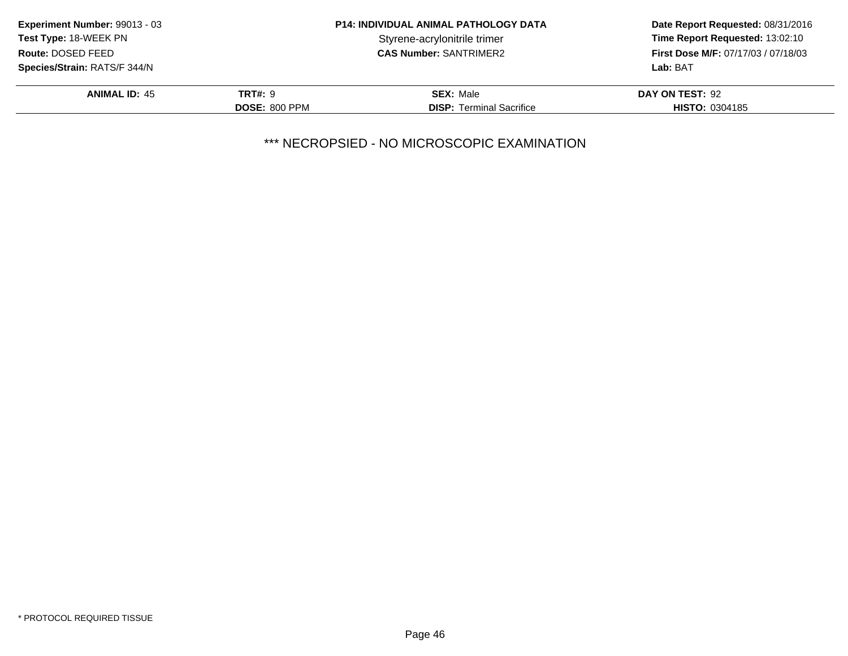| Experiment Number: 99013 - 03       | <b>P14: INDIVIDUAL ANIMAL PATHOLOGY DATA</b> |                                 | Date Report Requested: 08/31/2016          |
|-------------------------------------|----------------------------------------------|---------------------------------|--------------------------------------------|
| Test Type: 18-WEEK PN               |                                              | Styrene-acrylonitrile trimer    | Time Report Requested: 13:02:10            |
| Route: DOSED FEED                   |                                              | <b>CAS Number: SANTRIMER2</b>   | <b>First Dose M/F: 07/17/03 / 07/18/03</b> |
| <b>Species/Strain: RATS/F 344/N</b> |                                              |                                 | Lab: BAT                                   |
| <b>ANIMAL ID: 45</b>                | <b>TRT#: 9</b>                               | <b>SEX: Male</b>                | DAY ON TEST: 92                            |
|                                     | <b>DOSE: 800 PPM</b>                         | <b>DISP:</b> Terminal Sacrifice | <b>HISTO: 0304185</b>                      |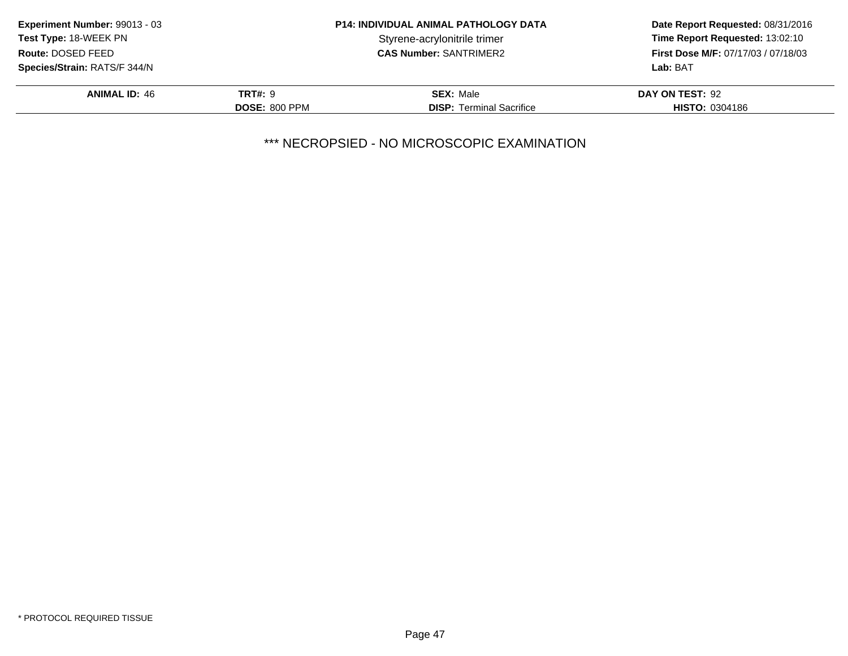| Experiment Number: 99013 - 03       | <b>P14: INDIVIDUAL ANIMAL PATHOLOGY DATA</b> |                                 | Date Report Requested: 08/31/2016          |
|-------------------------------------|----------------------------------------------|---------------------------------|--------------------------------------------|
| Test Type: 18-WEEK PN               |                                              | Styrene-acrylonitrile trimer    | Time Report Requested: 13:02:10            |
| Route: DOSED FEED                   |                                              | <b>CAS Number: SANTRIMER2</b>   | <b>First Dose M/F: 07/17/03 / 07/18/03</b> |
| <b>Species/Strain: RATS/F 344/N</b> |                                              |                                 | Lab: BAT                                   |
| <b>ANIMAL ID: 46</b>                | <b>TRT#: 9</b>                               | <b>SEX: Male</b>                | DAY ON TEST: 92                            |
|                                     | <b>DOSE: 800 PPM</b>                         | <b>DISP:</b> Terminal Sacrifice | <b>HISTO: 0304186</b>                      |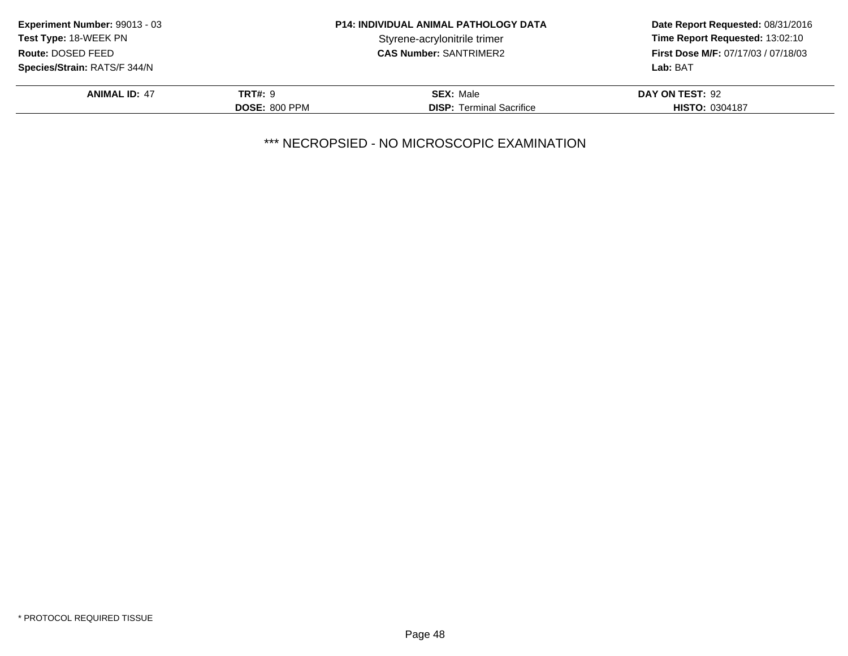| <b>Experiment Number: 99013 - 03</b> | <b>P14: INDIVIDUAL ANIMAL PATHOLOGY DATA</b> |                                 | Date Report Requested: 08/31/2016          |
|--------------------------------------|----------------------------------------------|---------------------------------|--------------------------------------------|
| <b>Test Type: 18-WEEK PN</b>         |                                              | Styrene-acrylonitrile trimer    | Time Report Requested: 13:02:10            |
| Route: DOSED FEED                    |                                              | <b>CAS Number: SANTRIMER2</b>   | <b>First Dose M/F: 07/17/03 / 07/18/03</b> |
| <b>Species/Strain: RATS/F 344/N</b>  |                                              |                                 | Lab: BAT                                   |
| <b>ANIMAL ID: 47</b>                 | <b>TRT#: 9</b>                               | <b>SEX: Male</b>                | DAY ON TEST: 92                            |
|                                      | <b>DOSE: 800 PPM</b>                         | <b>DISP:</b> Terminal Sacrifice | <b>HISTO: 0304187</b>                      |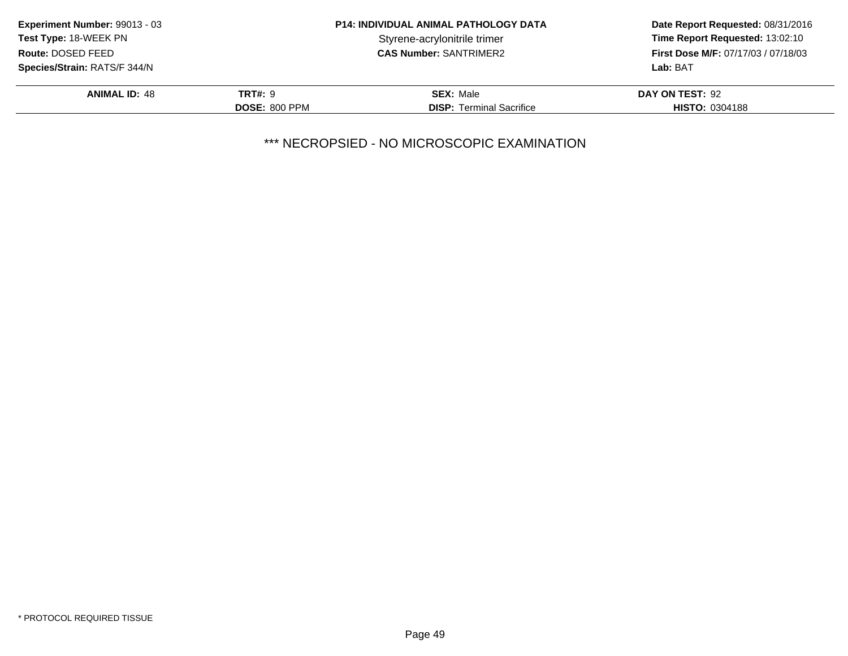| Experiment Number: 99013 - 03       |                      | <b>P14: INDIVIDUAL ANIMAL PATHOLOGY DATA</b> | Date Report Requested: 08/31/2016   |
|-------------------------------------|----------------------|----------------------------------------------|-------------------------------------|
| Test Type: 18-WEEK PN               |                      | Styrene-acrylonitrile trimer                 | Time Report Requested: 13:02:10     |
| Route: DOSED FEED                   |                      | <b>CAS Number: SANTRIMER2</b>                | First Dose M/F: 07/17/03 / 07/18/03 |
| <b>Species/Strain: RATS/F 344/N</b> |                      |                                              | Lab: BAT                            |
| <b>ANIMAL ID: 48</b>                | <b>TRT#: 9</b>       | <b>SEX: Male</b>                             | DAY ON TEST: 92                     |
|                                     | <b>DOSE: 800 PPM</b> | <b>DISP:</b> Terminal Sacrifice              | <b>HISTO: 0304188</b>               |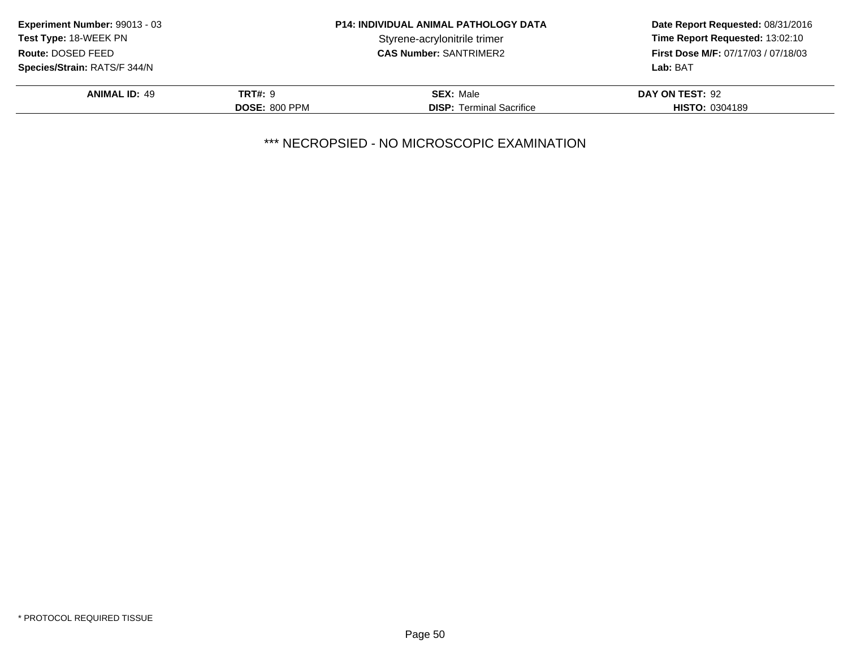| <b>Experiment Number: 99013 - 03</b> |                      | <b>P14: INDIVIDUAL ANIMAL PATHOLOGY DATA</b> | Date Report Requested: 08/31/2016   |
|--------------------------------------|----------------------|----------------------------------------------|-------------------------------------|
| <b>Test Type: 18-WEEK PN</b>         |                      | Styrene-acrylonitrile trimer                 | Time Report Requested: 13:02:10     |
| Route: DOSED FEED                    |                      | <b>CAS Number: SANTRIMER2</b>                | First Dose M/F: 07/17/03 / 07/18/03 |
| <b>Species/Strain: RATS/F 344/N</b>  |                      |                                              | Lab: BAT                            |
| <b>ANIMAL ID: 49</b>                 | <b>TRT#: 9</b>       | <b>SEX: Male</b>                             | DAY ON TEST: 92                     |
|                                      | <b>DOSE: 800 PPM</b> | <b>DISP:</b> Terminal Sacrifice              | <b>HISTO: 0304189</b>               |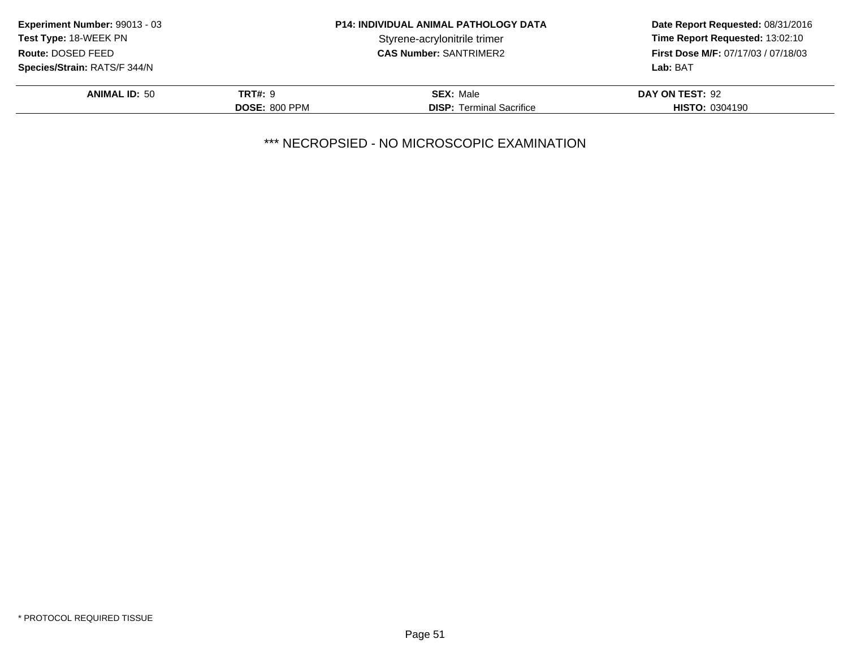| Experiment Number: 99013 - 03       |                      | <b>P14: INDIVIDUAL ANIMAL PATHOLOGY DATA</b> | Date Report Requested: 08/31/2016          |
|-------------------------------------|----------------------|----------------------------------------------|--------------------------------------------|
| Test Type: 18-WEEK PN               |                      | Styrene-acrylonitrile trimer                 | Time Report Requested: 13:02:10            |
| Route: DOSED FEED                   |                      | <b>CAS Number: SANTRIMER2</b>                | <b>First Dose M/F: 07/17/03 / 07/18/03</b> |
| <b>Species/Strain: RATS/F 344/N</b> |                      |                                              | Lab: BAT                                   |
| <b>ANIMAL ID: 50</b>                | <b>TRT#: 9</b>       | <b>SEX: Male</b>                             | DAY ON TEST: 92                            |
|                                     | <b>DOSE: 800 PPM</b> | <b>DISP:</b> Terminal Sacrifice              | <b>HISTO: 0304190</b>                      |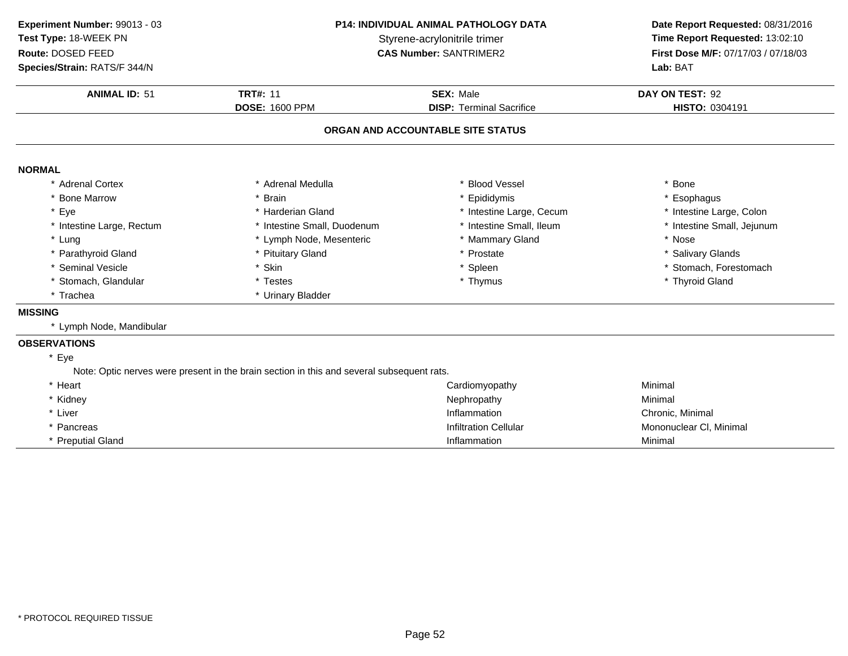| Experiment Number: 99013 - 03<br>Test Type: 18-WEEK PN<br>Route: DOSED FEED<br>Species/Strain: RATS/F 344/N | P14: INDIVIDUAL ANIMAL PATHOLOGY DATA<br>Styrene-acrylonitrile trimer<br><b>CAS Number: SANTRIMER2</b> |                                              | Date Report Requested: 08/31/2016<br>Time Report Requested: 13:02:10<br>First Dose M/F: 07/17/03 / 07/18/03<br>Lab: BAT |
|-------------------------------------------------------------------------------------------------------------|--------------------------------------------------------------------------------------------------------|----------------------------------------------|-------------------------------------------------------------------------------------------------------------------------|
| <b>ANIMAL ID: 51</b>                                                                                        | <b>TRT#: 11</b><br><b>DOSE: 1600 PPM</b>                                                               | SEX: Male<br><b>DISP: Terminal Sacrifice</b> | DAY ON TEST: 92<br>HISTO: 0304191                                                                                       |
|                                                                                                             |                                                                                                        | ORGAN AND ACCOUNTABLE SITE STATUS            |                                                                                                                         |
| <b>NORMAL</b>                                                                                               |                                                                                                        |                                              |                                                                                                                         |
| * Adrenal Cortex                                                                                            | * Adrenal Medulla                                                                                      | * Blood Vessel                               | * Bone                                                                                                                  |
| * Bone Marrow                                                                                               | * Brain                                                                                                | * Epididymis                                 | * Esophagus                                                                                                             |
| * Eye                                                                                                       | * Harderian Gland                                                                                      | * Intestine Large, Cecum                     | * Intestine Large, Colon                                                                                                |
| * Intestine Large, Rectum                                                                                   | * Intestine Small, Duodenum                                                                            | * Intestine Small, Ileum                     | * Intestine Small, Jejunum                                                                                              |
| * Lung                                                                                                      | * Lymph Node, Mesenteric                                                                               | * Mammary Gland                              | * Nose                                                                                                                  |
| * Parathyroid Gland                                                                                         | * Pituitary Gland                                                                                      | * Prostate                                   | * Salivary Glands                                                                                                       |
| * Seminal Vesicle                                                                                           | * Skin                                                                                                 | * Spleen                                     | * Stomach, Forestomach                                                                                                  |
| * Stomach, Glandular                                                                                        | * Testes                                                                                               | * Thymus                                     | * Thyroid Gland                                                                                                         |
| * Trachea                                                                                                   | * Urinary Bladder                                                                                      |                                              |                                                                                                                         |
| <b>MISSING</b>                                                                                              |                                                                                                        |                                              |                                                                                                                         |
| * Lymph Node, Mandibular                                                                                    |                                                                                                        |                                              |                                                                                                                         |
| <b>OBSERVATIONS</b>                                                                                         |                                                                                                        |                                              |                                                                                                                         |
| * Eye                                                                                                       |                                                                                                        |                                              |                                                                                                                         |
|                                                                                                             | Note: Optic nerves were present in the brain section in this and several subsequent rats.              |                                              |                                                                                                                         |
| * Heart                                                                                                     |                                                                                                        | Cardiomyopathy                               | Minimal                                                                                                                 |
| * Kidney                                                                                                    |                                                                                                        | Nephropathy                                  | Minimal                                                                                                                 |
| * Liver                                                                                                     |                                                                                                        | Inflammation                                 | Chronic, Minimal                                                                                                        |
| * Pancreas                                                                                                  |                                                                                                        | <b>Infiltration Cellular</b>                 | Mononuclear CI, Minimal                                                                                                 |
| <b>Preputial Gland</b>                                                                                      |                                                                                                        | Inflammation                                 | Minimal                                                                                                                 |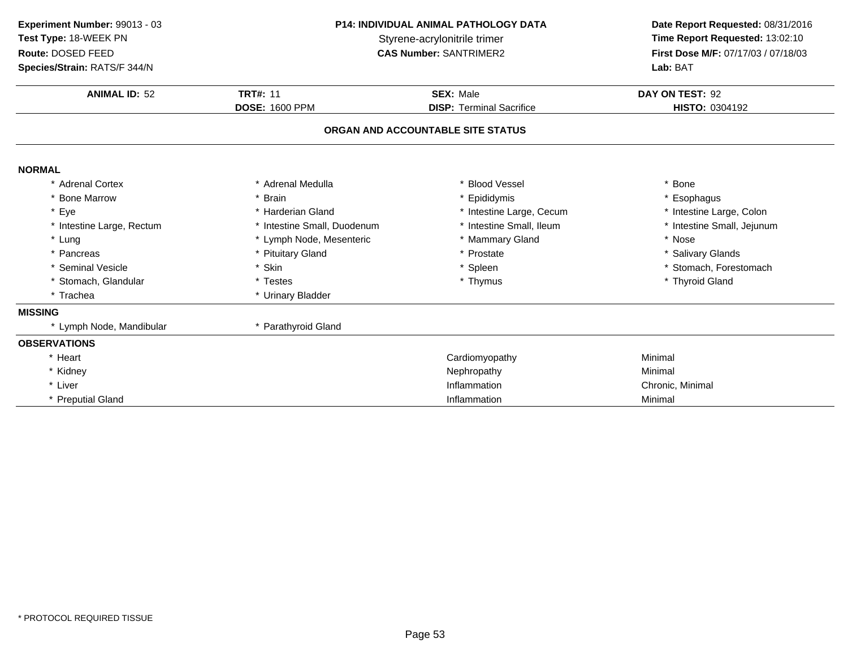| Experiment Number: 99013 - 03<br>Test Type: 18-WEEK PN<br>Route: DOSED FEED<br>Species/Strain: RATS/F 344/N | <b>P14: INDIVIDUAL ANIMAL PATHOLOGY DATA</b><br>Styrene-acrylonitrile trimer<br><b>CAS Number: SANTRIMER2</b> |                                   | Date Report Requested: 08/31/2016<br>Time Report Requested: 13:02:10<br>First Dose M/F: 07/17/03 / 07/18/03<br>Lab: BAT |
|-------------------------------------------------------------------------------------------------------------|---------------------------------------------------------------------------------------------------------------|-----------------------------------|-------------------------------------------------------------------------------------------------------------------------|
| <b>ANIMAL ID: 52</b>                                                                                        | <b>TRT#: 11</b><br><b>SEX: Male</b><br><b>DOSE: 1600 PPM</b><br><b>DISP: Terminal Sacrifice</b>               |                                   | DAY ON TEST: 92<br><b>HISTO: 0304192</b>                                                                                |
|                                                                                                             |                                                                                                               | ORGAN AND ACCOUNTABLE SITE STATUS |                                                                                                                         |
| <b>NORMAL</b>                                                                                               |                                                                                                               |                                   |                                                                                                                         |
| * Adrenal Cortex                                                                                            | * Adrenal Medulla                                                                                             | * Blood Vessel                    | * Bone                                                                                                                  |
| * Bone Marrow                                                                                               | * Brain                                                                                                       | * Epididymis                      | * Esophagus                                                                                                             |
| * Eye                                                                                                       | * Harderian Gland                                                                                             | * Intestine Large, Cecum          | * Intestine Large, Colon                                                                                                |
| * Intestine Large, Rectum                                                                                   | * Intestine Small, Duodenum                                                                                   | * Intestine Small, Ileum          | * Intestine Small, Jejunum                                                                                              |
| * Lung                                                                                                      | * Lymph Node, Mesenteric                                                                                      | * Mammary Gland                   | * Nose                                                                                                                  |
| * Pancreas                                                                                                  | * Pituitary Gland                                                                                             | * Prostate                        | * Salivary Glands                                                                                                       |
| * Seminal Vesicle                                                                                           | * Skin                                                                                                        | * Spleen                          | * Stomach, Forestomach                                                                                                  |
| * Stomach, Glandular                                                                                        | * Testes                                                                                                      | * Thymus                          | * Thyroid Gland                                                                                                         |
| * Trachea                                                                                                   | * Urinary Bladder                                                                                             |                                   |                                                                                                                         |
| <b>MISSING</b>                                                                                              |                                                                                                               |                                   |                                                                                                                         |
| * Lymph Node, Mandibular                                                                                    | * Parathyroid Gland                                                                                           |                                   |                                                                                                                         |
| <b>OBSERVATIONS</b>                                                                                         |                                                                                                               |                                   |                                                                                                                         |
| * Heart                                                                                                     |                                                                                                               | Cardiomyopathy                    | Minimal                                                                                                                 |
| * Kidney                                                                                                    |                                                                                                               | Nephropathy                       | Minimal                                                                                                                 |
| * Liver                                                                                                     |                                                                                                               | Inflammation                      | Chronic, Minimal                                                                                                        |
| * Preputial Gland                                                                                           |                                                                                                               | Inflammation                      | Minimal                                                                                                                 |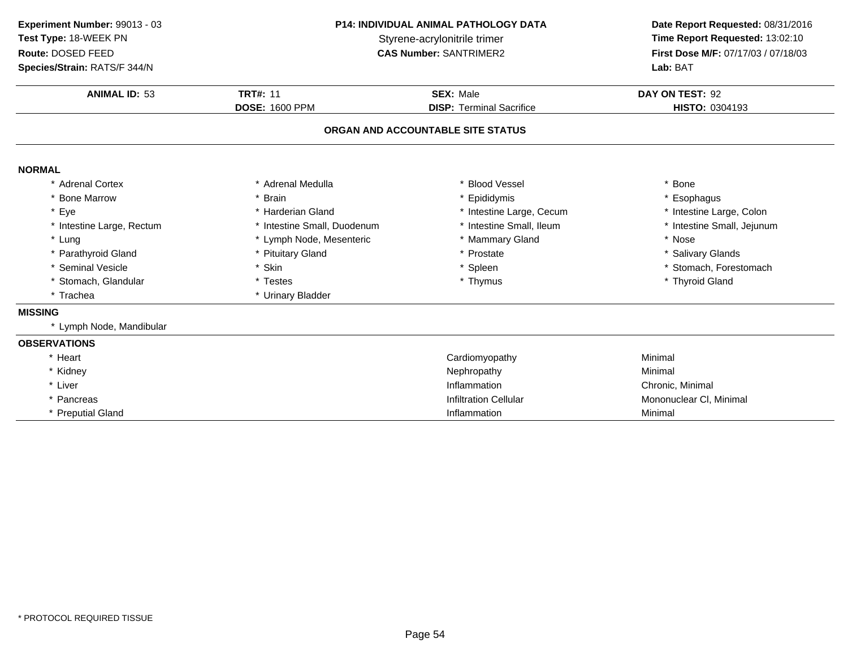| Experiment Number: 99013 - 03              | <b>P14: INDIVIDUAL ANIMAL PATHOLOGY DATA</b> |                                                               | Date Report Requested: 08/31/2016                                      |
|--------------------------------------------|----------------------------------------------|---------------------------------------------------------------|------------------------------------------------------------------------|
| Test Type: 18-WEEK PN<br>Route: DOSED FEED |                                              | Styrene-acrylonitrile trimer<br><b>CAS Number: SANTRIMER2</b> | Time Report Requested: 13:02:10<br>First Dose M/F: 07/17/03 / 07/18/03 |
| Species/Strain: RATS/F 344/N               |                                              |                                                               | Lab: BAT                                                               |
| <b>ANIMAL ID: 53</b>                       | <b>TRT#: 11</b>                              | <b>SEX: Male</b>                                              | DAY ON TEST: 92                                                        |
|                                            | <b>DOSE: 1600 PPM</b>                        | <b>DISP:</b> Terminal Sacrifice                               | <b>HISTO: 0304193</b>                                                  |
|                                            |                                              | ORGAN AND ACCOUNTABLE SITE STATUS                             |                                                                        |
| <b>NORMAL</b>                              |                                              |                                                               |                                                                        |
| * Adrenal Cortex                           | * Adrenal Medulla                            | <b>Blood Vessel</b>                                           | * Bone                                                                 |
| * Bone Marrow                              | * Brain                                      | * Epididymis                                                  | * Esophagus                                                            |
| * Eye                                      | * Harderian Gland                            | * Intestine Large, Cecum                                      | * Intestine Large, Colon                                               |
| * Intestine Large, Rectum                  | * Intestine Small, Duodenum                  | * Intestine Small, Ileum                                      | * Intestine Small, Jejunum                                             |
| * Lung                                     | * Lymph Node, Mesenteric                     | * Mammary Gland                                               | * Nose                                                                 |
| * Parathyroid Gland                        | * Pituitary Gland                            | Prostate                                                      | * Salivary Glands                                                      |
| * Seminal Vesicle                          | * Skin                                       | * Spleen                                                      | * Stomach, Forestomach                                                 |
| * Stomach, Glandular                       | * Testes                                     | * Thymus                                                      | * Thyroid Gland                                                        |
| * Trachea                                  | * Urinary Bladder                            |                                                               |                                                                        |
| <b>MISSING</b>                             |                                              |                                                               |                                                                        |
| * Lymph Node, Mandibular                   |                                              |                                                               |                                                                        |
| <b>OBSERVATIONS</b>                        |                                              |                                                               |                                                                        |
| * Heart                                    |                                              | Cardiomyopathy                                                | Minimal                                                                |
| * Kidney                                   |                                              | Nephropathy                                                   | Minimal                                                                |
| * Liver                                    |                                              | Inflammation                                                  | Chronic, Minimal                                                       |
| * Pancreas                                 |                                              | <b>Infiltration Cellular</b>                                  | Mononuclear CI, Minimal                                                |
| * Preputial Gland                          |                                              | Inflammation                                                  | Minimal                                                                |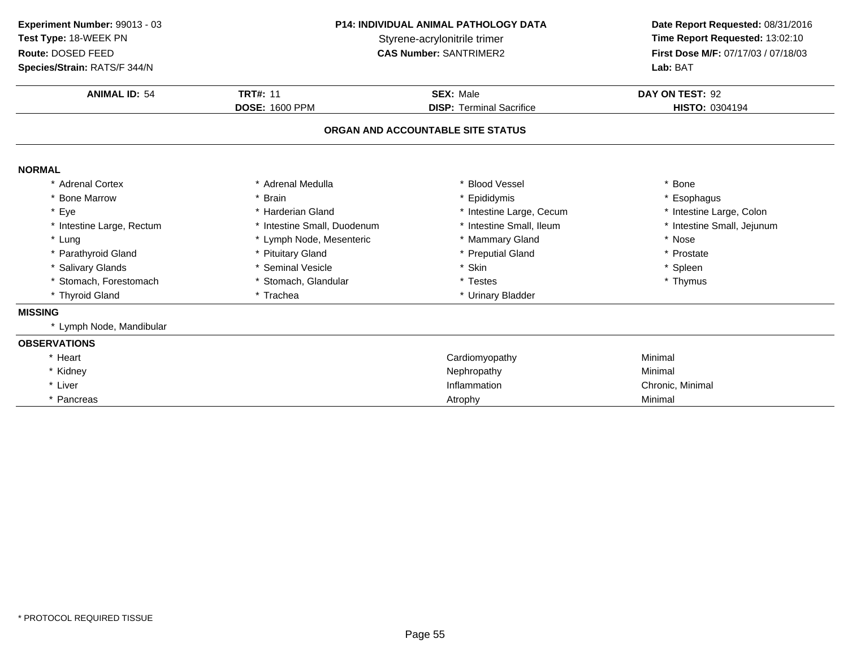| Experiment Number: 99013 - 03<br>Test Type: 18-WEEK PN<br>Route: DOSED FEED<br>Species/Strain: RATS/F 344/N | <b>P14: INDIVIDUAL ANIMAL PATHOLOGY DATA</b><br>Styrene-acrylonitrile trimer<br><b>CAS Number: SANTRIMER2</b> |                                   | Date Report Requested: 08/31/2016<br>Time Report Requested: 13:02:10<br>First Dose M/F: 07/17/03 / 07/18/03<br>Lab: BAT |  |
|-------------------------------------------------------------------------------------------------------------|---------------------------------------------------------------------------------------------------------------|-----------------------------------|-------------------------------------------------------------------------------------------------------------------------|--|
| <b>ANIMAL ID: 54</b>                                                                                        | <b>TRT#: 11</b><br><b>SEX: Male</b><br><b>DOSE: 1600 PPM</b><br><b>DISP: Terminal Sacrifice</b>               |                                   | DAY ON TEST: 92<br>HISTO: 0304194                                                                                       |  |
|                                                                                                             |                                                                                                               | ORGAN AND ACCOUNTABLE SITE STATUS |                                                                                                                         |  |
|                                                                                                             |                                                                                                               |                                   |                                                                                                                         |  |
| <b>NORMAL</b>                                                                                               |                                                                                                               |                                   |                                                                                                                         |  |
| * Adrenal Cortex                                                                                            | * Adrenal Medulla                                                                                             | * Blood Vessel                    | * Bone                                                                                                                  |  |
| * Bone Marrow                                                                                               | * Brain                                                                                                       | Epididymis                        | * Esophagus                                                                                                             |  |
| * Eye                                                                                                       | * Harderian Gland                                                                                             | * Intestine Large, Cecum          | * Intestine Large, Colon                                                                                                |  |
| * Intestine Large, Rectum                                                                                   | * Intestine Small, Duodenum                                                                                   | * Intestine Small, Ileum          | * Intestine Small, Jejunum                                                                                              |  |
| * Lung                                                                                                      | * Lymph Node, Mesenteric                                                                                      | * Mammary Gland                   | * Nose                                                                                                                  |  |
| * Parathyroid Gland                                                                                         | * Pituitary Gland                                                                                             | * Preputial Gland                 | * Prostate                                                                                                              |  |
| * Salivary Glands                                                                                           | * Seminal Vesicle                                                                                             | * Skin                            | * Spleen                                                                                                                |  |
| * Stomach, Forestomach                                                                                      | * Stomach, Glandular                                                                                          | * Testes                          | * Thymus                                                                                                                |  |
| * Thyroid Gland                                                                                             | * Trachea                                                                                                     | * Urinary Bladder                 |                                                                                                                         |  |
| <b>MISSING</b>                                                                                              |                                                                                                               |                                   |                                                                                                                         |  |
| * Lymph Node, Mandibular                                                                                    |                                                                                                               |                                   |                                                                                                                         |  |
| <b>OBSERVATIONS</b>                                                                                         |                                                                                                               |                                   |                                                                                                                         |  |
| * Heart                                                                                                     |                                                                                                               | Cardiomyopathy                    | Minimal                                                                                                                 |  |
| * Kidney                                                                                                    |                                                                                                               | Nephropathy                       | Minimal                                                                                                                 |  |
| * Liver                                                                                                     |                                                                                                               | Inflammation                      | Chronic, Minimal                                                                                                        |  |
| * Pancreas                                                                                                  |                                                                                                               | Atrophy                           | Minimal                                                                                                                 |  |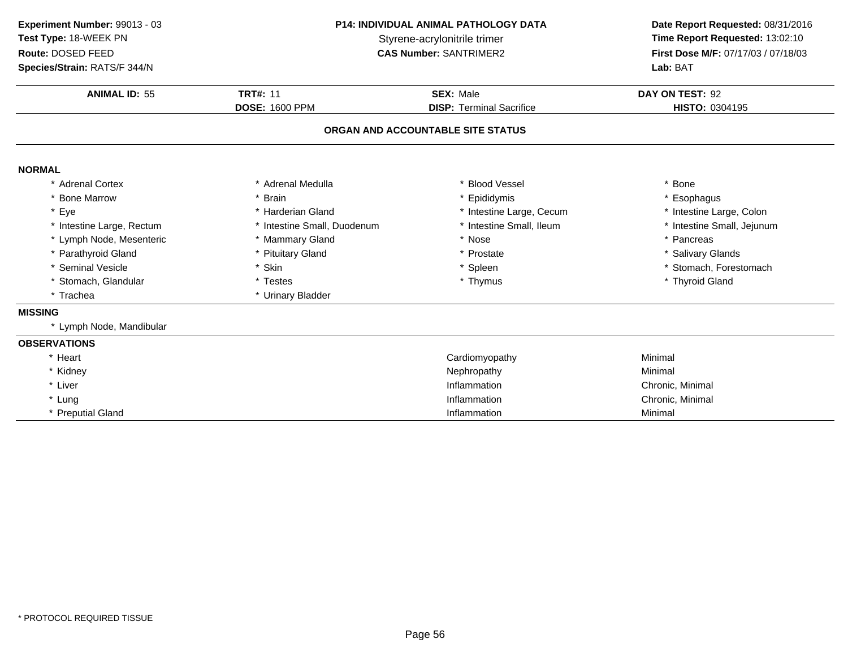| Experiment Number: 99013 - 03<br>Test Type: 18-WEEK PN<br>Route: DOSED FEED<br>Species/Strain: RATS/F 344/N | <b>P14: INDIVIDUAL ANIMAL PATHOLOGY DATA</b><br>Styrene-acrylonitrile trimer<br><b>CAS Number: SANTRIMER2</b> |                                   | Date Report Requested: 08/31/2016<br>Time Report Requested: 13:02:10<br>First Dose M/F: 07/17/03 / 07/18/03<br>Lab: BAT |  |
|-------------------------------------------------------------------------------------------------------------|---------------------------------------------------------------------------------------------------------------|-----------------------------------|-------------------------------------------------------------------------------------------------------------------------|--|
|                                                                                                             |                                                                                                               |                                   |                                                                                                                         |  |
| <b>ANIMAL ID: 55</b>                                                                                        | <b>TRT#: 11</b>                                                                                               | <b>SEX: Male</b>                  | DAY ON TEST: 92                                                                                                         |  |
|                                                                                                             | <b>DOSE: 1600 PPM</b>                                                                                         | <b>DISP: Terminal Sacrifice</b>   | HISTO: 0304195                                                                                                          |  |
|                                                                                                             |                                                                                                               | ORGAN AND ACCOUNTABLE SITE STATUS |                                                                                                                         |  |
| <b>NORMAL</b>                                                                                               |                                                                                                               |                                   |                                                                                                                         |  |
| * Adrenal Cortex                                                                                            | * Adrenal Medulla                                                                                             | <b>Blood Vessel</b>               | * Bone                                                                                                                  |  |
| * Bone Marrow                                                                                               | * Brain                                                                                                       | Epididymis                        | * Esophagus                                                                                                             |  |
| * Eye                                                                                                       | * Harderian Gland                                                                                             | * Intestine Large, Cecum          | * Intestine Large, Colon                                                                                                |  |
| * Intestine Large, Rectum                                                                                   | * Intestine Small, Duodenum                                                                                   | * Intestine Small, Ileum          | * Intestine Small, Jejunum                                                                                              |  |
| * Lymph Node, Mesenteric                                                                                    | * Mammary Gland                                                                                               | * Nose                            | * Pancreas                                                                                                              |  |
| * Parathyroid Gland                                                                                         | * Pituitary Gland                                                                                             | Prostate                          | * Salivary Glands                                                                                                       |  |
| * Seminal Vesicle                                                                                           | * Skin                                                                                                        | * Spleen                          | * Stomach, Forestomach                                                                                                  |  |
| * Stomach, Glandular                                                                                        | * Testes                                                                                                      | * Thymus                          | * Thyroid Gland                                                                                                         |  |
| * Trachea                                                                                                   | * Urinary Bladder                                                                                             |                                   |                                                                                                                         |  |
| <b>MISSING</b>                                                                                              |                                                                                                               |                                   |                                                                                                                         |  |
| * Lymph Node, Mandibular                                                                                    |                                                                                                               |                                   |                                                                                                                         |  |
| <b>OBSERVATIONS</b>                                                                                         |                                                                                                               |                                   |                                                                                                                         |  |
| * Heart                                                                                                     |                                                                                                               | Cardiomyopathy                    | Minimal                                                                                                                 |  |
| * Kidney                                                                                                    |                                                                                                               | Nephropathy                       | Minimal                                                                                                                 |  |
| * Liver                                                                                                     |                                                                                                               | Inflammation                      | Chronic, Minimal                                                                                                        |  |
| * Lung                                                                                                      |                                                                                                               | Inflammation                      | Chronic, Minimal                                                                                                        |  |
| * Preputial Gland                                                                                           |                                                                                                               | Inflammation                      | Minimal                                                                                                                 |  |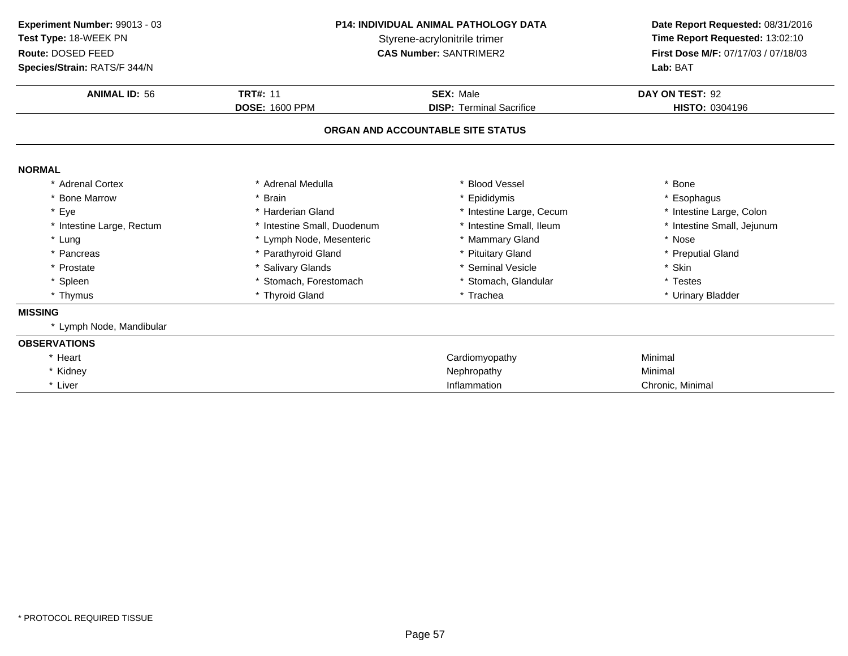| Experiment Number: 99013 - 03<br><b>Test Type: 18-WEEK PN</b><br>Route: DOSED FEED<br>Species/Strain: RATS/F 344/N | <b>P14: INDIVIDUAL ANIMAL PATHOLOGY DATA</b><br>Styrene-acrylonitrile trimer<br><b>CAS Number: SANTRIMER2</b> |                                   | Date Report Requested: 08/31/2016<br>Time Report Requested: 13:02:10<br>First Dose M/F: 07/17/03 / 07/18/03<br>Lab: BAT |  |
|--------------------------------------------------------------------------------------------------------------------|---------------------------------------------------------------------------------------------------------------|-----------------------------------|-------------------------------------------------------------------------------------------------------------------------|--|
| <b>ANIMAL ID: 56</b>                                                                                               | <b>TRT#: 11</b>                                                                                               | <b>SEX: Male</b>                  | DAY ON TEST: 92                                                                                                         |  |
|                                                                                                                    | <b>DOSE: 1600 PPM</b>                                                                                         | <b>DISP: Terminal Sacrifice</b>   | HISTO: 0304196                                                                                                          |  |
|                                                                                                                    |                                                                                                               | ORGAN AND ACCOUNTABLE SITE STATUS |                                                                                                                         |  |
| <b>NORMAL</b>                                                                                                      |                                                                                                               |                                   |                                                                                                                         |  |
| * Adrenal Cortex                                                                                                   | * Adrenal Medulla                                                                                             | <b>Blood Vessel</b>               | * Bone                                                                                                                  |  |
| * Bone Marrow                                                                                                      | * Brain                                                                                                       | Epididymis                        | * Esophagus                                                                                                             |  |
| * Eye                                                                                                              | * Harderian Gland                                                                                             | * Intestine Large, Cecum          | * Intestine Large, Colon                                                                                                |  |
| * Intestine Large, Rectum                                                                                          | * Intestine Small, Duodenum                                                                                   | * Intestine Small, Ileum          | * Intestine Small, Jejunum                                                                                              |  |
| * Lung                                                                                                             | * Lymph Node, Mesenteric                                                                                      | * Mammary Gland                   | * Nose                                                                                                                  |  |
| * Pancreas                                                                                                         | * Parathyroid Gland                                                                                           | * Pituitary Gland                 | * Preputial Gland                                                                                                       |  |
| * Prostate                                                                                                         | * Salivary Glands                                                                                             | * Seminal Vesicle                 | * Skin                                                                                                                  |  |
| * Spleen                                                                                                           | * Stomach, Forestomach                                                                                        | * Stomach, Glandular              | * Testes                                                                                                                |  |
| * Thymus                                                                                                           | * Thyroid Gland                                                                                               | * Trachea                         | * Urinary Bladder                                                                                                       |  |
| <b>MISSING</b>                                                                                                     |                                                                                                               |                                   |                                                                                                                         |  |
| * Lymph Node, Mandibular                                                                                           |                                                                                                               |                                   |                                                                                                                         |  |
| <b>OBSERVATIONS</b>                                                                                                |                                                                                                               |                                   |                                                                                                                         |  |
| * Heart                                                                                                            |                                                                                                               | Cardiomyopathy                    | Minimal                                                                                                                 |  |
| * Kidney                                                                                                           |                                                                                                               | Nephropathy                       | Minimal                                                                                                                 |  |
| * Liver                                                                                                            |                                                                                                               | Inflammation                      | Chronic, Minimal                                                                                                        |  |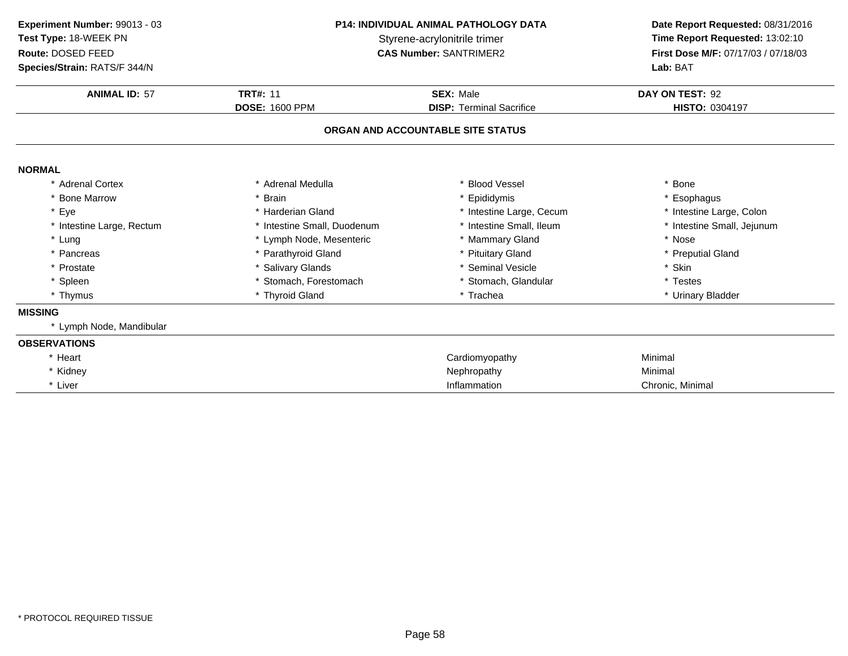| Experiment Number: 99013 - 03<br>Test Type: 18-WEEK PN<br>Route: DOSED FEED<br>Species/Strain: RATS/F 344/N | <b>P14: INDIVIDUAL ANIMAL PATHOLOGY DATA</b><br>Styrene-acrylonitrile trimer<br><b>CAS Number: SANTRIMER2</b> |                                   | Date Report Requested: 08/31/2016<br>Time Report Requested: 13:02:10<br>First Dose M/F: 07/17/03 / 07/18/03<br>Lab: BAT |  |
|-------------------------------------------------------------------------------------------------------------|---------------------------------------------------------------------------------------------------------------|-----------------------------------|-------------------------------------------------------------------------------------------------------------------------|--|
| <b>ANIMAL ID: 57</b>                                                                                        | <b>TRT#: 11</b>                                                                                               | <b>SEX: Male</b>                  | DAY ON TEST: 92                                                                                                         |  |
|                                                                                                             | <b>DOSE: 1600 PPM</b>                                                                                         | <b>DISP: Terminal Sacrifice</b>   | HISTO: 0304197                                                                                                          |  |
|                                                                                                             |                                                                                                               | ORGAN AND ACCOUNTABLE SITE STATUS |                                                                                                                         |  |
| <b>NORMAL</b>                                                                                               |                                                                                                               |                                   |                                                                                                                         |  |
| * Adrenal Cortex                                                                                            | * Adrenal Medulla                                                                                             | <b>Blood Vessel</b>               | * Bone                                                                                                                  |  |
| * Bone Marrow                                                                                               | * Brain                                                                                                       | Epididymis                        | * Esophagus                                                                                                             |  |
| * Eye                                                                                                       | * Harderian Gland                                                                                             | * Intestine Large, Cecum          | * Intestine Large, Colon                                                                                                |  |
| * Intestine Large, Rectum                                                                                   | * Intestine Small, Duodenum                                                                                   | * Intestine Small, Ileum          | * Intestine Small, Jejunum                                                                                              |  |
| * Lung                                                                                                      | * Lymph Node, Mesenteric                                                                                      | * Mammary Gland                   | * Nose                                                                                                                  |  |
| * Pancreas                                                                                                  | * Parathyroid Gland                                                                                           | * Pituitary Gland                 | * Preputial Gland                                                                                                       |  |
| * Prostate                                                                                                  | * Salivary Glands                                                                                             | <b>Seminal Vesicle</b>            | * Skin                                                                                                                  |  |
| * Spleen                                                                                                    | * Stomach, Forestomach                                                                                        | * Stomach, Glandular              | * Testes                                                                                                                |  |
| * Thymus                                                                                                    | * Thyroid Gland                                                                                               | * Trachea                         | * Urinary Bladder                                                                                                       |  |
| <b>MISSING</b>                                                                                              |                                                                                                               |                                   |                                                                                                                         |  |
| * Lymph Node, Mandibular                                                                                    |                                                                                                               |                                   |                                                                                                                         |  |
| <b>OBSERVATIONS</b>                                                                                         |                                                                                                               |                                   |                                                                                                                         |  |
| * Heart                                                                                                     |                                                                                                               | Cardiomyopathy                    | Minimal                                                                                                                 |  |
| * Kidney                                                                                                    |                                                                                                               | Nephropathy                       | Minimal                                                                                                                 |  |
| * Liver                                                                                                     |                                                                                                               | Inflammation                      | Chronic, Minimal                                                                                                        |  |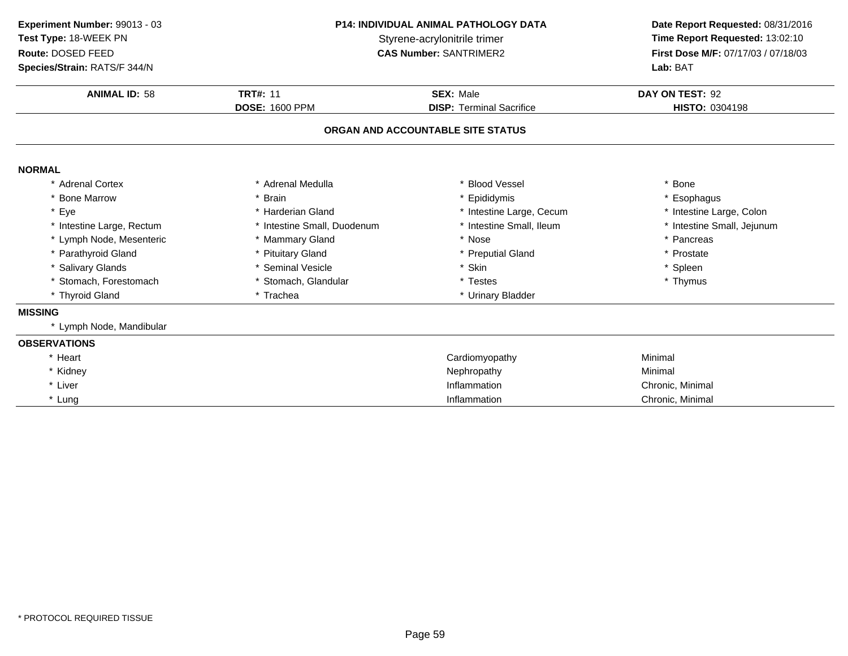**ANIMAL ID:** <sup>58</sup>**TRT#:** 11 **SEX:** Male **SEX:** Male **DAY ON TEST:** 92 **DOSE:** 1600 PPM**DISP:** Terminal Sacrifice **HISTO:** 0304198 **ORGAN AND ACCOUNTABLE SITE STATUSNORMAL** \* Adrenal Cortex \* Adrenal Medullaa the set of the set of the set of the set of the set of the set of the set of the set of the set of the set o<br>Set of the set of the set of the set of the set of the set of the set of the set of the set of the set of the s \* Bone Marrow \* Brain \* Epididymis \* Esophagus \* Eye\* Harderian Gland \* 11 \* 11testine Large, Cecum<br>\* Intestine Small, Duodenum \* 11testine Small, Ileum \* Intestine Large, Colon<br>\* Intestine Small, Jejunum \* Intestine Large, Rectum\* Intestine Small, Duodenum \* 11testine Small, Ileum \* 11testine Small, Ileum \* 11testine Small, Ileum \* 11testine Small, Ileum \* 12testine Small, Ileum \* 12testine Small, Ileum \* 12testine Small, Ileum \* 12testine Small, \* Lymph Node, Mesenteric \* Mammary Gland \* Nose \* Pancreas \* Parathyroid Glandd **the set of the set of the set of the set of the set of the set of the set of the set of the set of the set of the set of the set of the set of the set of the set of the set of the set of the set of the set of the set of** \* Salivary Glands \* Seminal Vesicle \* Skin \* Spleen \* Stomach, Forestomach\* Stomach, Glandular \* \* Testes \* Testes \* Trachea \* Thymus \* Trachea \* Thymus \* Thymus \* Thymus \* Thymus \* Thymus \* Thymus \* Thymus \* Thymus \* Thymus \* Thymus \* Thymus \* Thymus \* Thymus \* Thymus \* Thymus \* Thymus \* Thymus \* Thyroid Gland\* Urinary Bladder **MISSING** \* Lymph Node, Mandibular **OBSERVATIONS**\* Heart Cardiomyopathy Minimal \* Kidneyy the contract of the contract of the Nephropathy Nephropathy and the Minimal Minimal  $\lambda$ \* Liver \* Liver **Inflammation Inflammation** Inflammation **Chronic, Minimal**<br> **Inflammation** Chronic, Minimal \* Lung Inflammation Chronic, Minimal **Experiment Number:** 99013 - 03 **P14: INDIVIDUAL ANIMAL PATHOLOGY DATA Date Report Requested:** 08/31/2016 **Test Type:** 18-WEEK PNStyrene-acrylonitrile trimer<br>
CAS Number: SANTRIMER2<br>
CAS Number: SANTRIMER2<br>
Time Report Requested: 13:02:10 **Route:** DOSED FEED**First Dose M/F:** 07/17/03 / 07/18/03<br>**Lab:** BAT **Species/Strain:** RATS/F 344/N**Lab:** BAT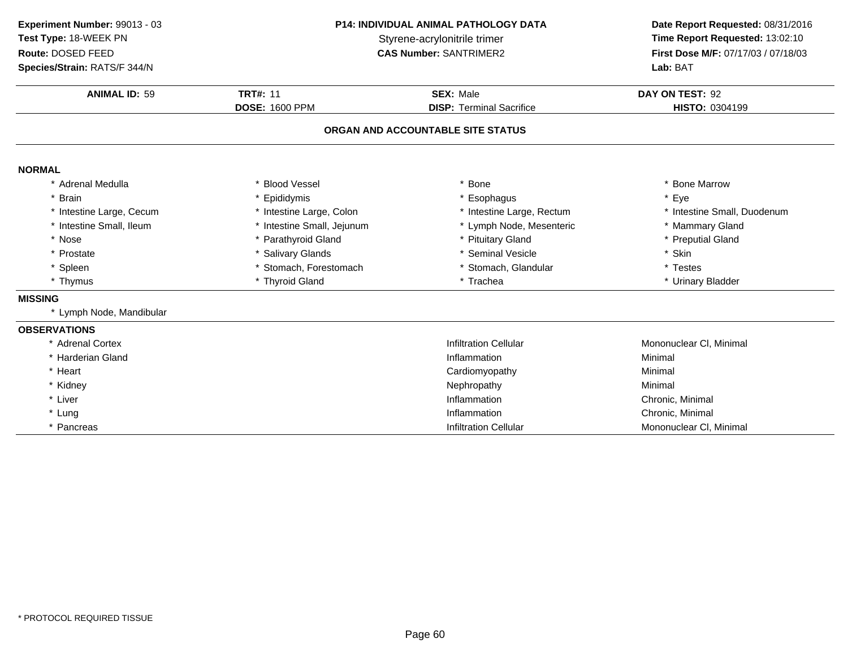| Experiment Number: 99013 - 03<br>Test Type: 18-WEEK PN<br>Route: DOSED FEED |                                                                                               | P14: INDIVIDUAL ANIMAL PATHOLOGY DATA<br>Styrene-acrylonitrile trimer<br><b>CAS Number: SANTRIMER2</b> |                             |
|-----------------------------------------------------------------------------|-----------------------------------------------------------------------------------------------|--------------------------------------------------------------------------------------------------------|-----------------------------|
| Species/Strain: RATS/F 344/N                                                |                                                                                               |                                                                                                        | Lab: BAT                    |
| <b>ANIMAL ID: 59</b>                                                        | <b>TRT#: 11</b>                                                                               | SEX: Male                                                                                              | DAY ON TEST: 92             |
|                                                                             | <b>DOSE: 1600 PPM</b><br><b>DISP: Terminal Sacrifice</b><br>ORGAN AND ACCOUNTABLE SITE STATUS |                                                                                                        | HISTO: 0304199              |
|                                                                             |                                                                                               |                                                                                                        |                             |
| <b>NORMAL</b>                                                               |                                                                                               |                                                                                                        |                             |
| * Adrenal Medulla                                                           | * Blood Vessel                                                                                | <b>Bone</b>                                                                                            | * Bone Marrow               |
| <b>Brain</b>                                                                | * Epididymis                                                                                  | Esophagus                                                                                              | * Eye                       |
| * Intestine Large, Cecum                                                    | * Intestine Large, Colon                                                                      | * Intestine Large, Rectum                                                                              | * Intestine Small, Duodenum |
| * Intestine Small, Ileum                                                    | * Intestine Small, Jejunum                                                                    | * Lymph Node, Mesenteric                                                                               | * Mammary Gland             |
| * Nose                                                                      | * Parathyroid Gland                                                                           | <b>Pituitary Gland</b>                                                                                 | * Preputial Gland           |
| * Prostate                                                                  | * Salivary Glands                                                                             | * Seminal Vesicle                                                                                      | * Skin                      |
| * Spleen                                                                    | * Stomach, Forestomach                                                                        | * Stomach, Glandular                                                                                   | * Testes                    |
| * Thymus                                                                    | * Thyroid Gland                                                                               | * Trachea                                                                                              | * Urinary Bladder           |
| <b>MISSING</b>                                                              |                                                                                               |                                                                                                        |                             |
| * Lymph Node, Mandibular                                                    |                                                                                               |                                                                                                        |                             |
| <b>OBSERVATIONS</b>                                                         |                                                                                               |                                                                                                        |                             |
| * Adrenal Cortex                                                            |                                                                                               | <b>Infiltration Cellular</b>                                                                           | Mononuclear CI, Minimal     |
| * Harderian Gland                                                           |                                                                                               | Inflammation                                                                                           | Minimal                     |
| * Heart                                                                     |                                                                                               | Cardiomyopathy                                                                                         | Minimal                     |
| * Kidney                                                                    |                                                                                               | Nephropathy                                                                                            | Minimal                     |
| * Liver                                                                     |                                                                                               | Inflammation                                                                                           | Chronic, Minimal            |
| * Lung                                                                      |                                                                                               | Inflammation                                                                                           | Chronic, Minimal            |
| * Pancreas                                                                  |                                                                                               | <b>Infiltration Cellular</b>                                                                           | Mononuclear CI, Minimal     |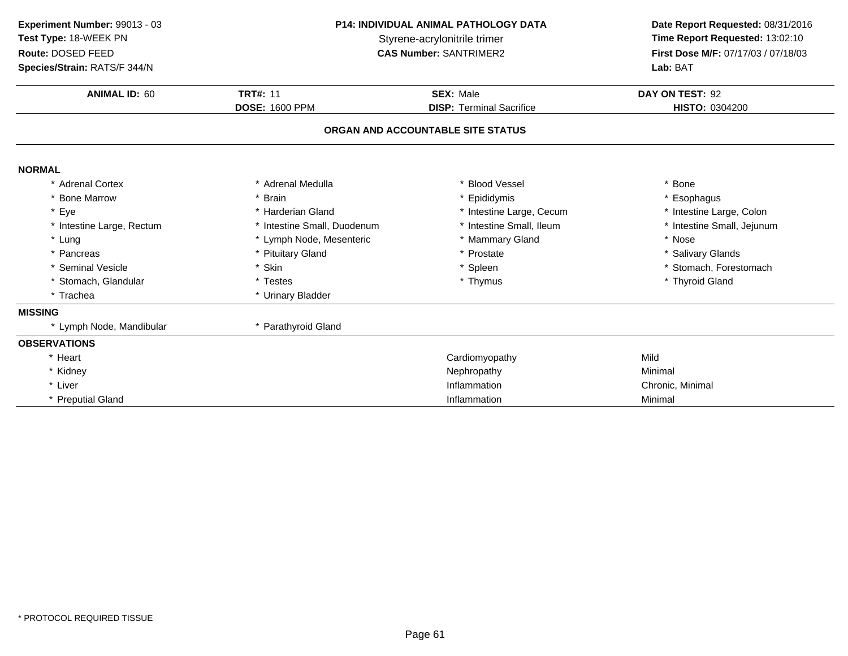| Experiment Number: 99013 - 03<br>Test Type: 18-WEEK PN<br>Route: DOSED FEED<br>Species/Strain: RATS/F 344/N | <b>P14: INDIVIDUAL ANIMAL PATHOLOGY DATA</b><br>Styrene-acrylonitrile trimer<br><b>CAS Number: SANTRIMER2</b> |                                   | Date Report Requested: 08/31/2016<br>Time Report Requested: 13:02:10<br>First Dose M/F: 07/17/03 / 07/18/03<br>Lab: BAT |  |
|-------------------------------------------------------------------------------------------------------------|---------------------------------------------------------------------------------------------------------------|-----------------------------------|-------------------------------------------------------------------------------------------------------------------------|--|
| <b>ANIMAL ID: 60</b>                                                                                        | <b>TRT#: 11</b>                                                                                               | <b>SEX: Male</b>                  | DAY ON TEST: 92                                                                                                         |  |
|                                                                                                             | <b>DOSE: 1600 PPM</b>                                                                                         | <b>DISP: Terminal Sacrifice</b>   | HISTO: 0304200                                                                                                          |  |
|                                                                                                             |                                                                                                               | ORGAN AND ACCOUNTABLE SITE STATUS |                                                                                                                         |  |
| <b>NORMAL</b>                                                                                               |                                                                                                               |                                   |                                                                                                                         |  |
| * Adrenal Cortex                                                                                            | * Adrenal Medulla                                                                                             | <b>Blood Vessel</b>               | Bone                                                                                                                    |  |
| * Bone Marrow                                                                                               | * Brain                                                                                                       | Epididymis                        | * Esophagus                                                                                                             |  |
| * Eye                                                                                                       | * Harderian Gland                                                                                             | * Intestine Large, Cecum          | * Intestine Large, Colon                                                                                                |  |
| * Intestine Large, Rectum                                                                                   | * Intestine Small, Duodenum                                                                                   | * Intestine Small, Ileum          | * Intestine Small, Jejunum                                                                                              |  |
| * Lung                                                                                                      | * Lymph Node, Mesenteric                                                                                      | * Mammary Gland                   | * Nose                                                                                                                  |  |
| * Pancreas                                                                                                  | * Pituitary Gland                                                                                             | * Prostate                        | * Salivary Glands                                                                                                       |  |
| * Seminal Vesicle                                                                                           | * Skin                                                                                                        | * Spleen                          | * Stomach, Forestomach                                                                                                  |  |
| * Stomach, Glandular                                                                                        | * Testes                                                                                                      | * Thymus                          | * Thyroid Gland                                                                                                         |  |
| * Trachea                                                                                                   | * Urinary Bladder                                                                                             |                                   |                                                                                                                         |  |
| <b>MISSING</b>                                                                                              |                                                                                                               |                                   |                                                                                                                         |  |
| * Lymph Node, Mandibular                                                                                    | * Parathyroid Gland                                                                                           |                                   |                                                                                                                         |  |
| <b>OBSERVATIONS</b>                                                                                         |                                                                                                               |                                   |                                                                                                                         |  |
| * Heart                                                                                                     |                                                                                                               | Cardiomyopathy                    | Mild                                                                                                                    |  |
| * Kidney                                                                                                    |                                                                                                               | Nephropathy                       | Minimal                                                                                                                 |  |
| * Liver                                                                                                     |                                                                                                               | Inflammation                      | Chronic, Minimal                                                                                                        |  |
| * Preputial Gland                                                                                           |                                                                                                               | Inflammation                      | Minimal                                                                                                                 |  |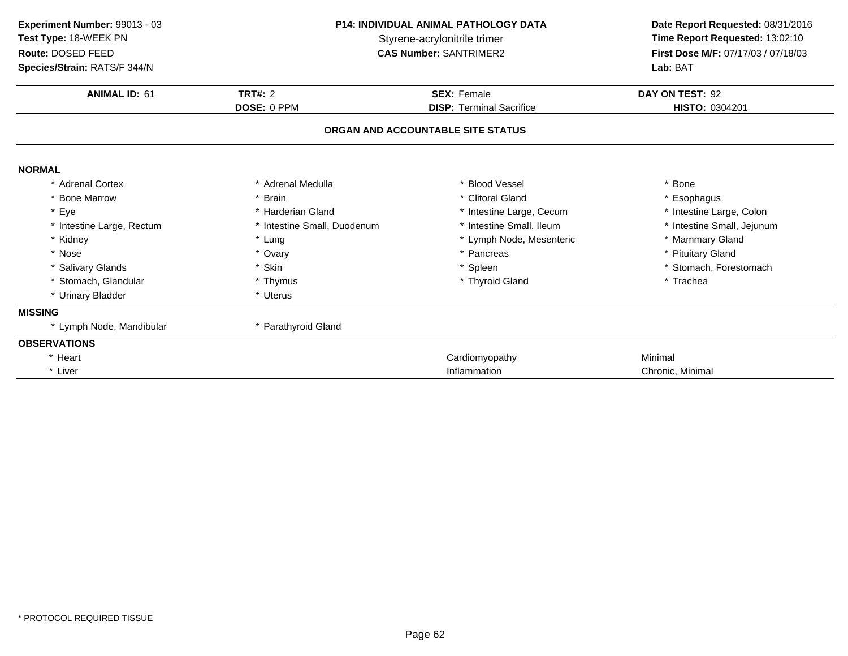| Experiment Number: 99013 - 03 | <b>P14: INDIVIDUAL ANIMAL PATHOLOGY DATA</b> |                                   | Date Report Requested: 08/31/2016   |  |
|-------------------------------|----------------------------------------------|-----------------------------------|-------------------------------------|--|
| Test Type: 18-WEEK PN         | Styrene-acrylonitrile trimer                 |                                   | Time Report Requested: 13:02:10     |  |
| Route: DOSED FEED             |                                              | <b>CAS Number: SANTRIMER2</b>     | First Dose M/F: 07/17/03 / 07/18/03 |  |
| Species/Strain: RATS/F 344/N  |                                              |                                   | Lab: BAT                            |  |
| <b>ANIMAL ID: 61</b>          | <b>TRT#: 2</b>                               | <b>SEX: Female</b>                | DAY ON TEST: 92                     |  |
|                               | DOSE: 0 PPM                                  | <b>DISP: Terminal Sacrifice</b>   | HISTO: 0304201                      |  |
|                               |                                              | ORGAN AND ACCOUNTABLE SITE STATUS |                                     |  |
| <b>NORMAL</b>                 |                                              |                                   |                                     |  |
| * Adrenal Cortex              | * Adrenal Medulla                            | * Blood Vessel                    | * Bone                              |  |
| <b>Bone Marrow</b>            | * Brain                                      | * Clitoral Gland                  | * Esophagus                         |  |
| * Eye                         | * Harderian Gland                            | * Intestine Large, Cecum          | * Intestine Large, Colon            |  |
| * Intestine Large, Rectum     | * Intestine Small, Duodenum                  | * Intestine Small, Ileum          | * Intestine Small, Jejunum          |  |
| * Kidney                      | * Lung                                       | * Lymph Node, Mesenteric          | * Mammary Gland                     |  |
| * Nose                        | * Ovary                                      | * Pancreas                        | * Pituitary Gland                   |  |
| * Salivary Glands             | * Skin                                       | * Spleen                          | * Stomach, Forestomach              |  |
| * Stomach, Glandular          | * Thymus                                     | * Thyroid Gland                   | * Trachea                           |  |
| * Urinary Bladder             | * Uterus                                     |                                   |                                     |  |
| <b>MISSING</b>                |                                              |                                   |                                     |  |
| * Lymph Node, Mandibular      | * Parathyroid Gland                          |                                   |                                     |  |
| <b>OBSERVATIONS</b>           |                                              |                                   |                                     |  |
| * Heart                       |                                              | Cardiomyopathy                    | Minimal                             |  |
| * Liver                       |                                              | Inflammation                      | Chronic, Minimal                    |  |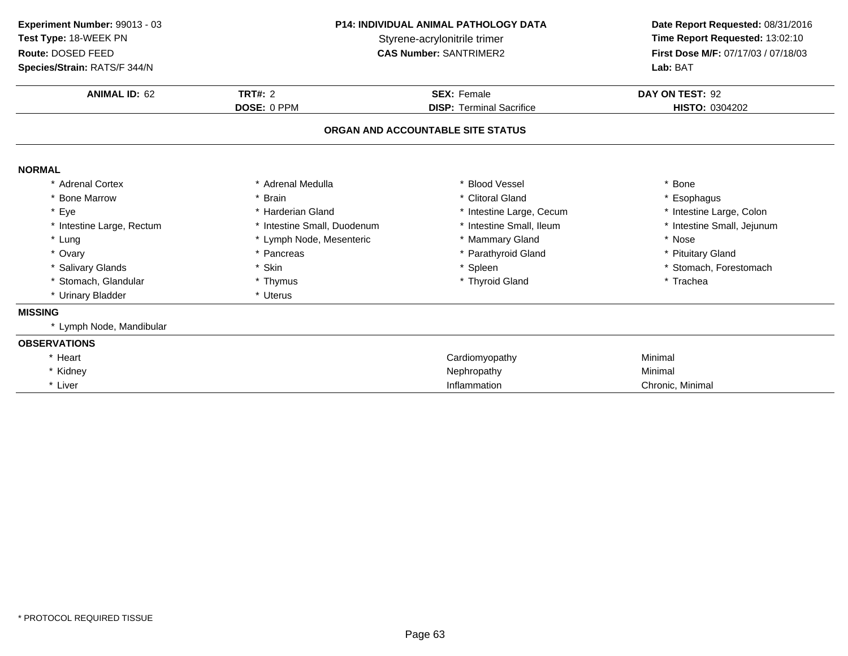| Experiment Number: 99013 - 03<br>Test Type: 18-WEEK PN<br>Route: DOSED FEED<br>Species/Strain: RATS/F 344/N | <b>P14: INDIVIDUAL ANIMAL PATHOLOGY DATA</b><br>Styrene-acrylonitrile trimer<br><b>CAS Number: SANTRIMER2</b> |                                   | Date Report Requested: 08/31/2016<br>Time Report Requested: 13:02:10<br>First Dose M/F: 07/17/03 / 07/18/03<br>Lab: BAT |
|-------------------------------------------------------------------------------------------------------------|---------------------------------------------------------------------------------------------------------------|-----------------------------------|-------------------------------------------------------------------------------------------------------------------------|
| <b>ANIMAL ID: 62</b>                                                                                        | TRT#: $2$<br><b>SEX: Female</b><br>DOSE: 0 PPM<br><b>DISP: Terminal Sacrifice</b>                             |                                   | DAY ON TEST: 92<br>HISTO: 0304202                                                                                       |
|                                                                                                             |                                                                                                               | ORGAN AND ACCOUNTABLE SITE STATUS |                                                                                                                         |
| <b>NORMAL</b>                                                                                               |                                                                                                               |                                   |                                                                                                                         |
| * Adrenal Cortex                                                                                            | * Adrenal Medulla                                                                                             | * Blood Vessel                    | * Bone                                                                                                                  |
| * Bone Marrow                                                                                               | * Brain                                                                                                       | * Clitoral Gland                  | * Esophagus                                                                                                             |
| * Eye                                                                                                       | * Harderian Gland                                                                                             | * Intestine Large, Cecum          | * Intestine Large, Colon                                                                                                |
| * Intestine Large, Rectum                                                                                   | * Intestine Small, Duodenum                                                                                   | * Intestine Small, Ileum          | * Intestine Small, Jejunum                                                                                              |
| * Lung                                                                                                      | * Lymph Node, Mesenteric                                                                                      | * Mammary Gland                   | * Nose                                                                                                                  |
| * Ovary                                                                                                     | * Pancreas                                                                                                    | * Parathyroid Gland               | * Pituitary Gland                                                                                                       |
| * Salivary Glands                                                                                           | * Skin                                                                                                        | * Spleen                          | * Stomach, Forestomach                                                                                                  |
| * Stomach, Glandular                                                                                        | * Thymus                                                                                                      | * Thyroid Gland                   | * Trachea                                                                                                               |
| * Urinary Bladder                                                                                           | * Uterus                                                                                                      |                                   |                                                                                                                         |
| <b>MISSING</b>                                                                                              |                                                                                                               |                                   |                                                                                                                         |
| * Lymph Node, Mandibular                                                                                    |                                                                                                               |                                   |                                                                                                                         |
| <b>OBSERVATIONS</b>                                                                                         |                                                                                                               |                                   |                                                                                                                         |
| * Heart                                                                                                     |                                                                                                               | Cardiomyopathy                    | Minimal                                                                                                                 |
| * Kidney                                                                                                    |                                                                                                               | Nephropathy                       | Minimal                                                                                                                 |
| * Liver                                                                                                     |                                                                                                               | Inflammation                      | Chronic, Minimal                                                                                                        |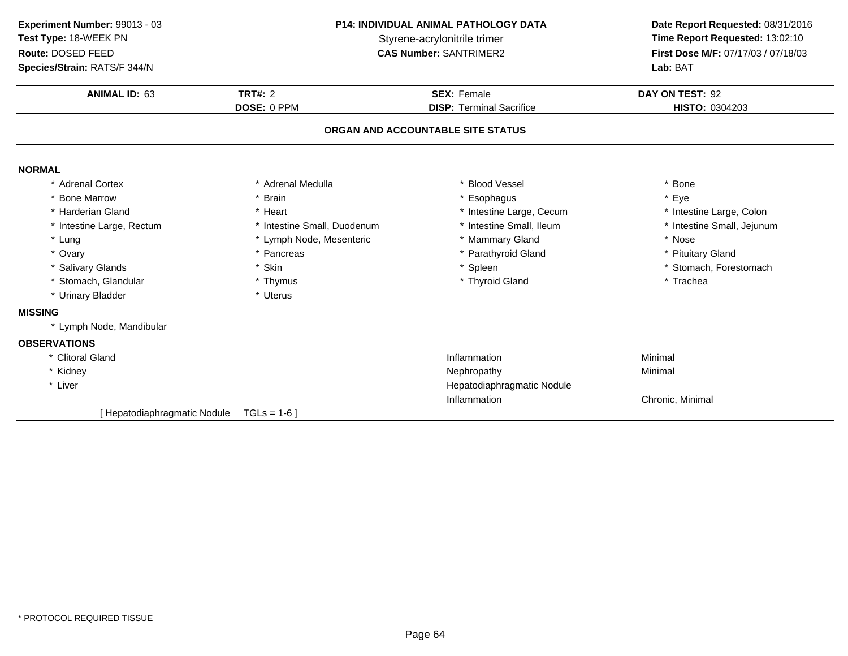| Experiment Number: 99013 - 03<br>Test Type: 18-WEEK PN<br>Route: DOSED FEED |                             | <b>P14: INDIVIDUAL ANIMAL PATHOLOGY DATA</b><br>Styrene-acrylonitrile trimer<br><b>CAS Number: SANTRIMER2</b> |                            |
|-----------------------------------------------------------------------------|-----------------------------|---------------------------------------------------------------------------------------------------------------|----------------------------|
| Species/Strain: RATS/F 344/N                                                |                             |                                                                                                               | Lab: BAT                   |
| <b>ANIMAL ID: 63</b>                                                        | TRT#: $2$                   | <b>SEX: Female</b>                                                                                            | DAY ON TEST: 92            |
|                                                                             | DOSE: 0 PPM                 | <b>DISP: Terminal Sacrifice</b>                                                                               | HISTO: 0304203             |
|                                                                             |                             | ORGAN AND ACCOUNTABLE SITE STATUS                                                                             |                            |
| <b>NORMAL</b>                                                               |                             |                                                                                                               |                            |
| * Adrenal Cortex                                                            | * Adrenal Medulla           | * Blood Vessel                                                                                                | * Bone                     |
| * Bone Marrow                                                               | * Brain                     | * Esophagus                                                                                                   | * Eye                      |
| * Harderian Gland                                                           | * Heart                     | * Intestine Large, Cecum                                                                                      | * Intestine Large, Colon   |
| * Intestine Large, Rectum                                                   | * Intestine Small, Duodenum | * Intestine Small, Ileum                                                                                      | * Intestine Small, Jejunum |
| * Lung                                                                      | * Lymph Node, Mesenteric    | * Mammary Gland                                                                                               | * Nose                     |
| * Ovary                                                                     | * Pancreas                  | * Parathyroid Gland                                                                                           | * Pituitary Gland          |
| * Salivary Glands                                                           | * Skin                      | * Spleen                                                                                                      | * Stomach, Forestomach     |
| * Stomach, Glandular                                                        | * Thymus                    | * Thyroid Gland                                                                                               | * Trachea                  |
| * Urinary Bladder                                                           | * Uterus                    |                                                                                                               |                            |
| <b>MISSING</b>                                                              |                             |                                                                                                               |                            |
| * Lymph Node, Mandibular                                                    |                             |                                                                                                               |                            |
| <b>OBSERVATIONS</b>                                                         |                             |                                                                                                               |                            |
| * Clitoral Gland                                                            |                             | Inflammation                                                                                                  | Minimal                    |
| * Kidney                                                                    |                             | Nephropathy                                                                                                   | Minimal                    |
| * Liver                                                                     |                             | Hepatodiaphragmatic Nodule                                                                                    |                            |
|                                                                             |                             | Inflammation                                                                                                  | Chronic, Minimal           |
| Hepatodiaphragmatic Nodule                                                  | $TGLs = 1-6$                |                                                                                                               |                            |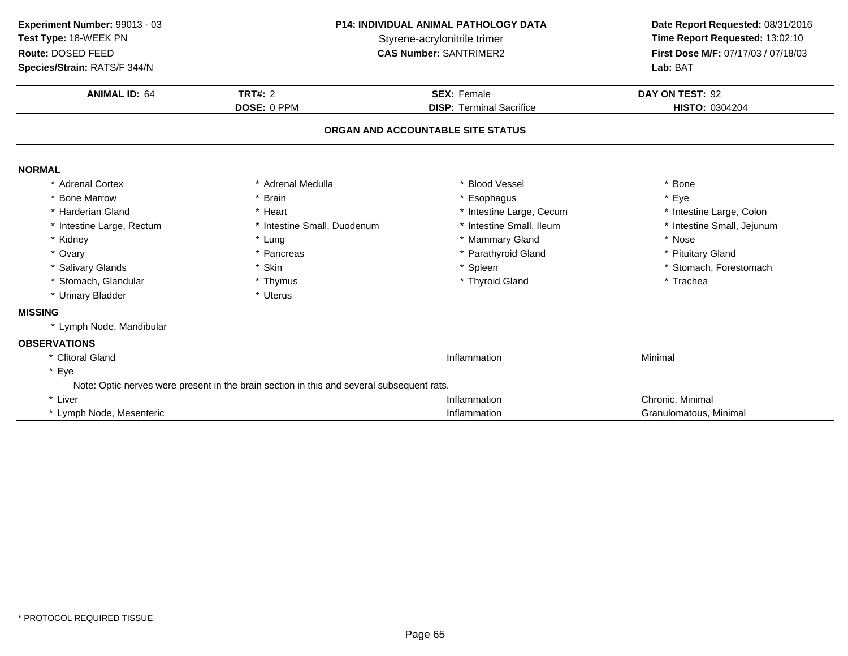| Experiment Number: 99013 - 03 |                                                                                           | <b>P14: INDIVIDUAL ANIMAL PATHOLOGY DATA</b> |                                     |  |
|-------------------------------|-------------------------------------------------------------------------------------------|----------------------------------------------|-------------------------------------|--|
| Test Type: 18-WEEK PN         | Styrene-acrylonitrile trimer                                                              |                                              | Time Report Requested: 13:02:10     |  |
| Route: DOSED FEED             |                                                                                           | <b>CAS Number: SANTRIMER2</b>                | First Dose M/F: 07/17/03 / 07/18/03 |  |
| Species/Strain: RATS/F 344/N  |                                                                                           |                                              | Lab: BAT                            |  |
| <b>ANIMAL ID: 64</b>          | <b>TRT#: 2</b>                                                                            | <b>SEX: Female</b>                           | DAY ON TEST: 92                     |  |
|                               | DOSE: 0 PPM                                                                               | <b>DISP: Terminal Sacrifice</b>              | HISTO: 0304204                      |  |
|                               |                                                                                           | ORGAN AND ACCOUNTABLE SITE STATUS            |                                     |  |
| <b>NORMAL</b>                 |                                                                                           |                                              |                                     |  |
| * Adrenal Cortex              | * Adrenal Medulla                                                                         | * Blood Vessel                               | * Bone                              |  |
| * Bone Marrow                 | * Brain                                                                                   | * Esophagus                                  | * Eye                               |  |
| * Harderian Gland             | * Heart                                                                                   | * Intestine Large, Cecum                     | * Intestine Large, Colon            |  |
| * Intestine Large, Rectum     | * Intestine Small, Duodenum                                                               | * Intestine Small, Ileum                     | * Intestine Small, Jejunum          |  |
| * Kidney                      | * Lung                                                                                    | * Mammary Gland                              | * Nose                              |  |
| * Ovary                       | * Pancreas                                                                                | * Parathyroid Gland                          | * Pituitary Gland                   |  |
| * Salivary Glands             | * Skin                                                                                    | * Spleen                                     | * Stomach, Forestomach              |  |
| * Stomach, Glandular          | * Thymus                                                                                  | * Thyroid Gland                              | * Trachea                           |  |
| * Urinary Bladder             | * Uterus                                                                                  |                                              |                                     |  |
| <b>MISSING</b>                |                                                                                           |                                              |                                     |  |
| * Lymph Node, Mandibular      |                                                                                           |                                              |                                     |  |
| <b>OBSERVATIONS</b>           |                                                                                           |                                              |                                     |  |
| * Clitoral Gland              |                                                                                           | Inflammation                                 | Minimal                             |  |
| * Eye                         |                                                                                           |                                              |                                     |  |
|                               | Note: Optic nerves were present in the brain section in this and several subsequent rats. |                                              |                                     |  |
| * Liver                       |                                                                                           | Inflammation                                 | Chronic, Minimal                    |  |
| * Lymph Node, Mesenteric      |                                                                                           | Inflammation                                 | Granulomatous, Minimal              |  |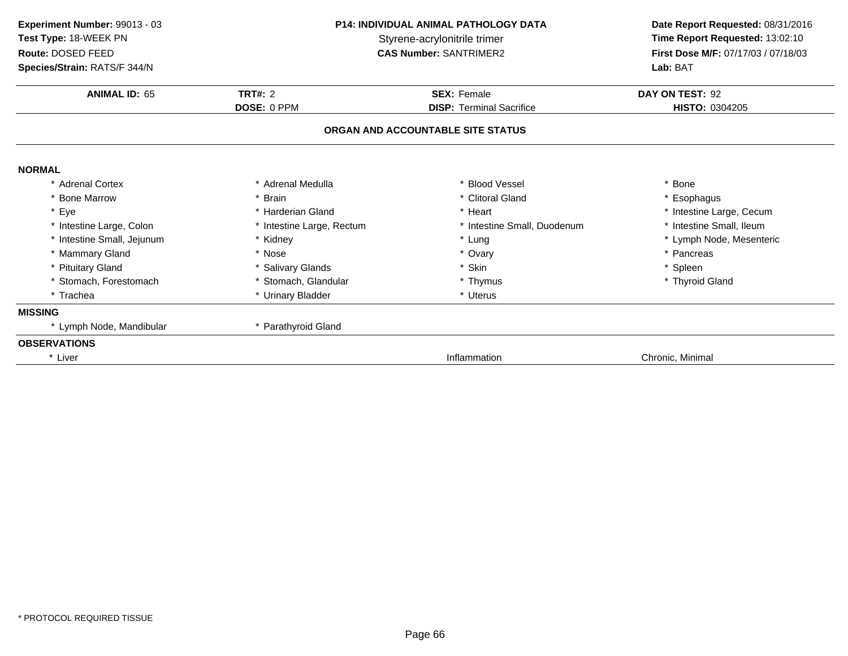| Experiment Number: 99013 - 03 | <b>P14: INDIVIDUAL ANIMAL PATHOLOGY DATA</b><br>Styrene-acrylonitrile trimer |                                   | Date Report Requested: 08/31/2016   |  |
|-------------------------------|------------------------------------------------------------------------------|-----------------------------------|-------------------------------------|--|
| Test Type: 18-WEEK PN         |                                                                              |                                   | Time Report Requested: 13:02:10     |  |
| Route: DOSED FEED             |                                                                              | <b>CAS Number: SANTRIMER2</b>     | First Dose M/F: 07/17/03 / 07/18/03 |  |
| Species/Strain: RATS/F 344/N  |                                                                              |                                   | Lab: BAT                            |  |
| <b>ANIMAL ID: 65</b>          | TRT#: $2$                                                                    | <b>SEX: Female</b>                | DAY ON TEST: 92                     |  |
|                               | DOSE: 0 PPM                                                                  | <b>DISP: Terminal Sacrifice</b>   | HISTO: 0304205                      |  |
|                               |                                                                              | ORGAN AND ACCOUNTABLE SITE STATUS |                                     |  |
| <b>NORMAL</b>                 |                                                                              |                                   |                                     |  |
| * Adrenal Cortex              | * Adrenal Medulla                                                            | * Blood Vessel                    | * Bone                              |  |
| * Bone Marrow                 | * Brain                                                                      | * Clitoral Gland                  | * Esophagus                         |  |
| * Eye                         | * Harderian Gland                                                            | * Heart                           | * Intestine Large, Cecum            |  |
|                               |                                                                              |                                   |                                     |  |
| * Intestine Large, Colon      | * Intestine Large, Rectum                                                    | * Intestine Small, Duodenum       | * Intestine Small, Ileum            |  |
| * Intestine Small, Jejunum    | * Kidney                                                                     | * Lung                            | * Lymph Node, Mesenteric            |  |
| * Mammary Gland               | * Nose                                                                       | * Ovary                           | * Pancreas                          |  |
| * Pituitary Gland             | * Salivary Glands                                                            | * Skin                            | * Spleen                            |  |
| * Stomach, Forestomach        | * Stomach, Glandular                                                         | * Thymus                          | * Thyroid Gland                     |  |
| * Trachea                     | * Urinary Bladder                                                            | * Uterus                          |                                     |  |
| <b>MISSING</b>                |                                                                              |                                   |                                     |  |
| * Lymph Node, Mandibular      | * Parathyroid Gland                                                          |                                   |                                     |  |
| <b>OBSERVATIONS</b>           |                                                                              |                                   |                                     |  |
| * Liver                       |                                                                              | Inflammation                      | Chronic, Minimal                    |  |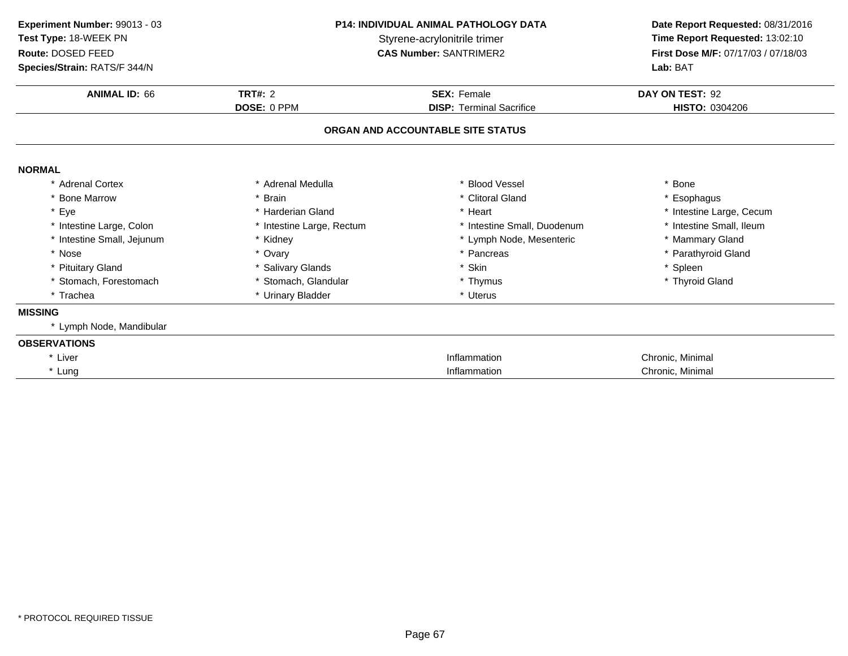| Experiment Number: 99013 - 03<br>Test Type: 18-WEEK PN<br>Route: DOSED FEED<br>Species/Strain: RATS/F 344/N | <b>P14: INDIVIDUAL ANIMAL PATHOLOGY DATA</b><br>Styrene-acrylonitrile trimer<br><b>CAS Number: SANTRIMER2</b> |                             | Date Report Requested: 08/31/2016<br>Time Report Requested: 13:02:10<br>First Dose M/F: 07/17/03 / 07/18/03<br>Lab: BAT |  |
|-------------------------------------------------------------------------------------------------------------|---------------------------------------------------------------------------------------------------------------|-----------------------------|-------------------------------------------------------------------------------------------------------------------------|--|
| <b>ANIMAL ID: 66</b>                                                                                        | TRT#: $2$                                                                                                     | <b>SEX: Female</b>          | DAY ON TEST: 92<br>HISTO: 0304206                                                                                       |  |
|                                                                                                             | DOSE: 0 PPM<br><b>DISP: Terminal Sacrifice</b><br>ORGAN AND ACCOUNTABLE SITE STATUS                           |                             |                                                                                                                         |  |
| <b>NORMAL</b>                                                                                               |                                                                                                               |                             |                                                                                                                         |  |
| * Adrenal Cortex                                                                                            | * Adrenal Medulla                                                                                             | * Blood Vessel              | * Bone                                                                                                                  |  |
| * Bone Marrow                                                                                               | * Brain                                                                                                       | * Clitoral Gland            | * Esophagus                                                                                                             |  |
| * Eye                                                                                                       | * Harderian Gland                                                                                             | * Heart                     | * Intestine Large, Cecum                                                                                                |  |
| * Intestine Large, Colon                                                                                    | * Intestine Large, Rectum                                                                                     | * Intestine Small, Duodenum | * Intestine Small, Ileum                                                                                                |  |
| * Intestine Small, Jejunum                                                                                  | * Kidney                                                                                                      | * Lymph Node, Mesenteric    | * Mammary Gland                                                                                                         |  |
| * Nose                                                                                                      | * Ovary                                                                                                       | * Pancreas                  | * Parathyroid Gland                                                                                                     |  |
| * Pituitary Gland                                                                                           | * Salivary Glands                                                                                             | * Skin                      | * Spleen                                                                                                                |  |
| * Stomach, Forestomach                                                                                      | * Stomach, Glandular                                                                                          | * Thymus                    | * Thyroid Gland                                                                                                         |  |
| * Trachea                                                                                                   | * Urinary Bladder                                                                                             | * Uterus                    |                                                                                                                         |  |
| <b>MISSING</b>                                                                                              |                                                                                                               |                             |                                                                                                                         |  |
| * Lymph Node, Mandibular                                                                                    |                                                                                                               |                             |                                                                                                                         |  |
| <b>OBSERVATIONS</b>                                                                                         |                                                                                                               |                             |                                                                                                                         |  |
| * Liver                                                                                                     |                                                                                                               | Inflammation                | Chronic, Minimal                                                                                                        |  |
| * Lung                                                                                                      |                                                                                                               | Inflammation                | Chronic, Minimal                                                                                                        |  |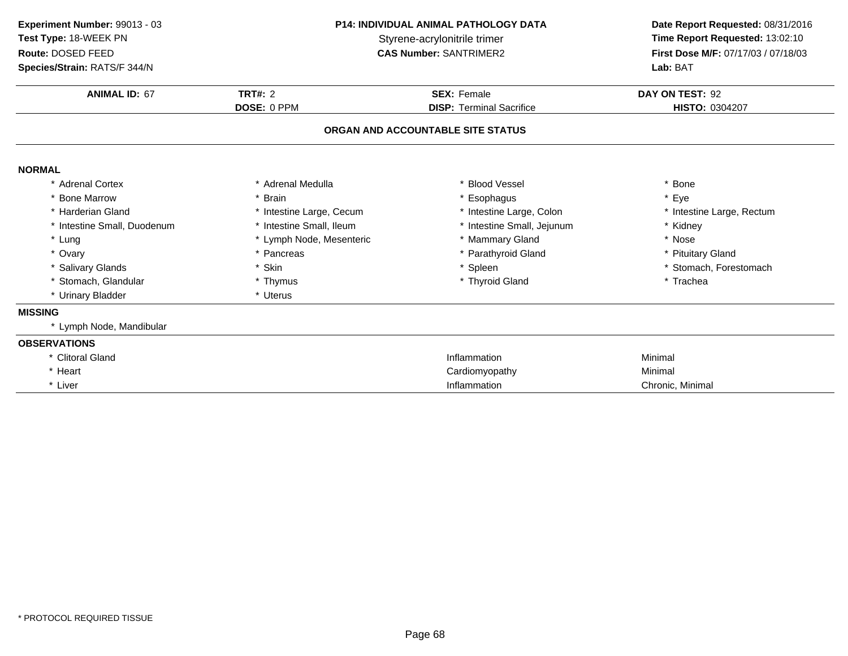| Experiment Number: 99013 - 03 | P14: INDIVIDUAL ANIMAL PATHOLOGY DATA<br>Styrene-acrylonitrile trimer |                                   | Date Report Requested: 08/31/2016   |  |
|-------------------------------|-----------------------------------------------------------------------|-----------------------------------|-------------------------------------|--|
| Test Type: 18-WEEK PN         |                                                                       |                                   | Time Report Requested: 13:02:10     |  |
| Route: DOSED FEED             |                                                                       | <b>CAS Number: SANTRIMER2</b>     | First Dose M/F: 07/17/03 / 07/18/03 |  |
| Species/Strain: RATS/F 344/N  |                                                                       |                                   | Lab: BAT                            |  |
| <b>ANIMAL ID: 67</b>          | <b>TRT#: 2</b>                                                        | <b>SEX: Female</b>                | DAY ON TEST: 92                     |  |
|                               | DOSE: 0 PPM                                                           | <b>DISP: Terminal Sacrifice</b>   | HISTO: 0304207                      |  |
|                               |                                                                       | ORGAN AND ACCOUNTABLE SITE STATUS |                                     |  |
| <b>NORMAL</b>                 |                                                                       |                                   |                                     |  |
| * Adrenal Cortex              | * Adrenal Medulla                                                     | * Blood Vessel                    | * Bone                              |  |
| <b>Bone Marrow</b>            | * Brain                                                               | * Esophagus                       | * Eye                               |  |
| * Harderian Gland             | * Intestine Large, Cecum                                              | * Intestine Large, Colon          | * Intestine Large, Rectum           |  |
| * Intestine Small, Duodenum   | * Intestine Small, Ileum                                              | * Intestine Small, Jejunum        | * Kidney                            |  |
| * Lung                        | * Lymph Node, Mesenteric                                              | * Mammary Gland                   | * Nose                              |  |
| * Ovary                       | * Pancreas                                                            | * Parathyroid Gland               | * Pituitary Gland                   |  |
| * Salivary Glands             | * Skin                                                                | * Spleen                          | * Stomach, Forestomach              |  |
| * Stomach, Glandular          | * Thymus                                                              | * Thyroid Gland                   | * Trachea                           |  |
| * Urinary Bladder             | * Uterus                                                              |                                   |                                     |  |
| <b>MISSING</b>                |                                                                       |                                   |                                     |  |
| * Lymph Node, Mandibular      |                                                                       |                                   |                                     |  |
| <b>OBSERVATIONS</b>           |                                                                       |                                   |                                     |  |
| * Clitoral Gland              |                                                                       | Inflammation                      | Minimal                             |  |
| * Heart                       |                                                                       | Cardiomyopathy                    | Minimal                             |  |
| * Liver                       |                                                                       | Inflammation                      | Chronic, Minimal                    |  |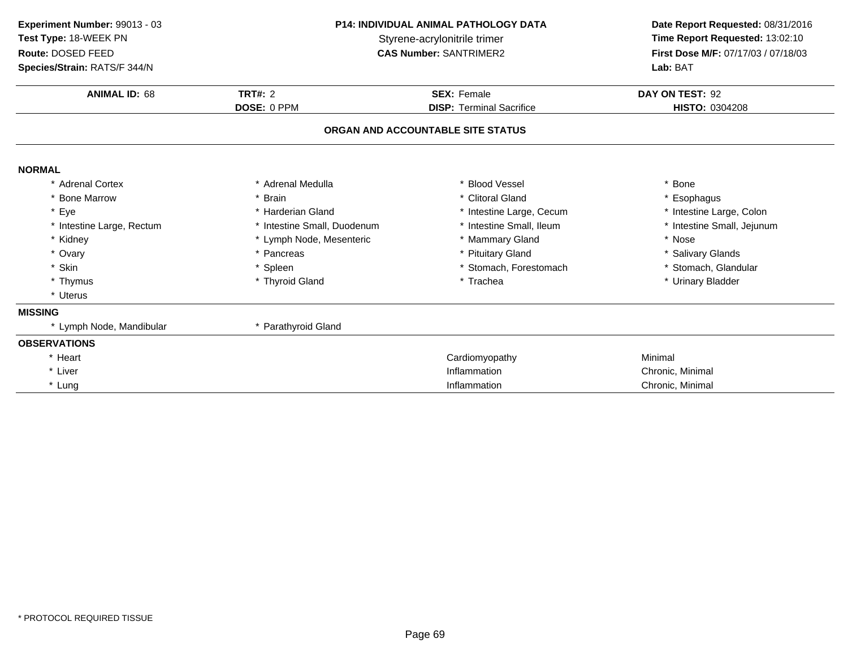| Experiment Number: 99013 - 03 | <b>P14: INDIVIDUAL ANIMAL PATHOLOGY DATA</b><br>Styrene-acrylonitrile trimer |                                   | Date Report Requested: 08/31/2016   |  |
|-------------------------------|------------------------------------------------------------------------------|-----------------------------------|-------------------------------------|--|
| Test Type: 18-WEEK PN         |                                                                              |                                   | Time Report Requested: 13:02:10     |  |
| Route: DOSED FEED             |                                                                              | <b>CAS Number: SANTRIMER2</b>     | First Dose M/F: 07/17/03 / 07/18/03 |  |
| Species/Strain: RATS/F 344/N  |                                                                              |                                   | Lab: BAT                            |  |
| <b>ANIMAL ID: 68</b>          | <b>TRT#: 2</b>                                                               | <b>SEX: Female</b>                | DAY ON TEST: 92                     |  |
|                               | DOSE: 0 PPM                                                                  | <b>DISP: Terminal Sacrifice</b>   | HISTO: 0304208                      |  |
|                               |                                                                              | ORGAN AND ACCOUNTABLE SITE STATUS |                                     |  |
| <b>NORMAL</b>                 |                                                                              |                                   |                                     |  |
| * Adrenal Cortex              | * Adrenal Medulla                                                            | * Blood Vessel                    | * Bone                              |  |
| <b>Bone Marrow</b>            | * Brain                                                                      | * Clitoral Gland                  | * Esophagus                         |  |
| * Eye                         | * Harderian Gland                                                            | * Intestine Large, Cecum          | * Intestine Large, Colon            |  |
| * Intestine Large, Rectum     | * Intestine Small, Duodenum                                                  | * Intestine Small, Ileum          | * Intestine Small, Jejunum          |  |
| * Kidney                      | * Lymph Node, Mesenteric                                                     | * Mammary Gland                   | * Nose                              |  |
| * Ovary                       | * Pancreas                                                                   | * Pituitary Gland                 | * Salivary Glands                   |  |
| * Skin                        | * Spleen                                                                     | * Stomach, Forestomach            | * Stomach, Glandular                |  |
| * Thymus                      | * Thyroid Gland                                                              | * Trachea                         | * Urinary Bladder                   |  |
| * Uterus                      |                                                                              |                                   |                                     |  |
| <b>MISSING</b>                |                                                                              |                                   |                                     |  |
| * Lymph Node, Mandibular      | * Parathyroid Gland                                                          |                                   |                                     |  |
| <b>OBSERVATIONS</b>           |                                                                              |                                   |                                     |  |
| * Heart                       |                                                                              | Cardiomyopathy                    | Minimal                             |  |
| * Liver                       |                                                                              | Inflammation                      | Chronic, Minimal                    |  |
| * Lung                        |                                                                              | Inflammation                      | Chronic, Minimal                    |  |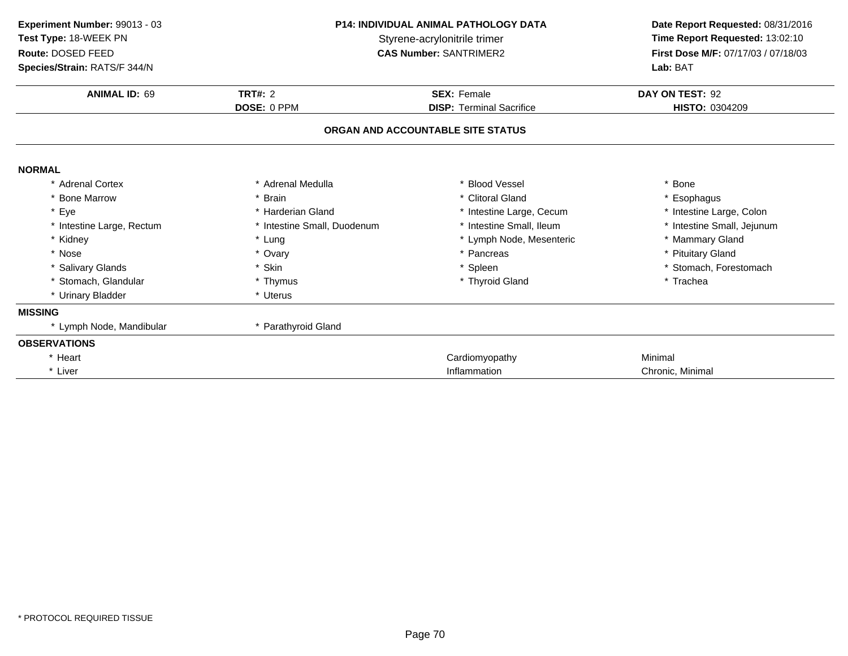| Experiment Number: 99013 - 03 | <b>P14: INDIVIDUAL ANIMAL PATHOLOGY DATA</b> |                                   | Date Report Requested: 08/31/2016   |  |
|-------------------------------|----------------------------------------------|-----------------------------------|-------------------------------------|--|
| Test Type: 18-WEEK PN         | Styrene-acrylonitrile trimer                 |                                   | Time Report Requested: 13:02:10     |  |
| Route: DOSED FEED             |                                              | <b>CAS Number: SANTRIMER2</b>     | First Dose M/F: 07/17/03 / 07/18/03 |  |
| Species/Strain: RATS/F 344/N  |                                              |                                   | Lab: BAT                            |  |
| <b>ANIMAL ID: 69</b>          | TRT#: $2$                                    | <b>SEX: Female</b>                | DAY ON TEST: 92                     |  |
|                               | DOSE: 0 PPM                                  | <b>DISP: Terminal Sacrifice</b>   | HISTO: 0304209                      |  |
|                               |                                              | ORGAN AND ACCOUNTABLE SITE STATUS |                                     |  |
| <b>NORMAL</b>                 |                                              |                                   |                                     |  |
| * Adrenal Cortex              | * Adrenal Medulla                            | * Blood Vessel                    | * Bone                              |  |
| * Bone Marrow                 | * Brain                                      | * Clitoral Gland                  | * Esophagus                         |  |
| * Eye                         | * Harderian Gland                            | * Intestine Large, Cecum          | * Intestine Large, Colon            |  |
| * Intestine Large, Rectum     | * Intestine Small, Duodenum                  | * Intestine Small, Ileum          | * Intestine Small, Jejunum          |  |
| * Kidney                      | * Lung                                       | * Lymph Node, Mesenteric          | * Mammary Gland                     |  |
| * Nose                        | * Ovary                                      | * Pancreas                        | * Pituitary Gland                   |  |
| * Salivary Glands             | * Skin                                       | * Spleen                          | * Stomach, Forestomach              |  |
| * Stomach, Glandular          | * Thymus                                     | * Thyroid Gland                   | * Trachea                           |  |
| * Urinary Bladder             | * Uterus                                     |                                   |                                     |  |
| <b>MISSING</b>                |                                              |                                   |                                     |  |
| * Lymph Node, Mandibular      | * Parathyroid Gland                          |                                   |                                     |  |
| <b>OBSERVATIONS</b>           |                                              |                                   |                                     |  |
| * Heart                       |                                              | Cardiomyopathy                    | Minimal                             |  |
| * Liver                       |                                              | Inflammation                      | Chronic, Minimal                    |  |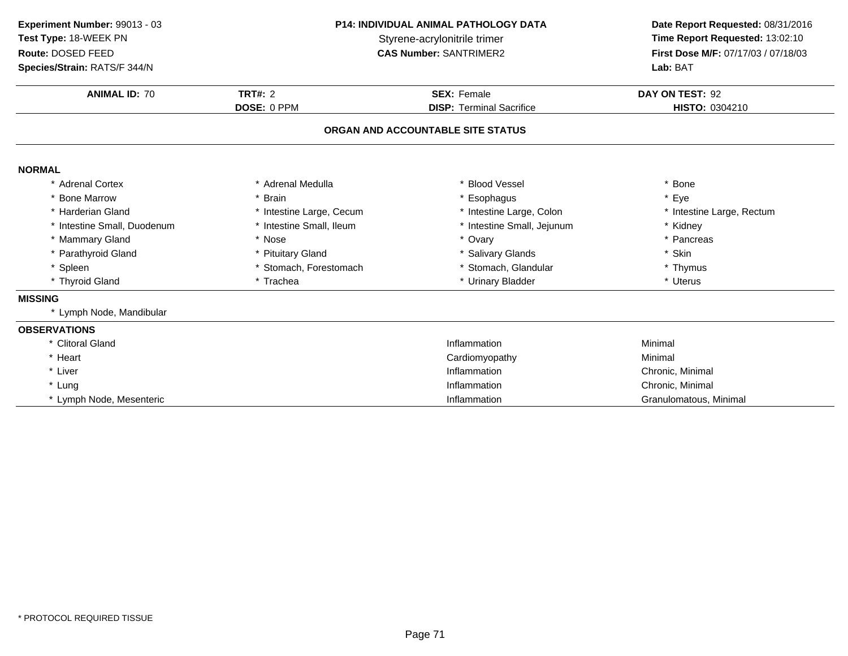| Experiment Number: 99013 - 03<br>Test Type: 18-WEEK PN<br>Route: DOSED FEED<br>Species/Strain: RATS/F 344/N | <b>P14: INDIVIDUAL ANIMAL PATHOLOGY DATA</b><br>Styrene-acrylonitrile trimer<br><b>CAS Number: SANTRIMER2</b> |                                                       | Date Report Requested: 08/31/2016<br>Time Report Requested: 13:02:10<br>First Dose M/F: 07/17/03 / 07/18/03<br>Lab: BAT |
|-------------------------------------------------------------------------------------------------------------|---------------------------------------------------------------------------------------------------------------|-------------------------------------------------------|-------------------------------------------------------------------------------------------------------------------------|
| <b>ANIMAL ID: 70</b>                                                                                        | <b>TRT#: 2</b><br>DOSE: 0 PPM                                                                                 | <b>SEX: Female</b><br><b>DISP: Terminal Sacrifice</b> | DAY ON TEST: 92<br>HISTO: 0304210                                                                                       |
|                                                                                                             |                                                                                                               | ORGAN AND ACCOUNTABLE SITE STATUS                     |                                                                                                                         |
| <b>NORMAL</b>                                                                                               |                                                                                                               |                                                       |                                                                                                                         |
| * Adrenal Cortex                                                                                            | * Adrenal Medulla                                                                                             | * Blood Vessel                                        | * Bone                                                                                                                  |
| * Bone Marrow                                                                                               | * Brain                                                                                                       | * Esophagus                                           | * Eye                                                                                                                   |
| * Harderian Gland                                                                                           | * Intestine Large, Cecum                                                                                      | * Intestine Large, Colon                              | * Intestine Large, Rectum                                                                                               |
| * Intestine Small, Duodenum                                                                                 | * Intestine Small, Ileum                                                                                      | * Intestine Small, Jejunum                            | * Kidney                                                                                                                |
| * Mammary Gland                                                                                             | * Nose                                                                                                        | * Ovary                                               | * Pancreas                                                                                                              |
| * Parathyroid Gland                                                                                         | * Pituitary Gland                                                                                             | * Salivary Glands                                     | * Skin                                                                                                                  |
| * Spleen                                                                                                    | * Stomach, Forestomach                                                                                        | * Stomach, Glandular                                  | * Thymus                                                                                                                |
| * Thyroid Gland                                                                                             | * Trachea                                                                                                     | * Urinary Bladder                                     | * Uterus                                                                                                                |
| <b>MISSING</b>                                                                                              |                                                                                                               |                                                       |                                                                                                                         |
| * Lymph Node, Mandibular                                                                                    |                                                                                                               |                                                       |                                                                                                                         |
| <b>OBSERVATIONS</b>                                                                                         |                                                                                                               |                                                       |                                                                                                                         |
| * Clitoral Gland                                                                                            |                                                                                                               | Inflammation                                          | Minimal                                                                                                                 |
| * Heart                                                                                                     |                                                                                                               | Cardiomyopathy                                        | Minimal                                                                                                                 |
| * Liver                                                                                                     |                                                                                                               | Inflammation                                          | Chronic, Minimal                                                                                                        |
| * Lung                                                                                                      |                                                                                                               | Inflammation                                          | Chronic, Minimal                                                                                                        |
| * Lymph Node, Mesenteric                                                                                    |                                                                                                               | Inflammation                                          | Granulomatous, Minimal                                                                                                  |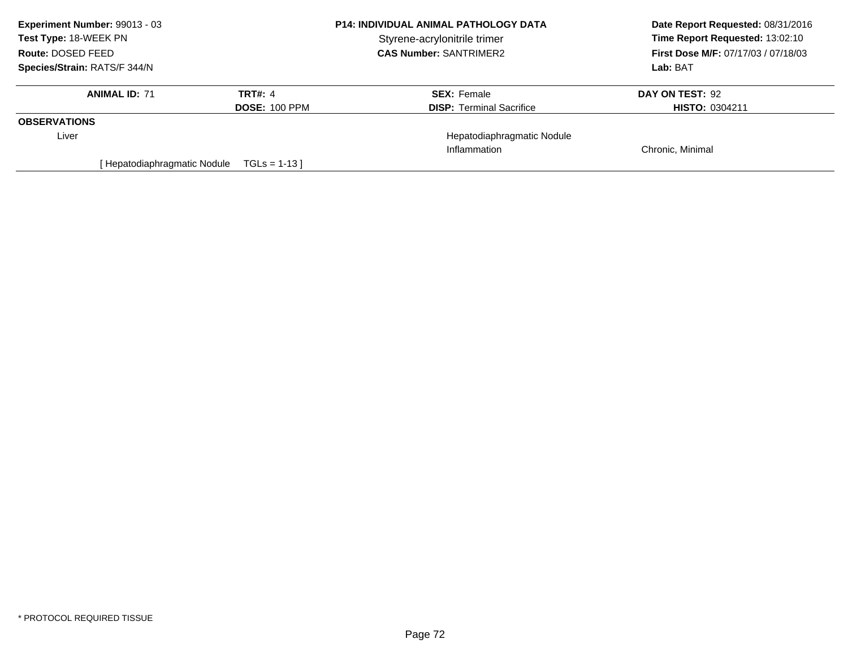| Experiment Number: 99013 - 03 | <b>P14: INDIVIDUAL ANIMAL PATHOLOGY DATA</b> |                                 | Date Report Requested: 08/31/2016          |
|-------------------------------|----------------------------------------------|---------------------------------|--------------------------------------------|
| <b>Test Type: 18-WEEK PN</b>  |                                              | Styrene-acrylonitrile trimer    | Time Report Requested: 13:02:10            |
| Route: DOSED FEED             |                                              | <b>CAS Number: SANTRIMER2</b>   | <b>First Dose M/F: 07/17/03 / 07/18/03</b> |
| Species/Strain: RATS/F 344/N  |                                              |                                 | Lab: BAT                                   |
| <b>ANIMAL ID: 71</b>          | TRT#: 4                                      | <b>SEX: Female</b>              | DAY ON TEST: 92                            |
|                               | <b>DOSE: 100 PPM</b>                         | <b>DISP: Terminal Sacrifice</b> | <b>HISTO: 0304211</b>                      |
| <b>OBSERVATIONS</b>           |                                              |                                 |                                            |
| Liver                         |                                              | Hepatodiaphragmatic Nodule      |                                            |
|                               |                                              | Inflammation                    | Chronic, Minimal                           |
| Hepatodiaphragmatic Nodule    | $TGLs = 1-13$                                |                                 |                                            |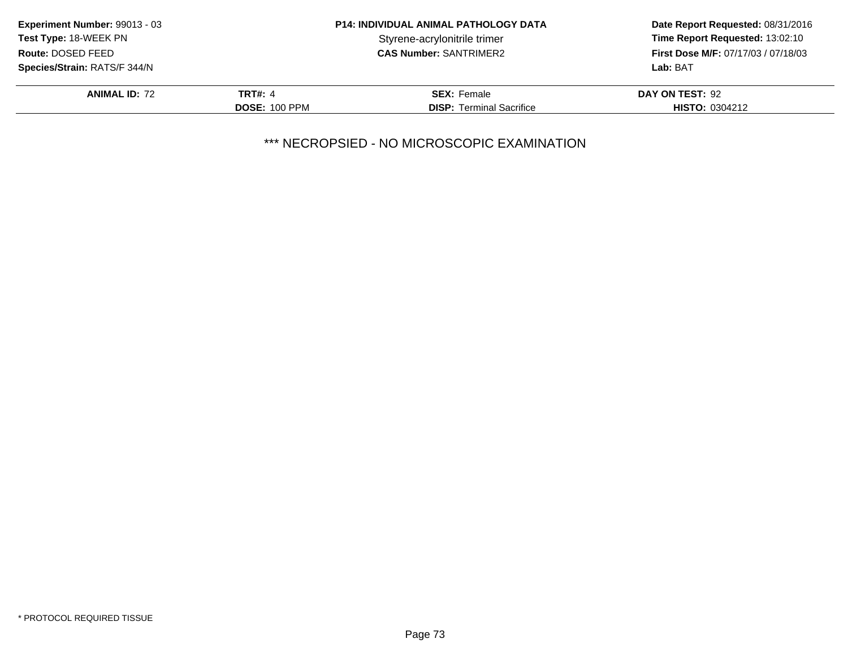| Experiment Number: 99013 - 03       | <b>P14: INDIVIDUAL ANIMAL PATHOLOGY DATA</b> |                                 | Date Report Requested: 08/31/2016          |
|-------------------------------------|----------------------------------------------|---------------------------------|--------------------------------------------|
| Test Type: 18-WEEK PN               |                                              | Styrene-acrylonitrile trimer    | Time Report Requested: 13:02:10            |
| Route: DOSED FEED                   |                                              | <b>CAS Number: SANTRIMER2</b>   | <b>First Dose M/F: 07/17/03 / 07/18/03</b> |
| <b>Species/Strain: RATS/F 344/N</b> |                                              |                                 | Lab: BAT                                   |
| <b>ANIMAL ID: 72</b>                | TRT#: 4                                      | <b>SEX: Female</b>              | DAY ON TEST: 92                            |
|                                     | <b>DOSE: 100 PPM</b>                         | <b>DISP:</b> Terminal Sacrifice | <b>HISTO: 0304212</b>                      |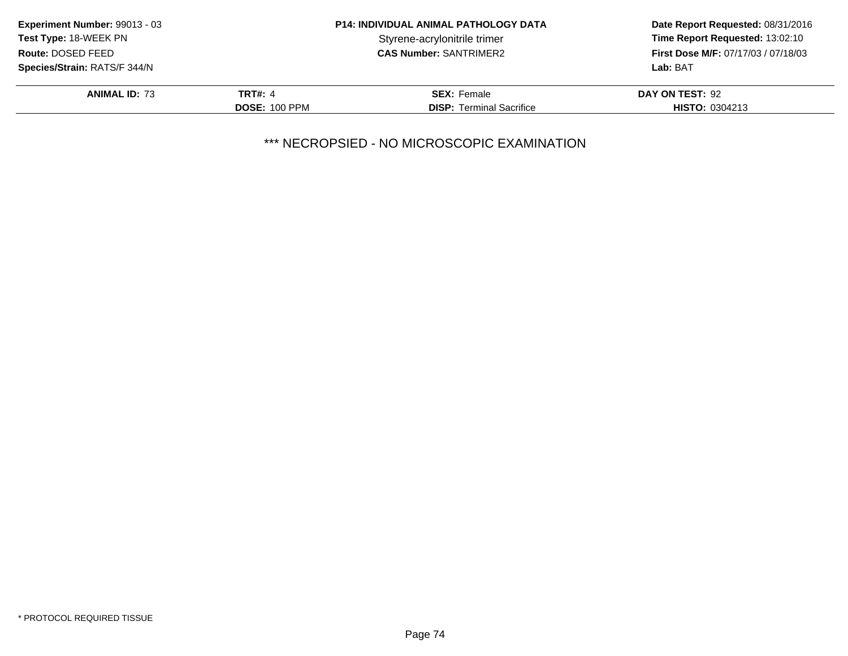| Experiment Number: 99013 - 03 | <b>P14: INDIVIDUAL ANIMAL PATHOLOGY DATA</b> |                                 | Date Report Requested: 08/31/2016          |
|-------------------------------|----------------------------------------------|---------------------------------|--------------------------------------------|
| Test Type: 18-WEEK PN         |                                              | Styrene-acrylonitrile trimer    | Time Report Requested: 13:02:10            |
| Route: DOSED FEED             |                                              | <b>CAS Number: SANTRIMER2</b>   | <b>First Dose M/F: 07/17/03 / 07/18/03</b> |
| Species/Strain: RATS/F 344/N  |                                              |                                 | Lab: BAT                                   |
| <b>ANIMAL ID: 73</b>          | TRT#: 4                                      | <b>SEX: Female</b>              | DAY ON TEST: 92                            |
|                               | <b>DOSE: 100 PPM</b>                         | <b>DISP: Terminal Sacrifice</b> | <b>HISTO: 0304213</b>                      |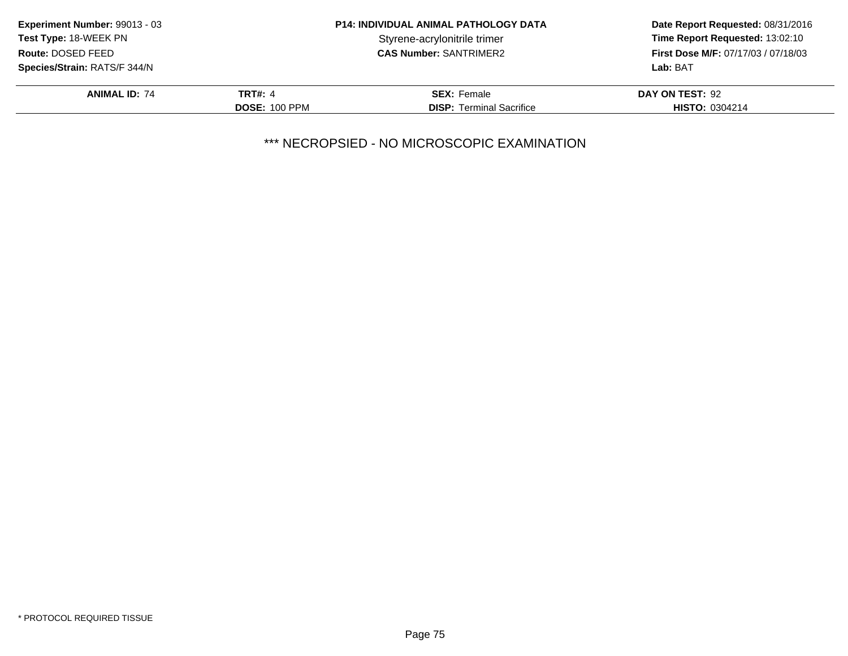| Experiment Number: 99013 - 03 | <b>P14: INDIVIDUAL ANIMAL PATHOLOGY DATA</b> |                                 | Date Report Requested: 08/31/2016          |
|-------------------------------|----------------------------------------------|---------------------------------|--------------------------------------------|
| Test Type: 18-WEEK PN         |                                              | Styrene-acrylonitrile trimer    | Time Report Requested: 13:02:10            |
| Route: DOSED FEED             |                                              | <b>CAS Number: SANTRIMER2</b>   | <b>First Dose M/F: 07/17/03 / 07/18/03</b> |
| Species/Strain: RATS/F 344/N  |                                              |                                 | Lab: BAT                                   |
| <b>ANIMAL ID: 74</b>          | TRT#: 4                                      | <b>SEX: Female</b>              | DAY ON TEST: 92                            |
|                               | <b>DOSE: 100 PPM</b>                         | <b>DISP: Terminal Sacrifice</b> | <b>HISTO: 0304214</b>                      |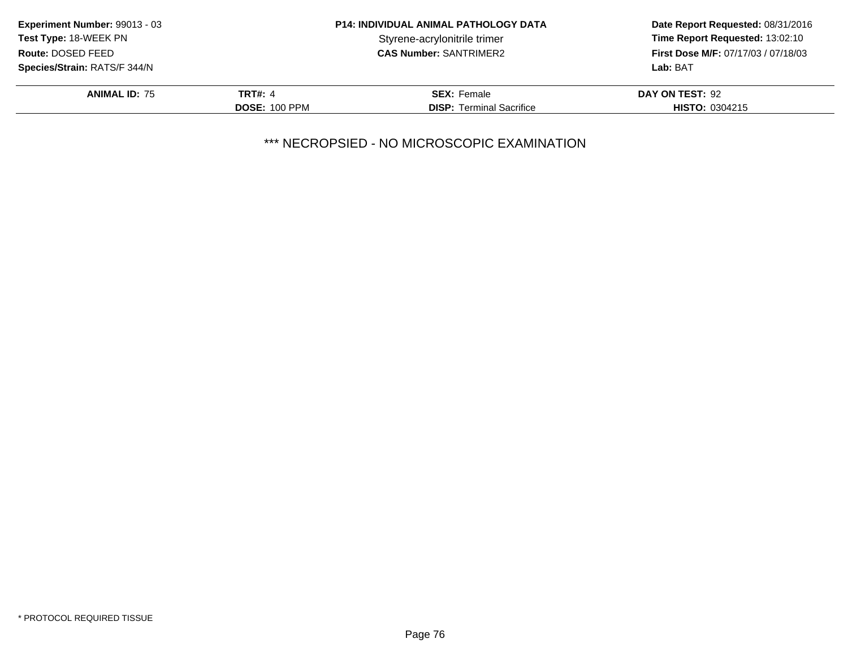| Experiment Number: 99013 - 03 | <b>P14: INDIVIDUAL ANIMAL PATHOLOGY DATA</b> |                                 | Date Report Requested: 08/31/2016          |
|-------------------------------|----------------------------------------------|---------------------------------|--------------------------------------------|
| Test Type: 18-WEEK PN         |                                              | Styrene-acrylonitrile trimer    | Time Report Requested: 13:02:10            |
| Route: DOSED FEED             |                                              | <b>CAS Number: SANTRIMER2</b>   | <b>First Dose M/F: 07/17/03 / 07/18/03</b> |
| Species/Strain: RATS/F 344/N  |                                              |                                 | Lab: BAT                                   |
| <b>ANIMAL ID: 75</b>          | TRT#: 4                                      | <b>SEX: Female</b>              | DAY ON TEST: 92                            |
|                               | <b>DOSE: 100 PPM</b>                         | <b>DISP: Terminal Sacrifice</b> | <b>HISTO: 0304215</b>                      |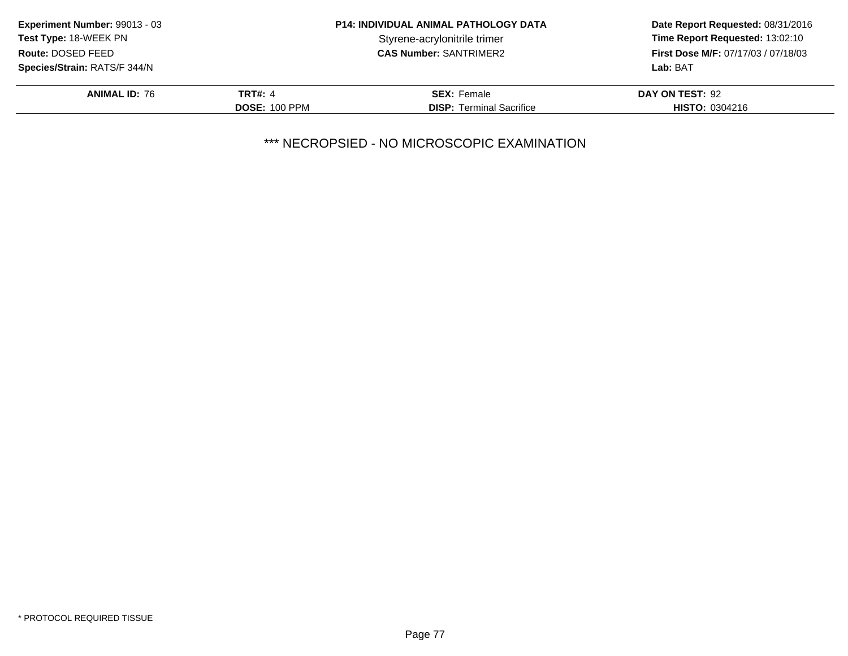| Experiment Number: 99013 - 03 | <b>P14: INDIVIDUAL ANIMAL PATHOLOGY DATA</b> |                                 | Date Report Requested: 08/31/2016          |
|-------------------------------|----------------------------------------------|---------------------------------|--------------------------------------------|
| Test Type: 18-WEEK PN         |                                              | Styrene-acrylonitrile trimer    | Time Report Requested: 13:02:10            |
| Route: DOSED FEED             |                                              | <b>CAS Number: SANTRIMER2</b>   | <b>First Dose M/F: 07/17/03 / 07/18/03</b> |
| Species/Strain: RATS/F 344/N  |                                              |                                 | Lab: BAT                                   |
| <b>ANIMAL ID: 76</b>          | TRT#: 4                                      | <b>SEX: Female</b>              | DAY ON TEST: 92                            |
|                               | <b>DOSE: 100 PPM</b>                         | <b>DISP: Terminal Sacrifice</b> | <b>HISTO: 0304216</b>                      |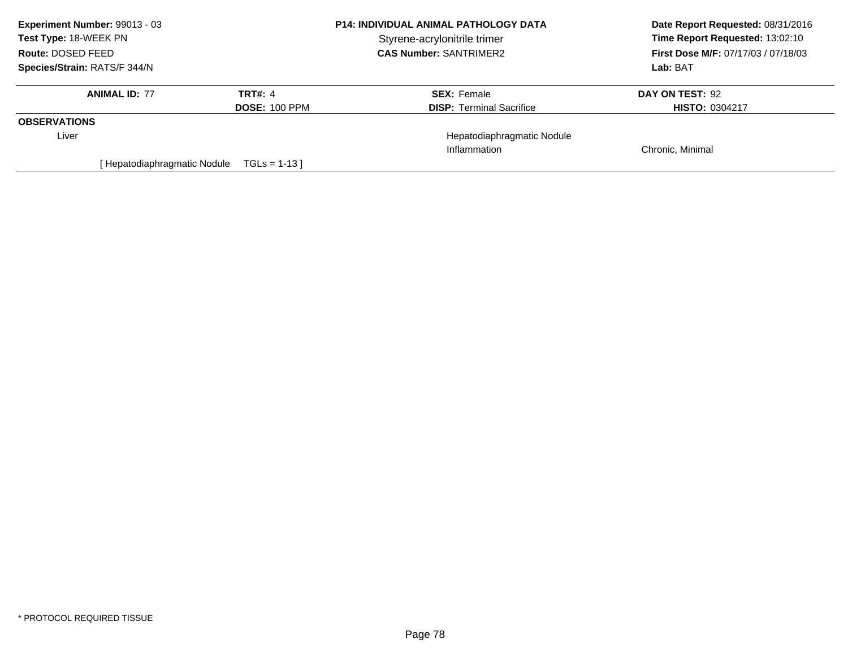| Experiment Number: 99013 - 03 | <b>P14: INDIVIDUAL ANIMAL PATHOLOGY DATA</b> |                                 | Date Report Requested: 08/31/2016          |
|-------------------------------|----------------------------------------------|---------------------------------|--------------------------------------------|
| <b>Test Type: 18-WEEK PN</b>  |                                              | Styrene-acrylonitrile trimer    | Time Report Requested: 13:02:10            |
| Route: DOSED FEED             |                                              | <b>CAS Number: SANTRIMER2</b>   | <b>First Dose M/F: 07/17/03 / 07/18/03</b> |
| Species/Strain: RATS/F 344/N  |                                              |                                 | Lab: BAT                                   |
| <b>ANIMAL ID: 77</b>          | TRT#: 4                                      | <b>SEX: Female</b>              | DAY ON TEST: 92                            |
|                               | <b>DOSE: 100 PPM</b>                         | <b>DISP:</b> Terminal Sacrifice | <b>HISTO: 0304217</b>                      |
| <b>OBSERVATIONS</b>           |                                              |                                 |                                            |
| Liver                         |                                              | Hepatodiaphragmatic Nodule      |                                            |
|                               |                                              | Inflammation                    | Chronic, Minimal                           |
| Hepatodiaphragmatic Nodule    | $TGLs = 1-13$                                |                                 |                                            |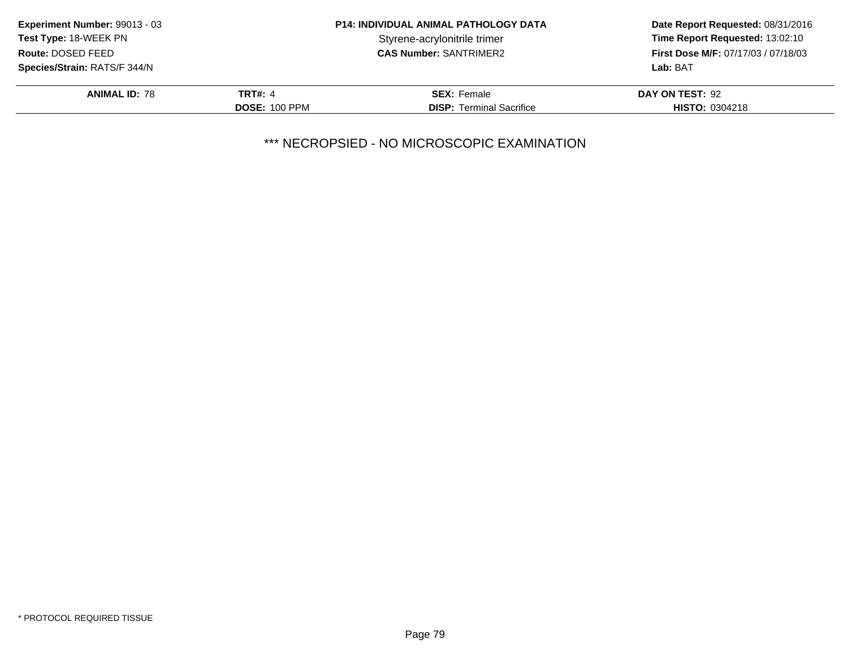| Experiment Number: 99013 - 03 | <b>P14: INDIVIDUAL ANIMAL PATHOLOGY DATA</b> |                                 | Date Report Requested: 08/31/2016          |
|-------------------------------|----------------------------------------------|---------------------------------|--------------------------------------------|
| Test Type: 18-WEEK PN         |                                              | Styrene-acrylonitrile trimer    | Time Report Requested: 13:02:10            |
| Route: DOSED FEED             |                                              | <b>CAS Number: SANTRIMER2</b>   | <b>First Dose M/F: 07/17/03 / 07/18/03</b> |
| Species/Strain: RATS/F 344/N  |                                              |                                 | Lab: BAT                                   |
| <b>ANIMAL ID: 78</b>          | TRT#: 4                                      | <b>SEX: Female</b>              | DAY ON TEST: 92                            |
|                               | <b>DOSE: 100 PPM</b>                         | <b>DISP: Terminal Sacrifice</b> | <b>HISTO: 0304218</b>                      |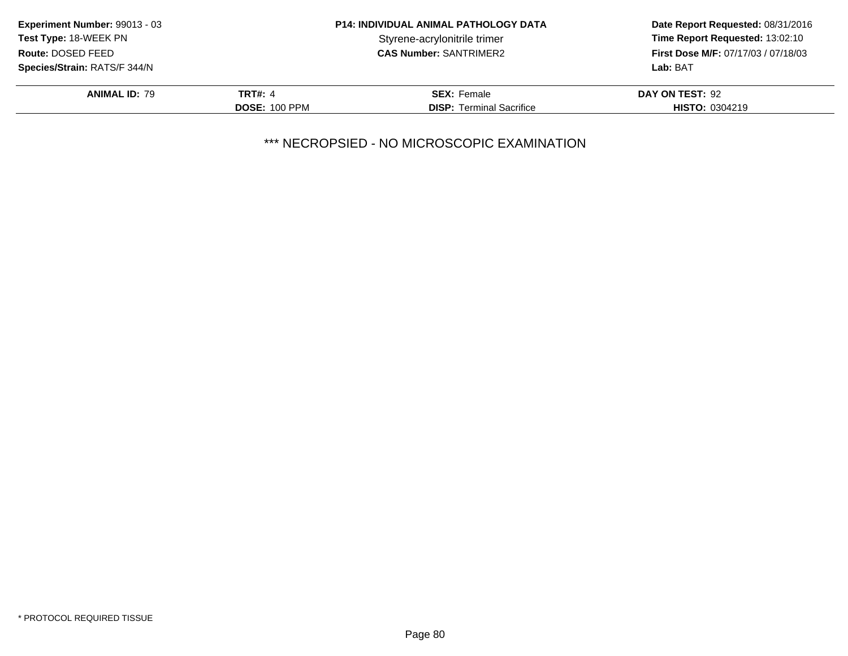| Experiment Number: 99013 - 03 | <b>P14: INDIVIDUAL ANIMAL PATHOLOGY DATA</b> |                                 | Date Report Requested: 08/31/2016          |
|-------------------------------|----------------------------------------------|---------------------------------|--------------------------------------------|
| <b>Test Type: 18-WEEK PN</b>  |                                              | Styrene-acrylonitrile trimer    | Time Report Requested: 13:02:10            |
| Route: DOSED FEED             |                                              | <b>CAS Number: SANTRIMER2</b>   | <b>First Dose M/F: 07/17/03 / 07/18/03</b> |
| Species/Strain: RATS/F 344/N  |                                              |                                 | Lab: BAT                                   |
| <b>ANIMAL ID: 79</b>          | <b>TRT#: 4</b>                               | <b>SEX:</b> Female              | DAY ON TEST: 92                            |
|                               | <b>DOSE: 100 PPM</b>                         | <b>DISP:</b> Terminal Sacrifice | <b>HISTO: 0304219</b>                      |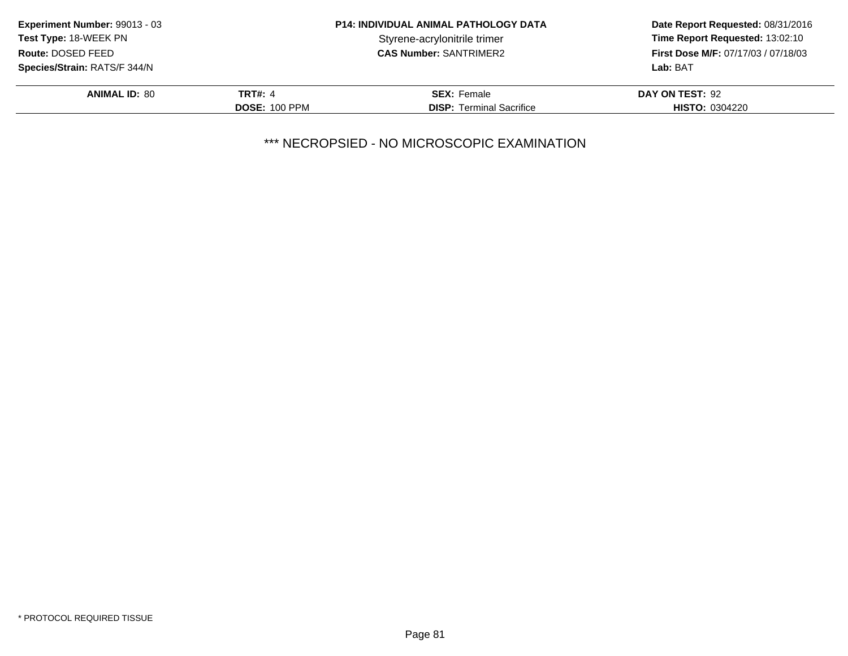| Experiment Number: 99013 - 03 | <b>P14: INDIVIDUAL ANIMAL PATHOLOGY DATA</b> |                                 | Date Report Requested: 08/31/2016          |
|-------------------------------|----------------------------------------------|---------------------------------|--------------------------------------------|
| Test Type: 18-WEEK PN         |                                              | Styrene-acrylonitrile trimer    | Time Report Requested: 13:02:10            |
| Route: DOSED FEED             |                                              | <b>CAS Number: SANTRIMER2</b>   | <b>First Dose M/F: 07/17/03 / 07/18/03</b> |
| Species/Strain: RATS/F 344/N  |                                              |                                 | Lab: BAT                                   |
| <b>ANIMAL ID: 80</b>          | TRT#: 4                                      | <b>SEX: Female</b>              | DAY ON TEST: 92                            |
|                               | <b>DOSE: 100 PPM</b>                         | <b>DISP:</b> Terminal Sacrifice | <b>HISTO: 0304220</b>                      |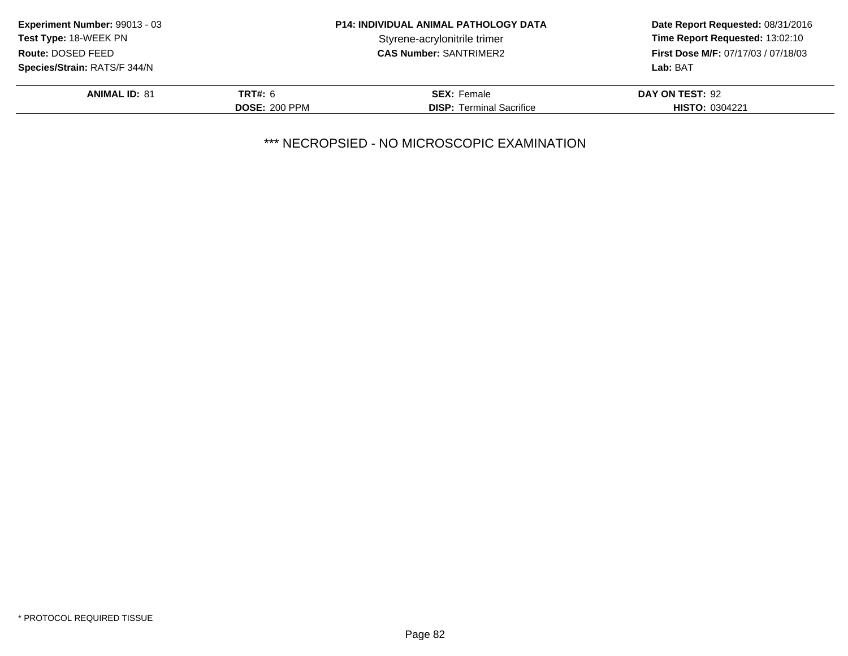| <b>Experiment Number: 99013 - 03</b> | <b>P14: INDIVIDUAL ANIMAL PATHOLOGY DATA</b> |                                 | Date Report Requested: 08/31/2016   |
|--------------------------------------|----------------------------------------------|---------------------------------|-------------------------------------|
| <b>Test Type: 18-WEEK PN</b>         |                                              | Styrene-acrylonitrile trimer    | Time Report Requested: 13:02:10     |
| Route: DOSED FEED                    |                                              | <b>CAS Number: SANTRIMER2</b>   | First Dose M/F: 07/17/03 / 07/18/03 |
| <b>Species/Strain: RATS/F 344/N</b>  |                                              |                                 | Lab: BAT                            |
| <b>ANIMAL ID: 81</b>                 | <b>TRT#: 6</b>                               | <b>SEX: Female</b>              | DAY ON TEST: 92                     |
|                                      | <b>DOSE: 200 PPM</b>                         | <b>DISP:</b> Terminal Sacrifice | <b>HISTO: 0304221</b>               |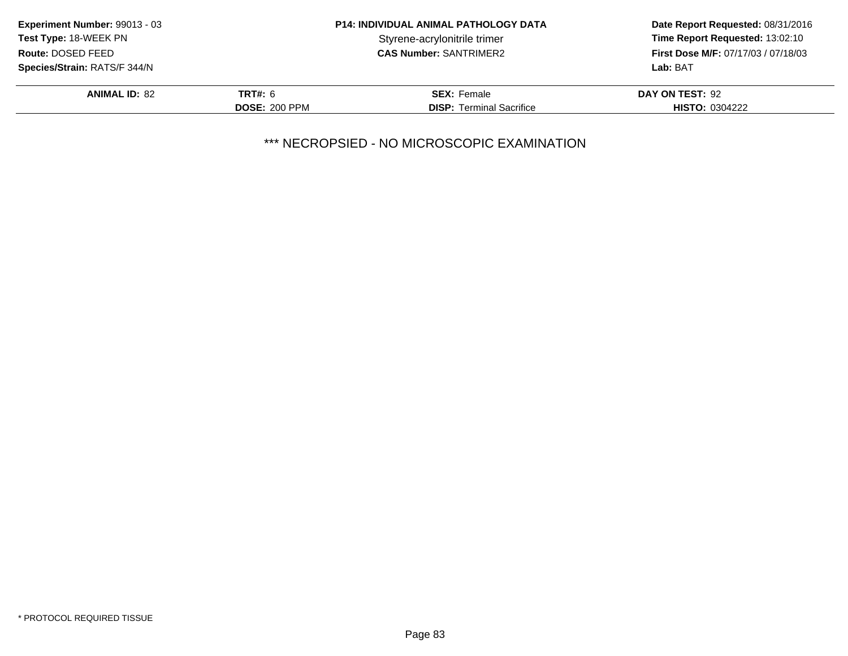| <b>Experiment Number: 99013 - 03</b> | <b>P14: INDIVIDUAL ANIMAL PATHOLOGY DATA</b> |                                 | Date Report Requested: 08/31/2016          |
|--------------------------------------|----------------------------------------------|---------------------------------|--------------------------------------------|
| Test Type: 18-WEEK PN                |                                              | Styrene-acrylonitrile trimer    | Time Report Requested: 13:02:10            |
| Route: DOSED FEED                    |                                              | <b>CAS Number: SANTRIMER2</b>   | <b>First Dose M/F: 07/17/03 / 07/18/03</b> |
| <b>Species/Strain: RATS/F 344/N</b>  |                                              |                                 | Lab: BAT                                   |
| <b>ANIMAL ID: 82</b>                 | <b>TRT#: 6</b>                               | <b>SEX: Female</b>              | DAY ON TEST: 92                            |
|                                      | <b>DOSE: 200 PPM</b>                         | <b>DISP:</b> Terminal Sacrifice | <b>HISTO: 0304222</b>                      |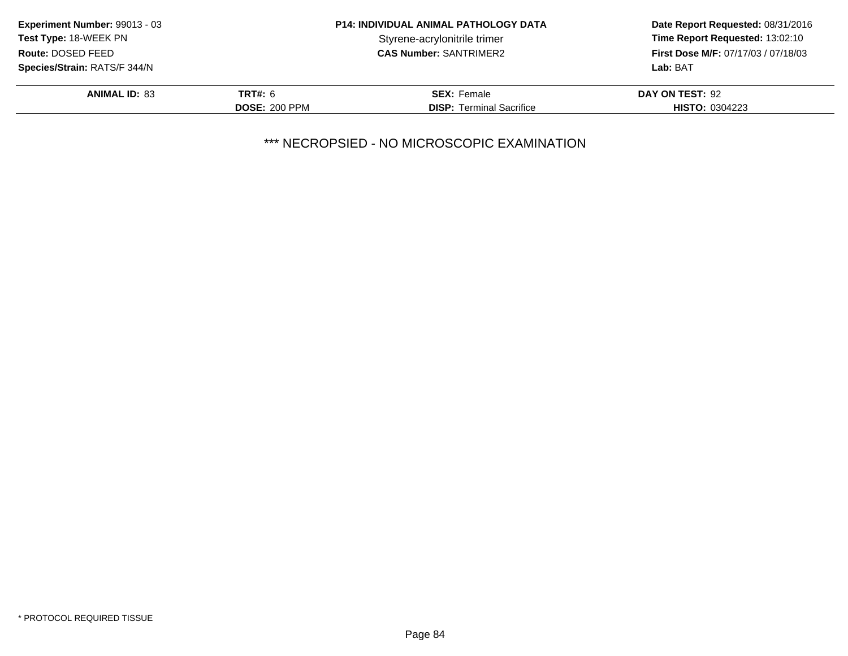| <b>Experiment Number: 99013 - 03</b> | <b>P14: INDIVIDUAL ANIMAL PATHOLOGY DATA</b> |                                 | Date Report Requested: 08/31/2016          |
|--------------------------------------|----------------------------------------------|---------------------------------|--------------------------------------------|
| Test Type: 18-WEEK PN                |                                              | Styrene-acrylonitrile trimer    | Time Report Requested: 13:02:10            |
| Route: DOSED FEED                    |                                              | <b>CAS Number: SANTRIMER2</b>   | <b>First Dose M/F: 07/17/03 / 07/18/03</b> |
| <b>Species/Strain: RATS/F 344/N</b>  |                                              |                                 | Lab: BAT                                   |
| <b>ANIMAL ID: 83</b>                 | <b>TRT#: 6</b>                               | <b>SEX: Female</b>              | DAY ON TEST: 92                            |
|                                      | <b>DOSE: 200 PPM</b>                         | <b>DISP:</b> Terminal Sacrifice | <b>HISTO: 0304223</b>                      |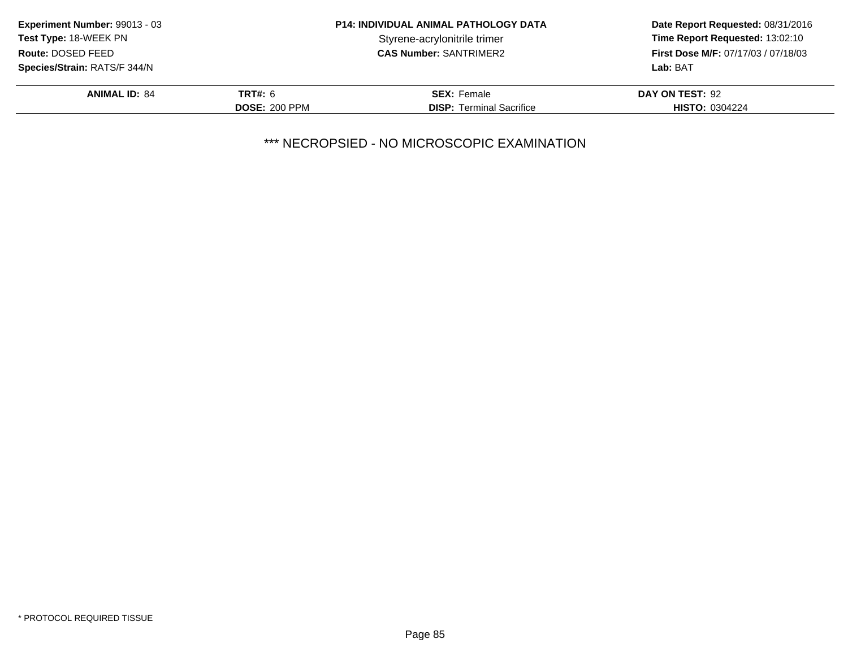| Experiment Number: 99013 - 03       | <b>P14: INDIVIDUAL ANIMAL PATHOLOGY DATA</b> |                                 | Date Report Requested: 08/31/2016          |
|-------------------------------------|----------------------------------------------|---------------------------------|--------------------------------------------|
| <b>Test Type: 18-WEEK PN</b>        |                                              | Styrene-acrylonitrile trimer    | Time Report Requested: 13:02:10            |
| Route: DOSED FEED                   |                                              | <b>CAS Number: SANTRIMER2</b>   | <b>First Dose M/F: 07/17/03 / 07/18/03</b> |
| <b>Species/Strain: RATS/F 344/N</b> |                                              |                                 | Lab: BAT                                   |
| <b>ANIMAL ID: 84</b>                | <b>TRT#: 6</b>                               | <b>SEX: Female</b>              | DAY ON TEST: 92                            |
|                                     | <b>DOSE: 200 PPM</b>                         | <b>DISP:</b> Terminal Sacrifice | <b>HISTO: 0304224</b>                      |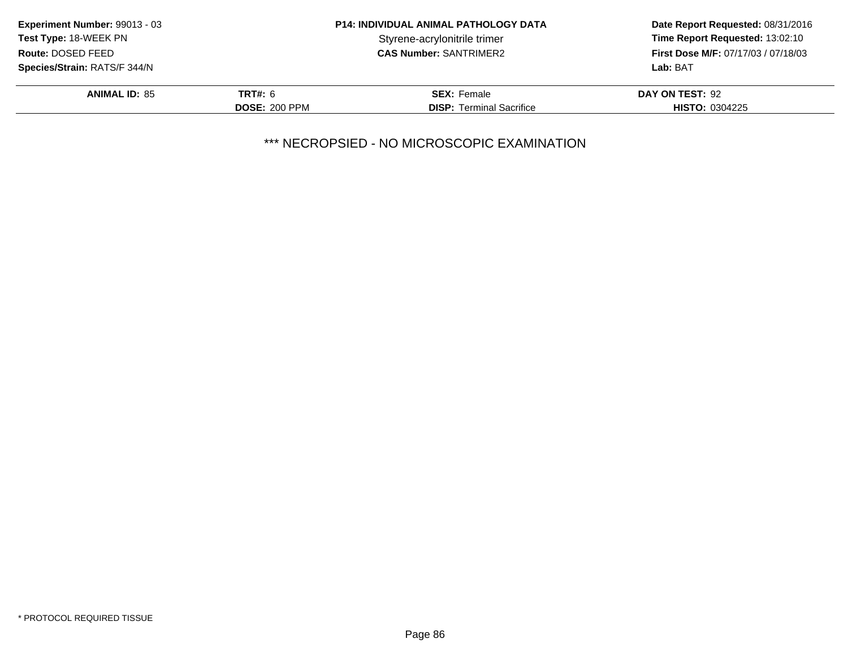| Experiment Number: 99013 - 03       | <b>P14: INDIVIDUAL ANIMAL PATHOLOGY DATA</b> |                                 | Date Report Requested: 08/31/2016          |
|-------------------------------------|----------------------------------------------|---------------------------------|--------------------------------------------|
| <b>Test Type: 18-WEEK PN</b>        |                                              | Styrene-acrylonitrile trimer    | Time Report Requested: 13:02:10            |
| Route: DOSED FEED                   |                                              | <b>CAS Number: SANTRIMER2</b>   | <b>First Dose M/F: 07/17/03 / 07/18/03</b> |
| <b>Species/Strain: RATS/F 344/N</b> |                                              |                                 | Lab: BAT                                   |
| <b>ANIMAL ID: 85</b>                | <b>TRT#: 6</b>                               | <b>SEX: Female</b>              | DAY ON TEST: 92                            |
|                                     | <b>DOSE: 200 PPM</b>                         | <b>DISP:</b> Terminal Sacrifice | <b>HISTO: 0304225</b>                      |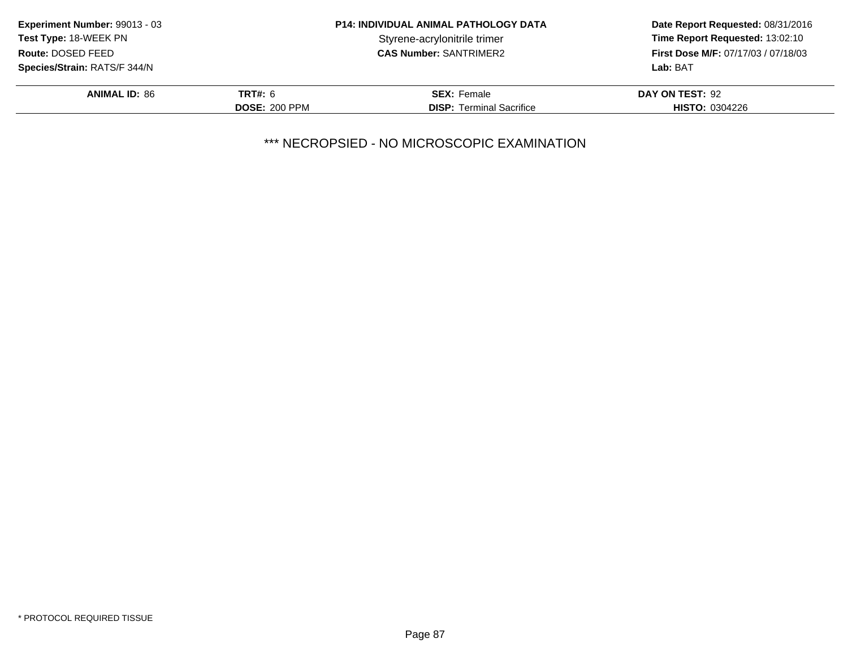| <b>Experiment Number: 99013 - 03</b> | <b>P14: INDIVIDUAL ANIMAL PATHOLOGY DATA</b> |                                 | Date Report Requested: 08/31/2016          |
|--------------------------------------|----------------------------------------------|---------------------------------|--------------------------------------------|
| Test Type: 18-WEEK PN                |                                              | Styrene-acrylonitrile trimer    | Time Report Requested: 13:02:10            |
| Route: DOSED FEED                    |                                              | <b>CAS Number: SANTRIMER2</b>   | <b>First Dose M/F: 07/17/03 / 07/18/03</b> |
| <b>Species/Strain: RATS/F 344/N</b>  |                                              |                                 | Lab: BAT                                   |
| <b>ANIMAL ID: 86</b>                 | <b>TRT#: 6</b>                               | <b>SEX: Female</b>              | DAY ON TEST: 92                            |
|                                      | <b>DOSE: 200 PPM</b>                         | <b>DISP:</b> Terminal Sacrifice | <b>HISTO: 0304226</b>                      |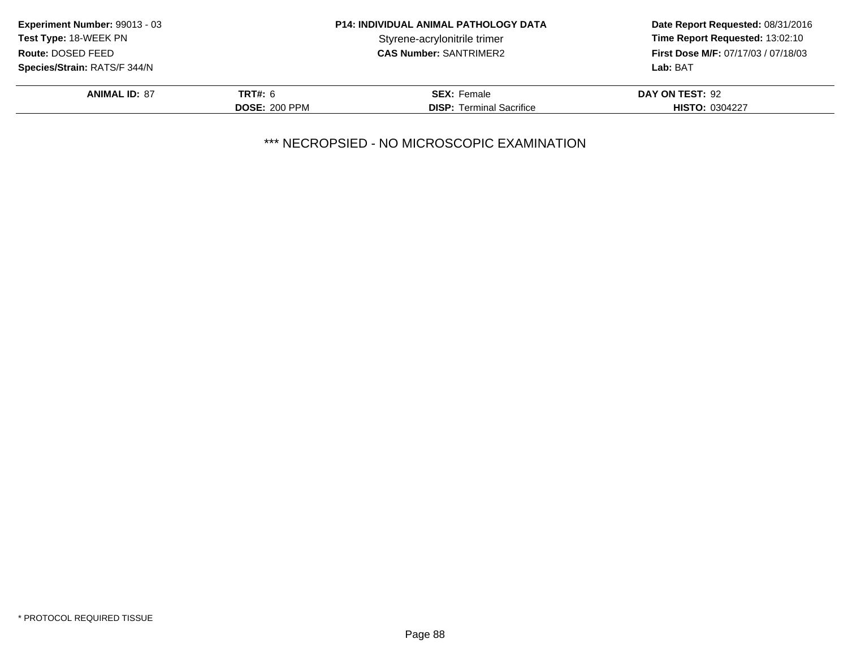| <b>Experiment Number: 99013 - 03</b> | <b>P14: INDIVIDUAL ANIMAL PATHOLOGY DATA</b> |                                 | Date Report Requested: 08/31/2016   |
|--------------------------------------|----------------------------------------------|---------------------------------|-------------------------------------|
| <b>Test Type: 18-WEEK PN</b>         |                                              | Styrene-acrylonitrile trimer    | Time Report Requested: 13:02:10     |
| Route: DOSED FEED                    |                                              | <b>CAS Number: SANTRIMER2</b>   | First Dose M/F: 07/17/03 / 07/18/03 |
| Species/Strain: RATS/F 344/N         |                                              |                                 | Lab: BAT                            |
| <b>ANIMAL ID: 87</b>                 | TRT#: 6                                      | <b>SEX: Female</b>              | DAY ON TEST: 92                     |
|                                      | <b>DOSE: 200 PPM</b>                         | <b>DISP:</b> Terminal Sacrifice | <b>HISTO: 0304227</b>               |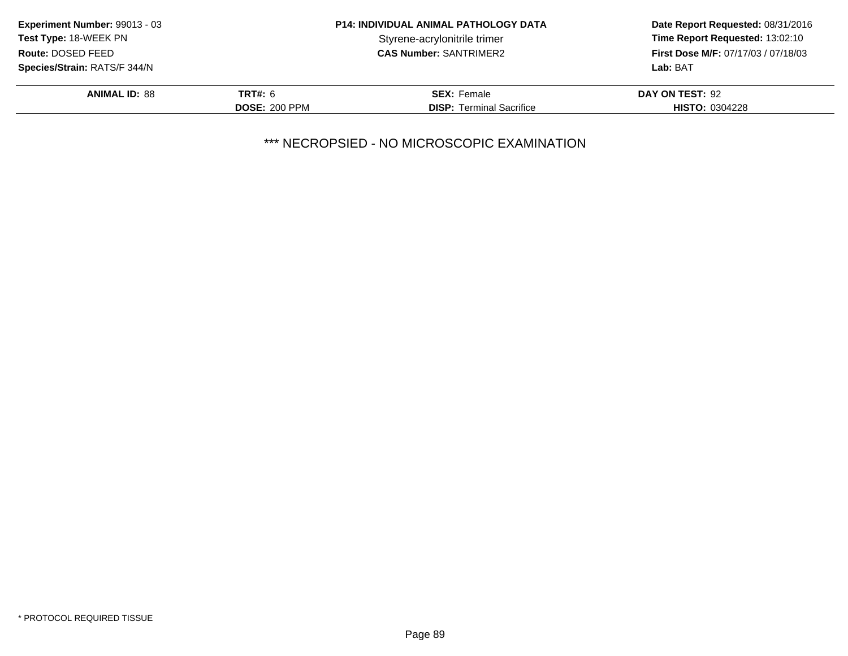| <b>Experiment Number: 99013 - 03</b> |                      | <b>P14: INDIVIDUAL ANIMAL PATHOLOGY DATA</b> | Date Report Requested: 08/31/2016<br>Time Report Requested: 13:02:10 |
|--------------------------------------|----------------------|----------------------------------------------|----------------------------------------------------------------------|
| Test Type: 18-WEEK PN                |                      | Styrene-acrylonitrile trimer                 |                                                                      |
| Route: DOSED FEED                    |                      | <b>CAS Number: SANTRIMER2</b>                | <b>First Dose M/F: 07/17/03 / 07/18/03</b>                           |
| <b>Species/Strain: RATS/F 344/N</b>  |                      |                                              | Lab: BAT                                                             |
| <b>ANIMAL ID: 88</b>                 | TRT#: 6              | <b>SEX: Female</b>                           | DAY ON TEST: 92                                                      |
|                                      | <b>DOSE: 200 PPM</b> | <b>DISP:</b> Terminal Sacrifice              | <b>HISTO: 0304228</b>                                                |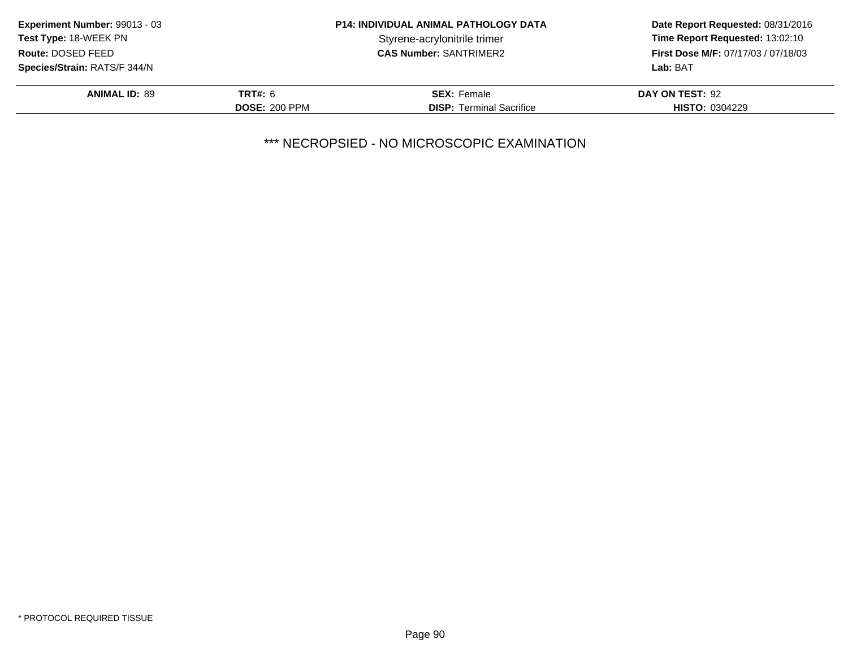| <b>Experiment Number: 99013 - 03</b> | <b>P14: INDIVIDUAL ANIMAL PATHOLOGY DATA</b> |                                 | Date Report Requested: 08/31/2016   |
|--------------------------------------|----------------------------------------------|---------------------------------|-------------------------------------|
| <b>Test Type: 18-WEEK PN</b>         |                                              | Styrene-acrylonitrile trimer    | Time Report Requested: 13:02:10     |
| Route: DOSED FEED                    |                                              | <b>CAS Number: SANTRIMER2</b>   | First Dose M/F: 07/17/03 / 07/18/03 |
| <b>Species/Strain: RATS/F 344/N</b>  |                                              |                                 | Lab: BAT                            |
| <b>ANIMAL ID: 89</b>                 | <b>TRT#: 6</b>                               | <b>SEX: Female</b>              | DAY ON TEST: 92                     |
|                                      | <b>DOSE: 200 PPM</b>                         | <b>DISP:</b> Terminal Sacrifice | <b>HISTO: 0304229</b>               |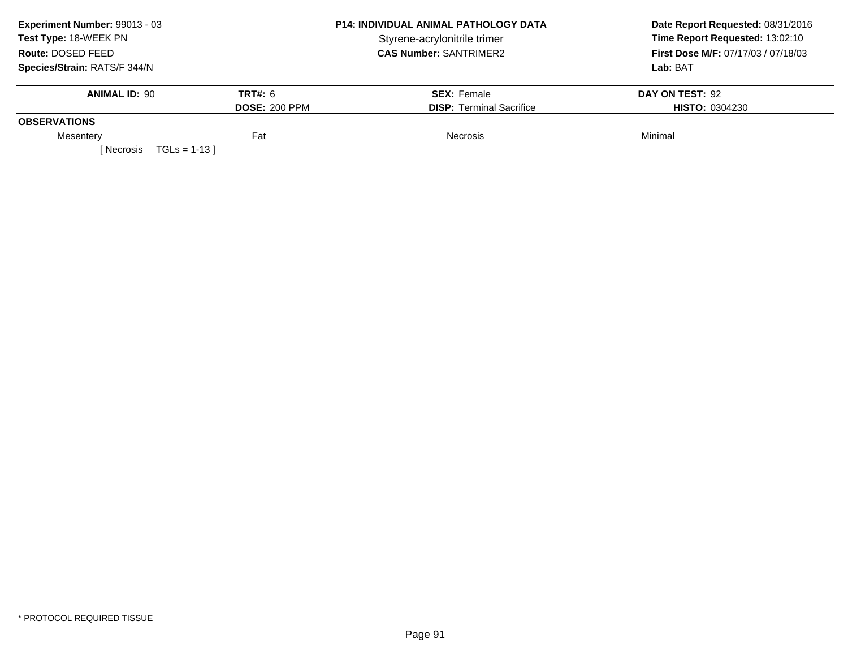| Experiment Number: 99013 - 03 |                      | <b>P14: INDIVIDUAL ANIMAL PATHOLOGY DATA</b> | Date Report Requested: 08/31/2016<br>Time Report Requested: 13:02:10<br>First Dose M/F: 07/17/03 / 07/18/03 |
|-------------------------------|----------------------|----------------------------------------------|-------------------------------------------------------------------------------------------------------------|
| Test Type: 18-WEEK PN         |                      | Styrene-acrylonitrile trimer                 |                                                                                                             |
| Route: DOSED FEED             |                      | <b>CAS Number: SANTRIMER2</b>                |                                                                                                             |
| Species/Strain: RATS/F 344/N  |                      |                                              | Lab: BAT                                                                                                    |
| <b>ANIMAL ID: 90</b>          | <b>TRT#: 6</b>       | <b>SEX: Female</b>                           | DAY ON TEST: 92                                                                                             |
|                               | <b>DOSE: 200 PPM</b> | <b>DISP:</b> Terminal Sacrifice              | <b>HISTO: 0304230</b>                                                                                       |
| <b>OBSERVATIONS</b>           |                      |                                              |                                                                                                             |
| Mesentery                     | Fat                  | <b>Necrosis</b>                              | Minimal                                                                                                     |
| [ Necrosis                    | $TGLs = 1-13$        |                                              |                                                                                                             |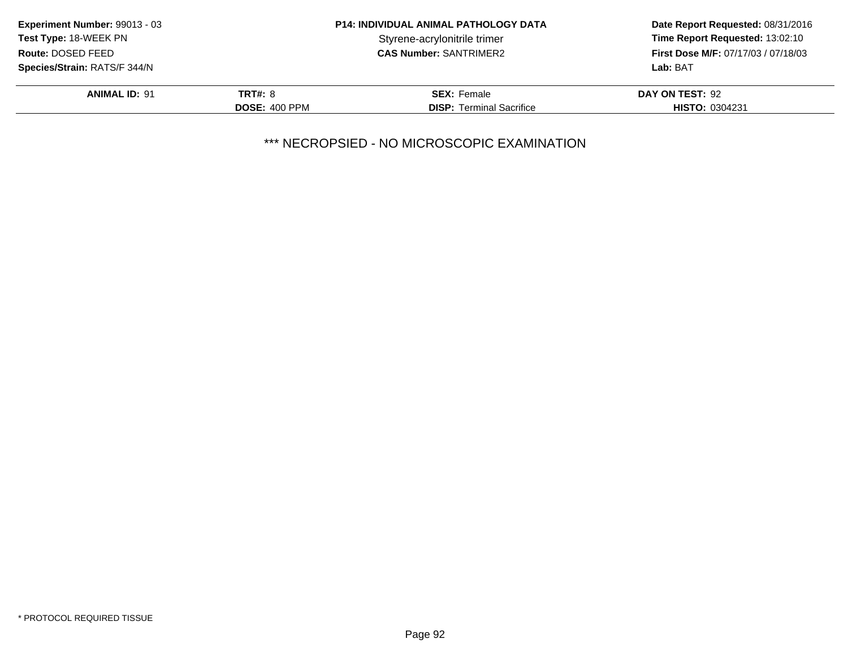| Experiment Number: 99013 - 03 | <b>P14: INDIVIDUAL ANIMAL PATHOLOGY DATA</b> |                                 | Date Report Requested: 08/31/2016   |
|-------------------------------|----------------------------------------------|---------------------------------|-------------------------------------|
| <b>Test Type: 18-WEEK PN</b>  |                                              | Styrene-acrylonitrile trimer    | Time Report Requested: 13:02:10     |
| Route: DOSED FEED             |                                              | <b>CAS Number: SANTRIMER2</b>   | First Dose M/F: 07/17/03 / 07/18/03 |
| Species/Strain: RATS/F 344/N  |                                              |                                 | Lab: BAT                            |
| <b>ANIMAL ID: 91</b>          | <b>TRT#: 8</b>                               | <b>SEX: Female</b>              | DAY ON TEST: 92                     |
|                               | <b>DOSE: 400 PPM</b>                         | <b>DISP:</b> Terminal Sacrifice | <b>HISTO: 0304231</b>               |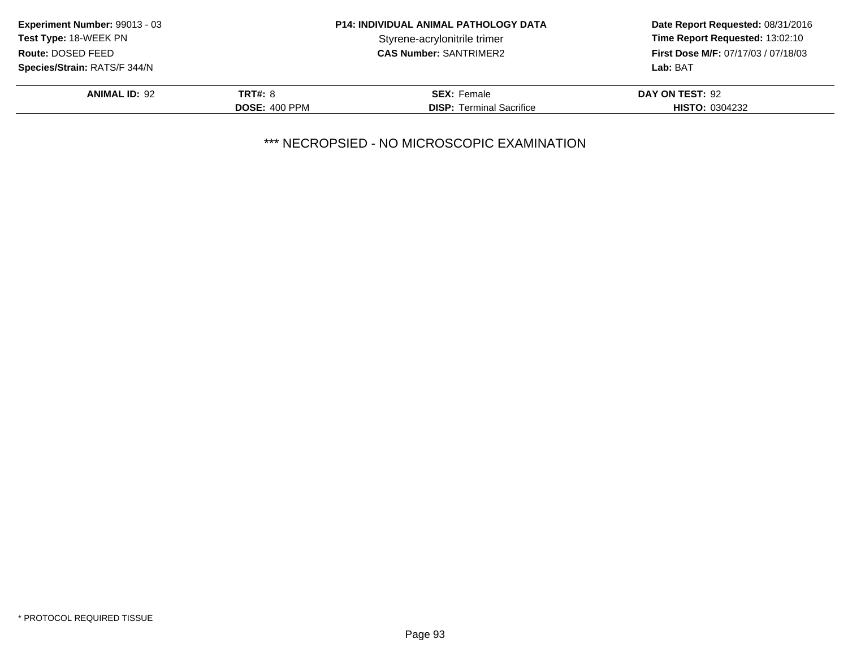| Experiment Number: 99013 - 03       | <b>P14: INDIVIDUAL ANIMAL PATHOLOGY DATA</b> |                                 | Date Report Requested: 08/31/2016          |
|-------------------------------------|----------------------------------------------|---------------------------------|--------------------------------------------|
| <b>Test Type: 18-WEEK PN</b>        |                                              | Styrene-acrylonitrile trimer    | Time Report Requested: 13:02:10            |
| Route: DOSED FEED                   |                                              | <b>CAS Number: SANTRIMER2</b>   | <b>First Dose M/F: 07/17/03 / 07/18/03</b> |
| <b>Species/Strain: RATS/F 344/N</b> |                                              |                                 | Lab: BAT                                   |
| <b>ANIMAL ID: 92</b>                | <b>TRT#: 8</b>                               | <b>SEX: Female</b>              | DAY ON TEST: 92                            |
|                                     | <b>DOSE: 400 PPM</b>                         | <b>DISP: Terminal Sacrifice</b> | <b>HISTO: 0304232</b>                      |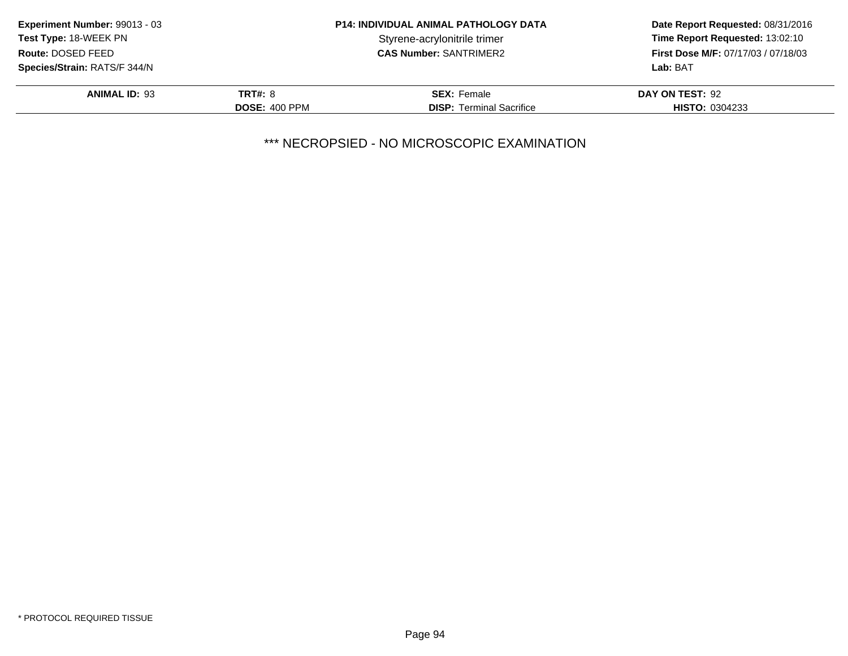| Experiment Number: 99013 - 03       | <b>P14: INDIVIDUAL ANIMAL PATHOLOGY DATA</b> |                                 | Date Report Requested: 08/31/2016          |
|-------------------------------------|----------------------------------------------|---------------------------------|--------------------------------------------|
| <b>Test Type: 18-WEEK PN</b>        |                                              | Styrene-acrylonitrile trimer    | Time Report Requested: 13:02:10            |
| Route: DOSED FEED                   |                                              | <b>CAS Number: SANTRIMER2</b>   | <b>First Dose M/F: 07/17/03 / 07/18/03</b> |
| <b>Species/Strain: RATS/F 344/N</b> |                                              |                                 | Lab: BAT                                   |
| <b>ANIMAL ID: 93</b>                | <b>TRT#: 8</b>                               | <b>SEX: Female</b>              | DAY ON TEST: 92                            |
|                                     | <b>DOSE: 400 PPM</b>                         | <b>DISP: Terminal Sacrifice</b> | <b>HISTO: 0304233</b>                      |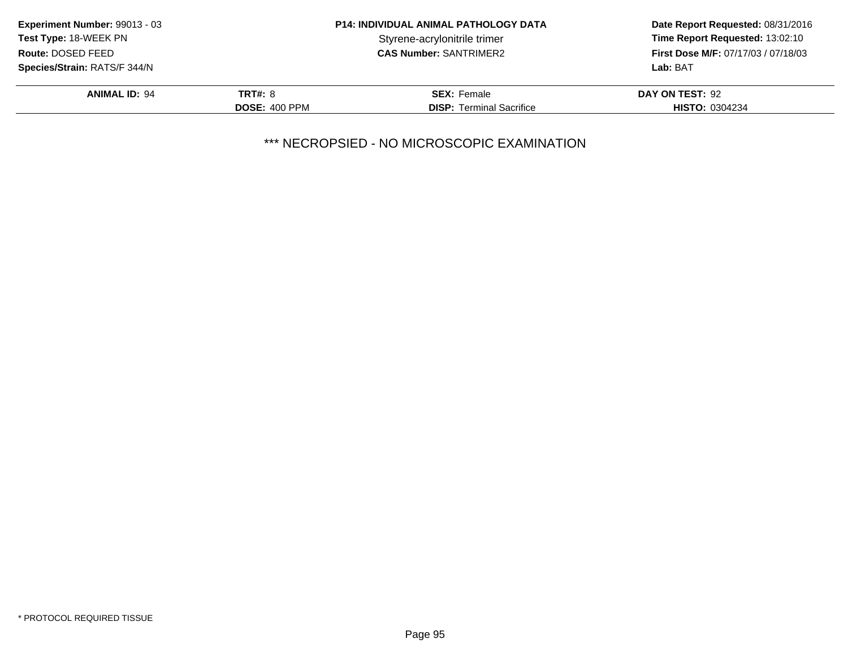| <b>Experiment Number: 99013 - 03</b> | <b>P14: INDIVIDUAL ANIMAL PATHOLOGY DATA</b> |                                 | Date Report Requested: 08/31/2016   |
|--------------------------------------|----------------------------------------------|---------------------------------|-------------------------------------|
| <b>Test Type: 18-WEEK PN</b>         |                                              | Styrene-acrylonitrile trimer    | Time Report Requested: 13:02:10     |
| Route: DOSED FEED                    |                                              | <b>CAS Number: SANTRIMER2</b>   | First Dose M/F: 07/17/03 / 07/18/03 |
| Species/Strain: RATS/F 344/N         |                                              |                                 | Lab: BAT                            |
| <b>ANIMAL ID: 94</b>                 | <b>TRT#: 8</b>                               | <b>SEX: Female</b>              | DAY ON TEST: 92                     |
|                                      | <b>DOSE: 400 PPM</b>                         | <b>DISP:</b> Terminal Sacrifice | <b>HISTO: 0304234</b>               |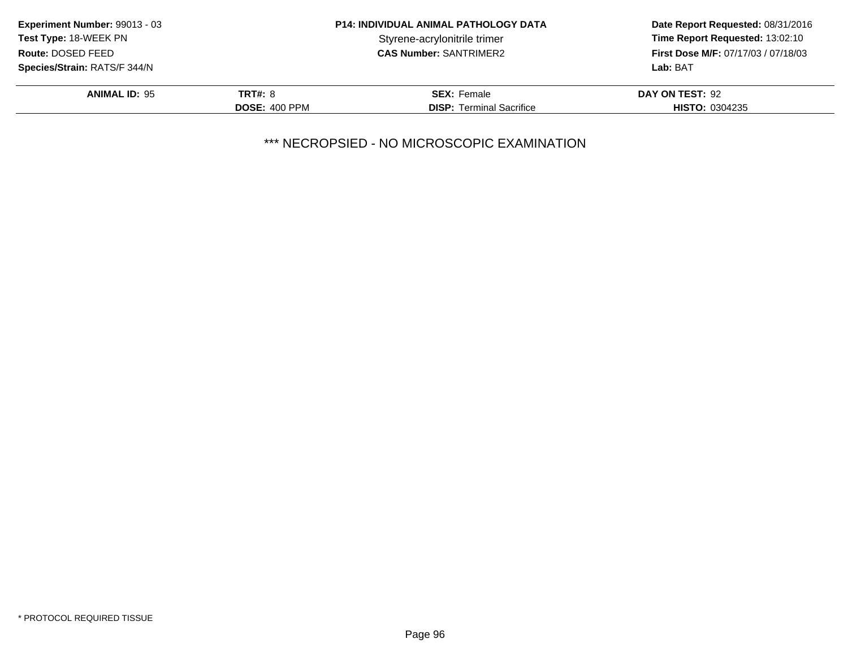| <b>Experiment Number: 99013 - 03</b> | <b>P14: INDIVIDUAL ANIMAL PATHOLOGY DATA</b> |                                 | Date Report Requested: 08/31/2016   |
|--------------------------------------|----------------------------------------------|---------------------------------|-------------------------------------|
| <b>Test Type: 18-WEEK PN</b>         |                                              | Styrene-acrylonitrile trimer    | Time Report Requested: 13:02:10     |
| Route: DOSED FEED                    |                                              | <b>CAS Number: SANTRIMER2</b>   | First Dose M/F: 07/17/03 / 07/18/03 |
| Species/Strain: RATS/F 344/N         |                                              |                                 | Lab: BAT                            |
| <b>ANIMAL ID: 95</b>                 | <b>TRT#: 8</b>                               | <b>SEX: Female</b>              | DAY ON TEST: 92                     |
|                                      | <b>DOSE: 400 PPM</b>                         | <b>DISP:</b> Terminal Sacrifice | <b>HISTO: 0304235</b>               |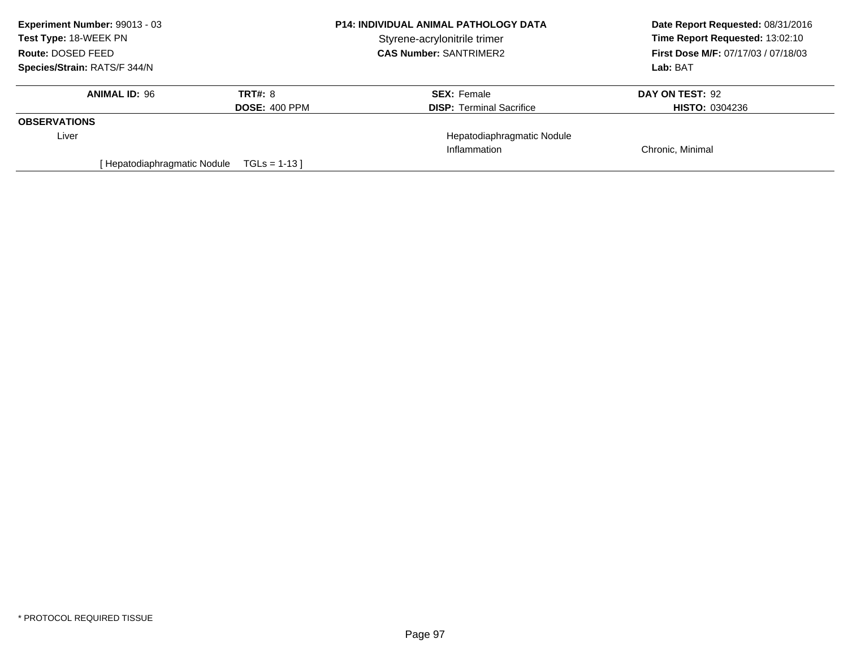| Experiment Number: 99013 - 03<br><b>Test Type: 18-WEEK PN</b><br>Route: DOSED FEED |                      | <b>P14: INDIVIDUAL ANIMAL PATHOLOGY DATA</b><br>Styrene-acrylonitrile trimer<br><b>CAS Number: SANTRIMER2</b> | Date Report Requested: 08/31/2016                                             |
|------------------------------------------------------------------------------------|----------------------|---------------------------------------------------------------------------------------------------------------|-------------------------------------------------------------------------------|
|                                                                                    |                      |                                                                                                               | Time Report Requested: 13:02:10<br><b>First Dose M/F: 07/17/03 / 07/18/03</b> |
|                                                                                    |                      |                                                                                                               |                                                                               |
| <b>ANIMAL ID: 96</b>                                                               | <b>TRT#: 8</b>       | <b>SEX: Female</b>                                                                                            | DAY ON TEST: 92                                                               |
|                                                                                    | <b>DOSE: 400 PPM</b> | <b>DISP: Terminal Sacrifice</b>                                                                               | <b>HISTO: 0304236</b>                                                         |
| <b>OBSERVATIONS</b>                                                                |                      |                                                                                                               |                                                                               |
| Liver                                                                              |                      | Hepatodiaphragmatic Nodule                                                                                    |                                                                               |
|                                                                                    |                      | Inflammation                                                                                                  | Chronic, Minimal                                                              |
| Hepatodiaphragmatic Nodule                                                         | $TGLs = 1-13$        |                                                                                                               |                                                                               |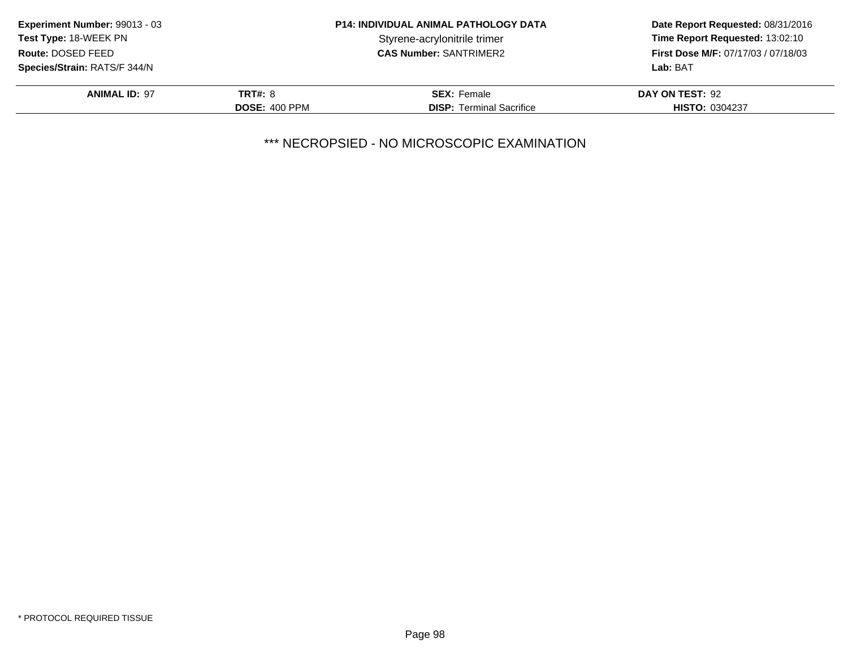| Experiment Number: 99013 - 03                     | <b>P14: INDIVIDUAL ANIMAL PATHOLOGY DATA</b> |                                 | Date Report Requested: 08/31/2016                                             |  |
|---------------------------------------------------|----------------------------------------------|---------------------------------|-------------------------------------------------------------------------------|--|
| <b>Test Type: 18-WEEK PN</b><br>Route: DOSED FEED |                                              | Styrene-acrylonitrile trimer    | Time Report Requested: 13:02:10<br><b>First Dose M/F: 07/17/03 / 07/18/03</b> |  |
|                                                   |                                              | <b>CAS Number: SANTRIMER2</b>   |                                                                               |  |
| <b>Species/Strain: RATS/F 344/N</b>               |                                              |                                 | Lab: BAT                                                                      |  |
| <b>ANIMAL ID: 97</b>                              | <b>TRT#: 8</b>                               | <b>SEX: Female</b>              | DAY ON TEST: 92                                                               |  |
|                                                   | <b>DOSE: 400 PPM</b>                         | <b>DISP: Terminal Sacrifice</b> | <b>HISTO: 0304237</b>                                                         |  |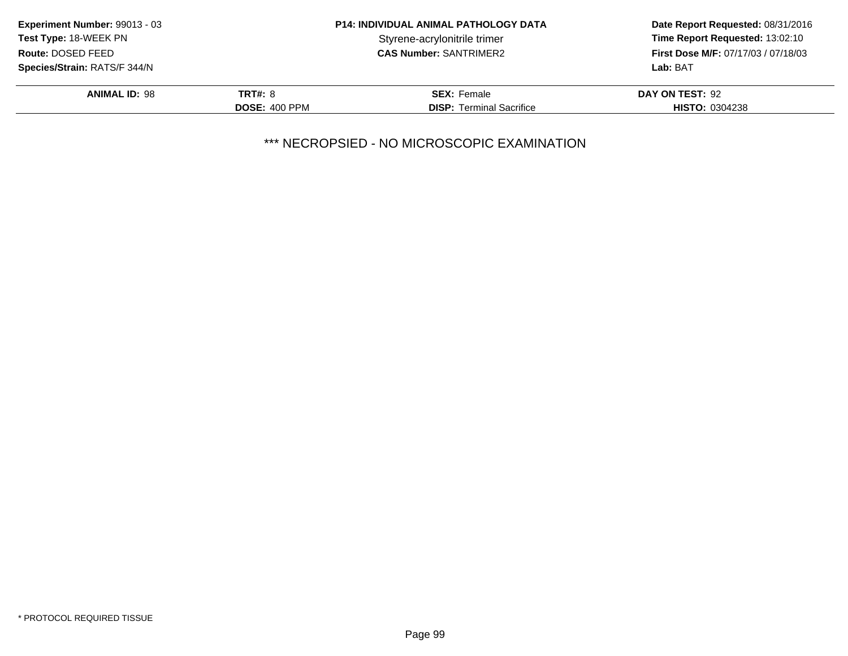| Experiment Number: 99013 - 03 |                      | <b>P14: INDIVIDUAL ANIMAL PATHOLOGY DATA</b> | Date Report Requested: 08/31/2016          |
|-------------------------------|----------------------|----------------------------------------------|--------------------------------------------|
| Test Type: 18-WEEK PN         |                      | Styrene-acrylonitrile trimer                 | Time Report Requested: 13:02:10            |
| Route: DOSED FEED             |                      | <b>CAS Number: SANTRIMER2</b>                | <b>First Dose M/F: 07/17/03 / 07/18/03</b> |
| Species/Strain: RATS/F 344/N  |                      |                                              | Lab: BAT                                   |
| <b>ANIMAL ID: 98</b>          | TRT#: 8              | <b>SEX: Female</b>                           | DAY ON TEST: 92                            |
|                               | <b>DOSE: 400 PPM</b> | <b>DISP:</b> Terminal Sacrifice              | <b>HISTO: 0304238</b>                      |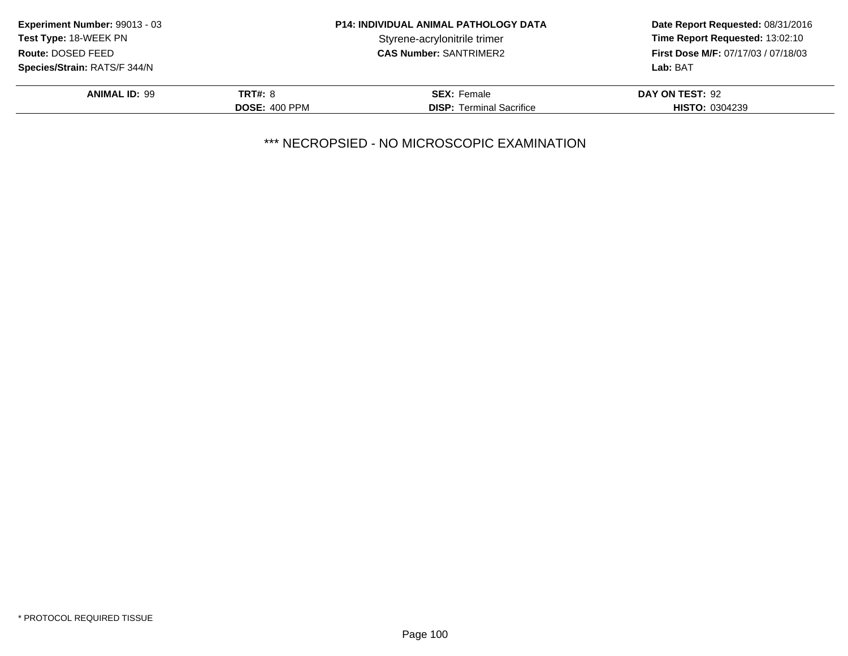| <b>Experiment Number: 99013 - 03</b> |                      | <b>P14: INDIVIDUAL ANIMAL PATHOLOGY DATA</b> | Date Report Requested: 08/31/2016   |
|--------------------------------------|----------------------|----------------------------------------------|-------------------------------------|
| <b>Test Type: 18-WEEK PN</b>         |                      | Styrene-acrylonitrile trimer                 | Time Report Requested: 13:02:10     |
| Route: DOSED FEED                    |                      | <b>CAS Number: SANTRIMER2</b>                | First Dose M/F: 07/17/03 / 07/18/03 |
| Species/Strain: RATS/F 344/N         |                      |                                              | Lab: BAT                            |
| <b>ANIMAL ID: 99</b>                 | <b>TRT#: 8</b>       | <b>SEX: Female</b>                           | DAY ON TEST: 92                     |
|                                      | <b>DOSE: 400 PPM</b> | <b>DISP:</b> Terminal Sacrifice              | <b>HISTO: 0304239</b>               |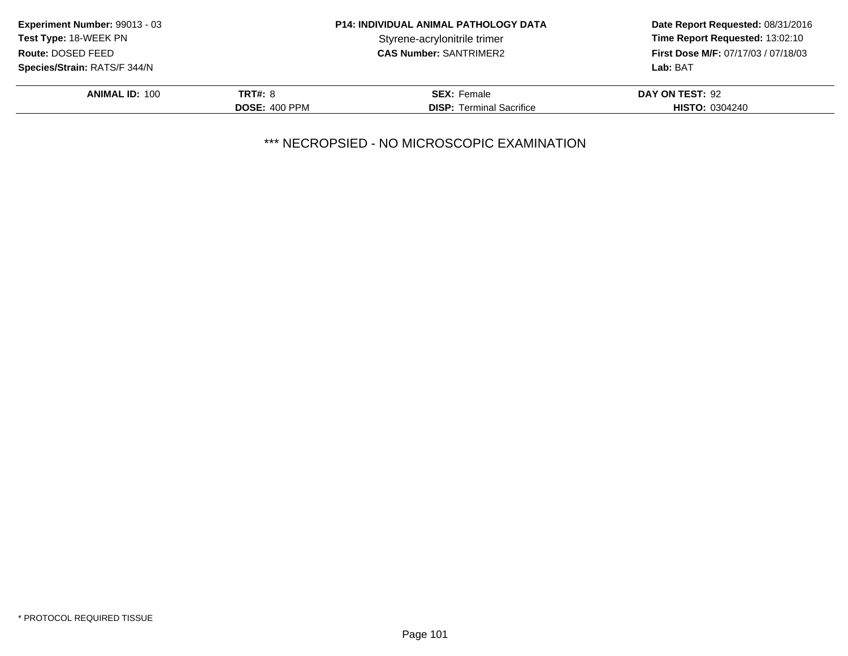| Experiment Number: 99013 - 03                     |                      | <b>P14: INDIVIDUAL ANIMAL PATHOLOGY DATA</b> | Date Report Requested: 08/31/2016                                             |
|---------------------------------------------------|----------------------|----------------------------------------------|-------------------------------------------------------------------------------|
| <b>Test Type: 18-WEEK PN</b><br>Route: DOSED FEED |                      | Styrene-acrylonitrile trimer                 | Time Report Requested: 13:02:10<br><b>First Dose M/F: 07/17/03 / 07/18/03</b> |
|                                                   |                      | <b>CAS Number: SANTRIMER2</b>                |                                                                               |
| <b>Species/Strain: RATS/F 344/N</b>               |                      |                                              | Lab: BAT                                                                      |
| <b>ANIMAL ID: 100</b>                             | TRT#: 8              | <b>SEX: Female</b>                           | DAY ON TEST: 92                                                               |
|                                                   | <b>DOSE: 400 PPM</b> | <b>DISP:</b> Terminal Sacrifice              | <b>HISTO: 0304240</b>                                                         |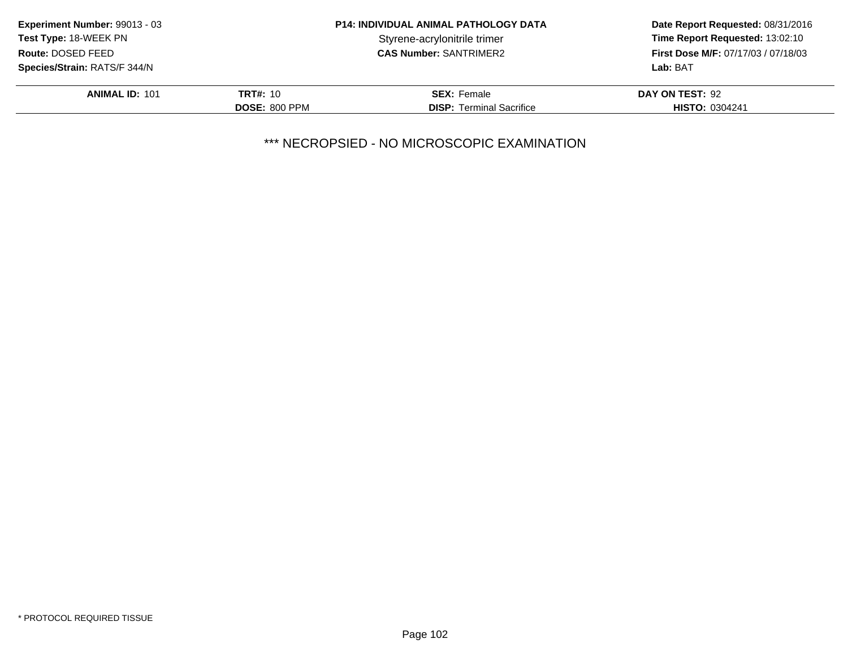| Experiment Number: 99013 - 03                     |                      | <b>P14: INDIVIDUAL ANIMAL PATHOLOGY DATA</b> | Date Report Requested: 08/31/2016<br>Time Report Requested: 13:02:10<br><b>First Dose M/F: 07/17/03 / 07/18/03</b> |
|---------------------------------------------------|----------------------|----------------------------------------------|--------------------------------------------------------------------------------------------------------------------|
| <b>Test Type: 18-WEEK PN</b><br>Route: DOSED FEED |                      | Styrene-acrylonitrile trimer                 |                                                                                                                    |
|                                                   |                      | <b>CAS Number: SANTRIMER2</b>                |                                                                                                                    |
| <b>Species/Strain: RATS/F 344/N</b>               |                      |                                              | Lab: BAT                                                                                                           |
| <b>ANIMAL ID: 101</b>                             | <b>TRT#: 10</b>      | <b>SEX: Female</b>                           | DAY ON TEST: 92                                                                                                    |
|                                                   | <b>DOSE: 800 PPM</b> | <b>DISP:</b> Terminal Sacrifice              | <b>HISTO: 0304241</b>                                                                                              |
|                                                   |                      |                                              |                                                                                                                    |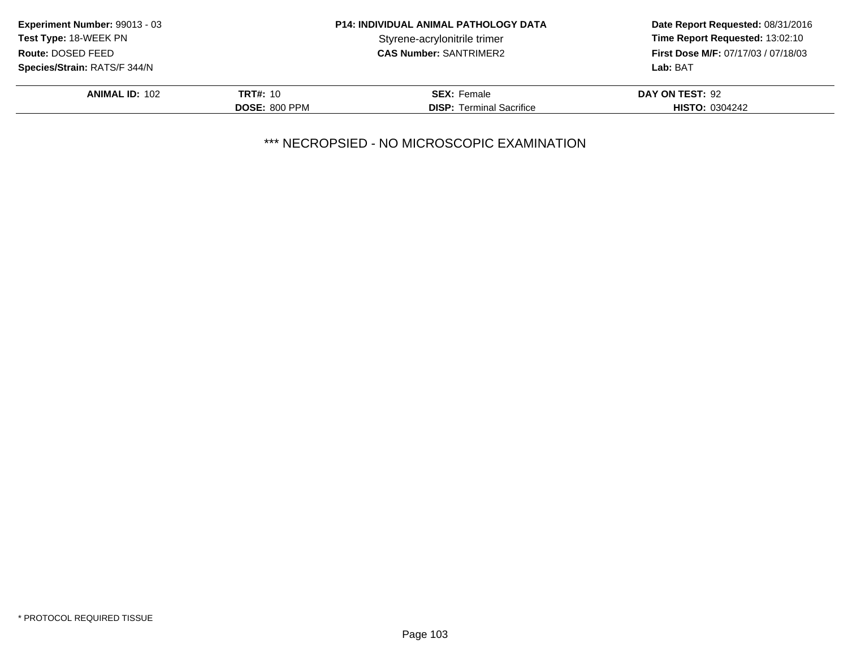| <b>P14: INDIVIDUAL ANIMAL PATHOLOGY DATA</b><br><b>Experiment Number: 99013 - 03</b> |                      | Date Report Requested: 08/31/2016 |                                                                               |
|--------------------------------------------------------------------------------------|----------------------|-----------------------------------|-------------------------------------------------------------------------------|
| <b>Test Type: 18-WEEK PN</b><br>Route: DOSED FEED                                    |                      | Styrene-acrylonitrile trimer      | Time Report Requested: 13:02:10<br><b>First Dose M/F: 07/17/03 / 07/18/03</b> |
|                                                                                      |                      | <b>CAS Number: SANTRIMER2</b>     |                                                                               |
| Species/Strain: RATS/F 344/N                                                         |                      |                                   | Lab: BAT                                                                      |
| <b>ANIMAL ID: 102</b>                                                                | <b>TRT#: 10</b>      | <b>SEX: Female</b>                | DAY ON TEST: 92                                                               |
|                                                                                      | <b>DOSE: 800 PPM</b> | <b>DISP:</b> Terminal Sacrifice   | <b>HISTO: 0304242</b>                                                         |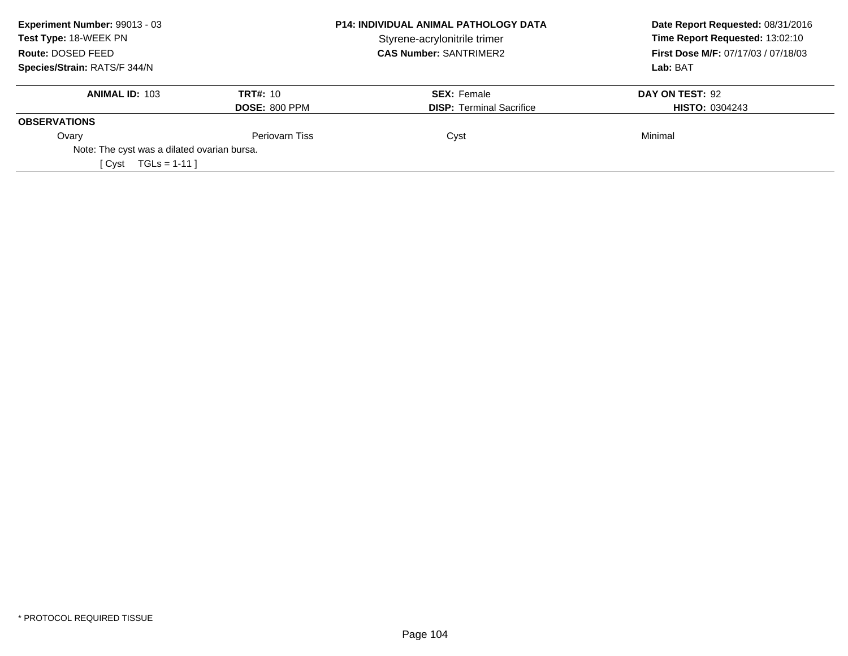| Experiment Number: 99013 - 03               |                      | <b>P14: INDIVIDUAL ANIMAL PATHOLOGY DATA</b> | Date Report Requested: 08/31/2016                                             |
|---------------------------------------------|----------------------|----------------------------------------------|-------------------------------------------------------------------------------|
| Test Type: 18-WEEK PN                       |                      | Styrene-acrylonitrile trimer                 | Time Report Requested: 13:02:10<br><b>First Dose M/F: 07/17/03 / 07/18/03</b> |
| Route: DOSED FEED                           |                      | <b>CAS Number: SANTRIMER2</b>                |                                                                               |
| Species/Strain: RATS/F 344/N                |                      |                                              | Lab: BAT                                                                      |
| <b>ANIMAL ID: 103</b>                       | <b>TRT#: 10</b>      | <b>SEX: Female</b>                           | DAY ON TEST: 92                                                               |
|                                             | <b>DOSE: 800 PPM</b> | <b>DISP:</b> Terminal Sacrifice              | <b>HISTO: 0304243</b>                                                         |
| <b>OBSERVATIONS</b>                         |                      |                                              |                                                                               |
| Ovary                                       | Periovarn Tiss       | Cyst                                         | Minimal                                                                       |
| Note: The cyst was a dilated ovarian bursa. |                      |                                              |                                                                               |
| $TGLs = 1-11$<br>[ Cvst                     |                      |                                              |                                                                               |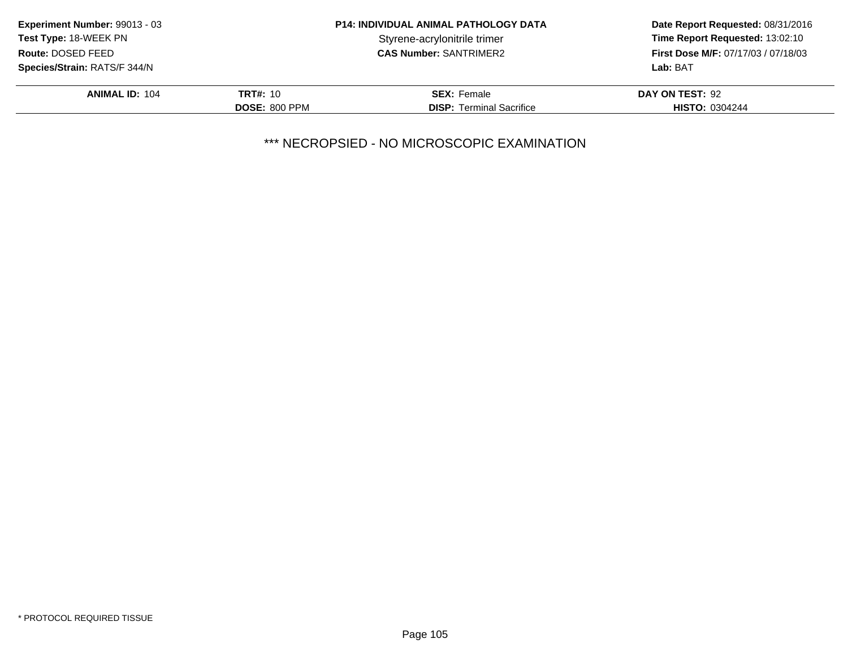|                      | <b>P14: INDIVIDUAL ANIMAL PATHOLOGY DATA</b> | Date Report Requested: 08/31/2016<br>Time Report Requested: 13:02:10<br><b>First Dose M/F: 07/17/03 / 07/18/03</b> |
|----------------------|----------------------------------------------|--------------------------------------------------------------------------------------------------------------------|
|                      | Styrene-acrylonitrile trimer                 |                                                                                                                    |
|                      | <b>CAS Number: SANTRIMER2</b>                |                                                                                                                    |
|                      |                                              | Lab: BAT                                                                                                           |
| <b>TRT#: 10</b>      | <b>SEX: Female</b>                           | DAY ON TEST: 92                                                                                                    |
| <b>DOSE: 800 PPM</b> | <b>DISP:</b> Terminal Sacrifice              | <b>HISTO: 0304244</b>                                                                                              |
|                      |                                              |                                                                                                                    |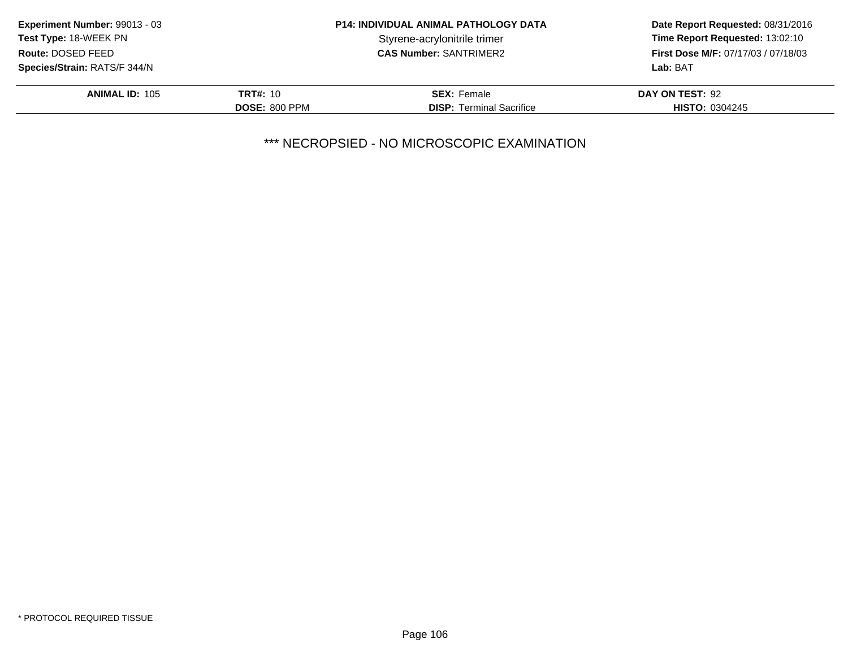| <b>Experiment Number: 99013 - 03</b>              | <b>P14: INDIVIDUAL ANIMAL PATHOLOGY DATA</b> |                                 | Date Report Requested: 08/31/2016<br>Time Report Requested: 13:02:10<br><b>First Dose M/F: 07/17/03 / 07/18/03</b> |
|---------------------------------------------------|----------------------------------------------|---------------------------------|--------------------------------------------------------------------------------------------------------------------|
| <b>Test Type: 18-WEEK PN</b><br>Route: DOSED FEED |                                              | Styrene-acrylonitrile trimer    |                                                                                                                    |
|                                                   |                                              | <b>CAS Number: SANTRIMER2</b>   |                                                                                                                    |
| Species/Strain: RATS/F 344/N                      |                                              |                                 | Lab: BAT                                                                                                           |
| <b>ANIMAL ID: 105</b>                             | <b>TRT#: 10</b>                              | <b>SEX: Female</b>              | DAY ON TEST: 92                                                                                                    |
|                                                   | <b>DOSE: 800 PPM</b>                         | <b>DISP:</b> Terminal Sacrifice | <b>HISTO: 0304245</b>                                                                                              |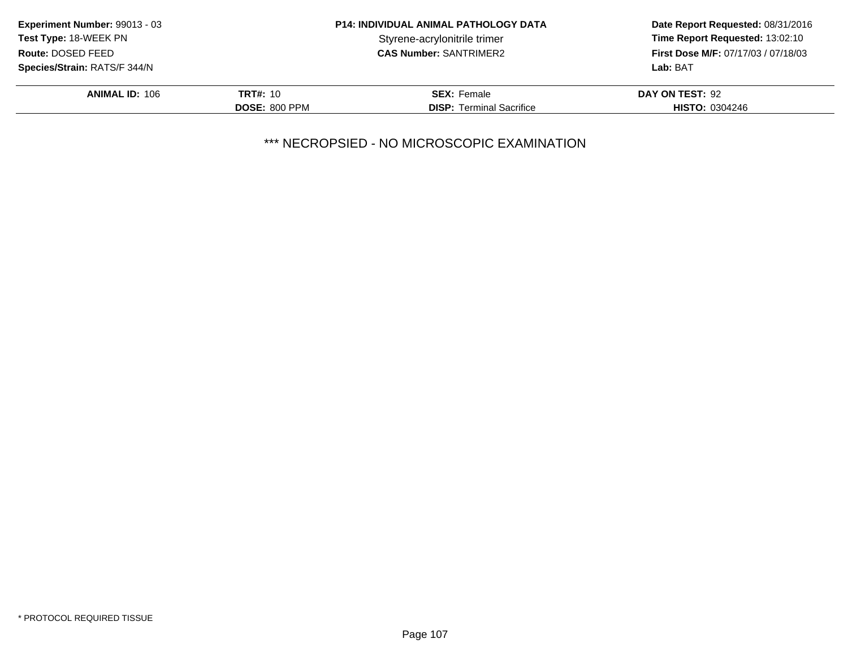| Time Report Requested: 13:02:10<br><b>First Dose M/F: 07/17/03 / 07/18/03</b> |
|-------------------------------------------------------------------------------|
|                                                                               |
| DAY ON TEST: 92                                                               |
| <b>HISTO: 0304246</b>                                                         |
|                                                                               |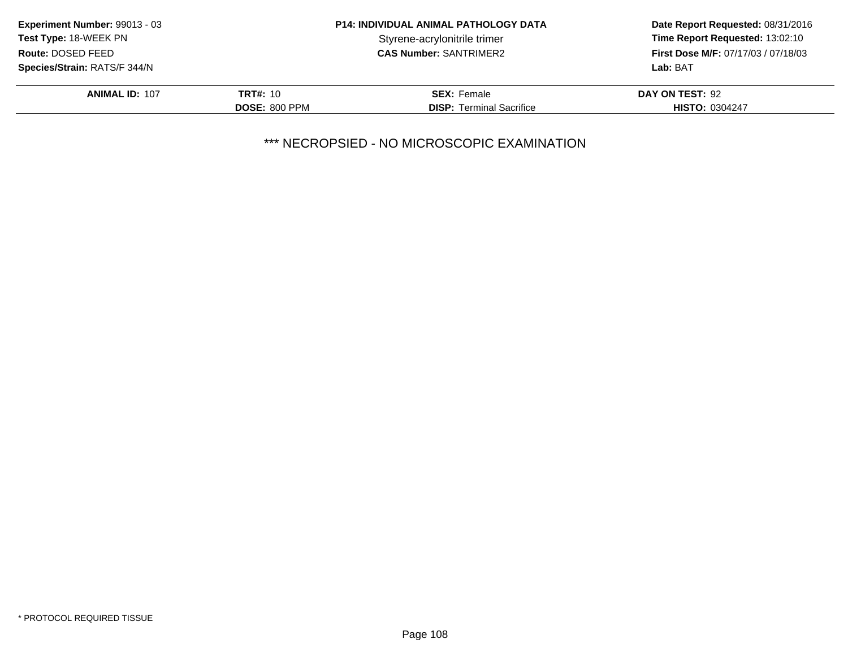| <b>Experiment Number: 99013 - 03</b><br><b>P14: INDIVIDUAL ANIMAL PATHOLOGY DATA</b> |                      |                                 | Date Report Requested: 08/31/2016          |  |
|--------------------------------------------------------------------------------------|----------------------|---------------------------------|--------------------------------------------|--|
| Test Type: 18-WEEK PN                                                                |                      | Styrene-acrylonitrile trimer    | Time Report Requested: 13:02:10            |  |
| Route: DOSED FEED                                                                    |                      | <b>CAS Number: SANTRIMER2</b>   | <b>First Dose M/F: 07/17/03 / 07/18/03</b> |  |
| <b>Species/Strain: RATS/F 344/N</b>                                                  |                      |                                 | Lab: BAT                                   |  |
| <b>ANIMAL ID: 107</b>                                                                | <b>TRT#: 10</b>      | <b>SEX: Female</b>              | DAY ON TEST: 92                            |  |
|                                                                                      | <b>DOSE: 800 PPM</b> | <b>DISP:</b> Terminal Sacrifice | <b>HISTO: 0304247</b>                      |  |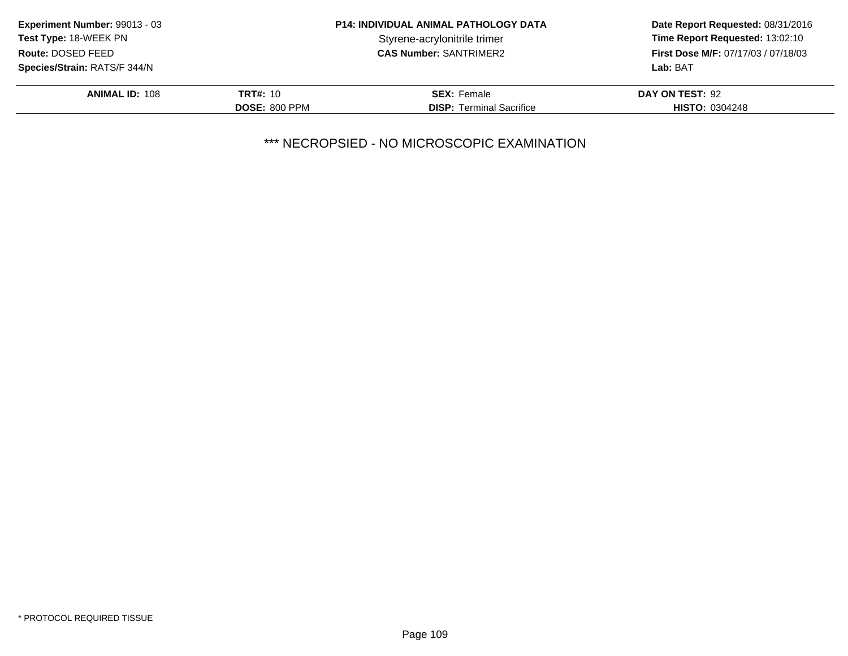| <b>Experiment Number: 99013 - 03</b> |                      | <b>P14: INDIVIDUAL ANIMAL PATHOLOGY DATA</b> | Date Report Requested: 08/31/2016          |
|--------------------------------------|----------------------|----------------------------------------------|--------------------------------------------|
| <b>Test Type: 18-WEEK PN</b>         |                      | Styrene-acrylonitrile trimer                 | Time Report Requested: 13:02:10            |
| Route: DOSED FEED                    |                      | <b>CAS Number: SANTRIMER2</b>                | <b>First Dose M/F: 07/17/03 / 07/18/03</b> |
| <b>Species/Strain: RATS/F 344/N</b>  |                      |                                              | Lab: BAT                                   |
| <b>ANIMAL ID: 108</b>                | <b>TRT#: 10</b>      | <b>SEX: Female</b>                           | DAY ON TEST: 92                            |
|                                      | <b>DOSE: 800 PPM</b> | <b>DISP:</b> Terminal Sacrifice              | <b>HISTO: 0304248</b>                      |
|                                      |                      |                                              |                                            |

\*\*\* NECROPSIED - NO MICROSCOPIC EXAMINATION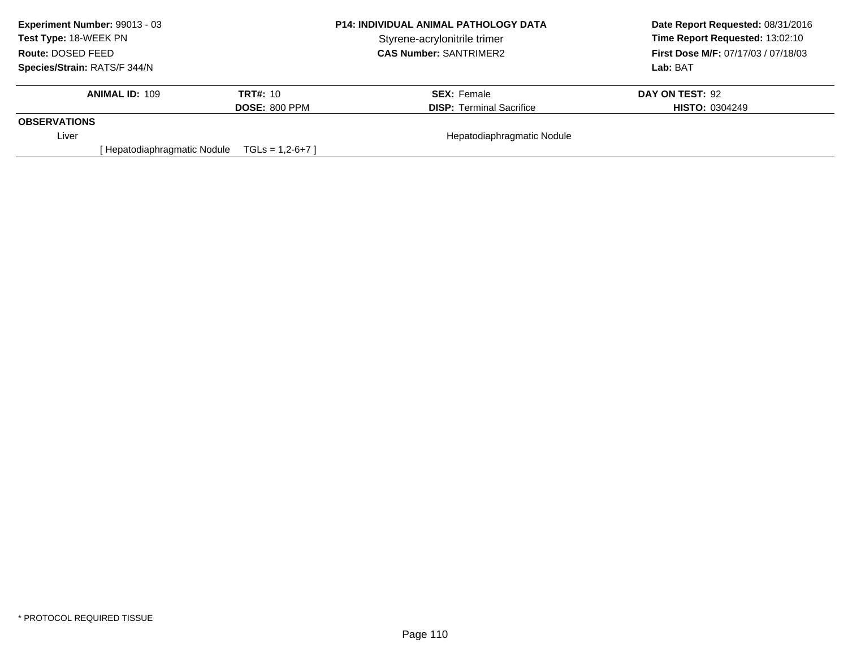| Experiment Number: 99013 - 03 | <b>P14: INDIVIDUAL ANIMAL PATHOLOGY DATA</b> |                                 | Date Report Requested: 08/31/2016          |
|-------------------------------|----------------------------------------------|---------------------------------|--------------------------------------------|
| Test Type: 18-WEEK PN         |                                              | Styrene-acrylonitrile trimer    | Time Report Requested: 13:02:10            |
| Route: DOSED FEED             |                                              | <b>CAS Number: SANTRIMER2</b>   | <b>First Dose M/F: 07/17/03 / 07/18/03</b> |
| Species/Strain: RATS/F 344/N  |                                              |                                 | Lab: BAT                                   |
| <b>ANIMAL ID: 109</b>         | <b>TRT#: 10</b>                              | <b>SEX: Female</b>              | DAY ON TEST: 92                            |
|                               | <b>DOSE: 800 PPM</b>                         | <b>DISP: Terminal Sacrifice</b> | <b>HISTO: 0304249</b>                      |
| <b>OBSERVATIONS</b>           |                                              |                                 |                                            |
| Liver                         |                                              | Hepatodiaphragmatic Nodule      |                                            |
| Hepatodiaphragmatic Nodule    | $TGLs = 1,2-6+7$                             |                                 |                                            |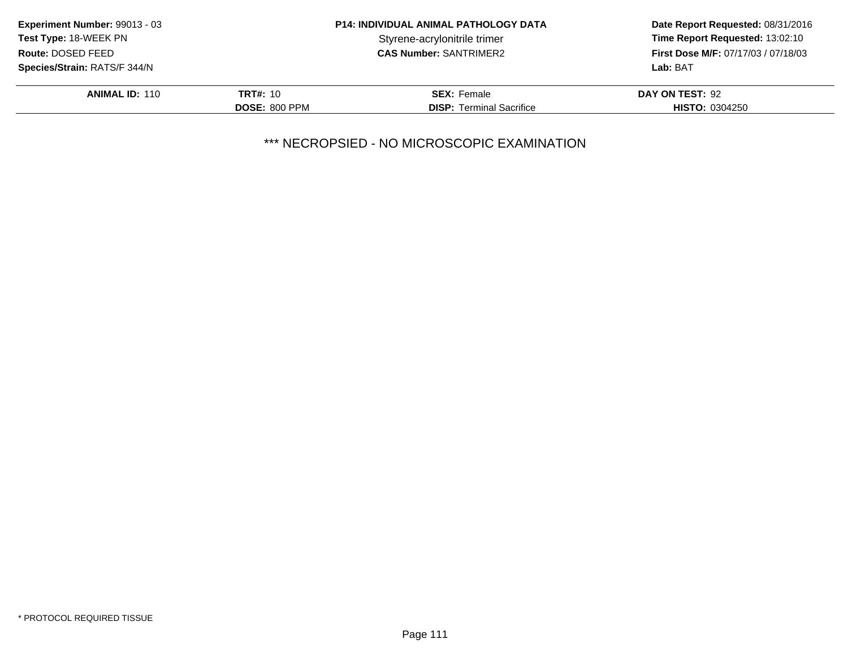| <b>Experiment Number: 99013 - 03</b> |                      | <b>P14: INDIVIDUAL ANIMAL PATHOLOGY DATA</b> | Date Report Requested: 08/31/2016          |
|--------------------------------------|----------------------|----------------------------------------------|--------------------------------------------|
| Test Type: 18-WEEK PN                |                      | Styrene-acrylonitrile trimer                 | Time Report Requested: 13:02:10            |
| Route: DOSED FEED                    |                      | <b>CAS Number: SANTRIMER2</b>                | <b>First Dose M/F: 07/17/03 / 07/18/03</b> |
| <b>Species/Strain: RATS/F 344/N</b>  |                      |                                              | Lab: BAT                                   |
| <b>ANIMAL ID: 110</b>                | <b>TRT#: 10</b>      | <b>SEX: Female</b>                           | DAY ON TEST: 92                            |
|                                      | <b>DOSE: 800 PPM</b> | <b>DISP:</b> Terminal Sacrifice              | <b>HISTO: 0304250</b>                      |

\*\*\* NECROPSIED - NO MICROSCOPIC EXAMINATION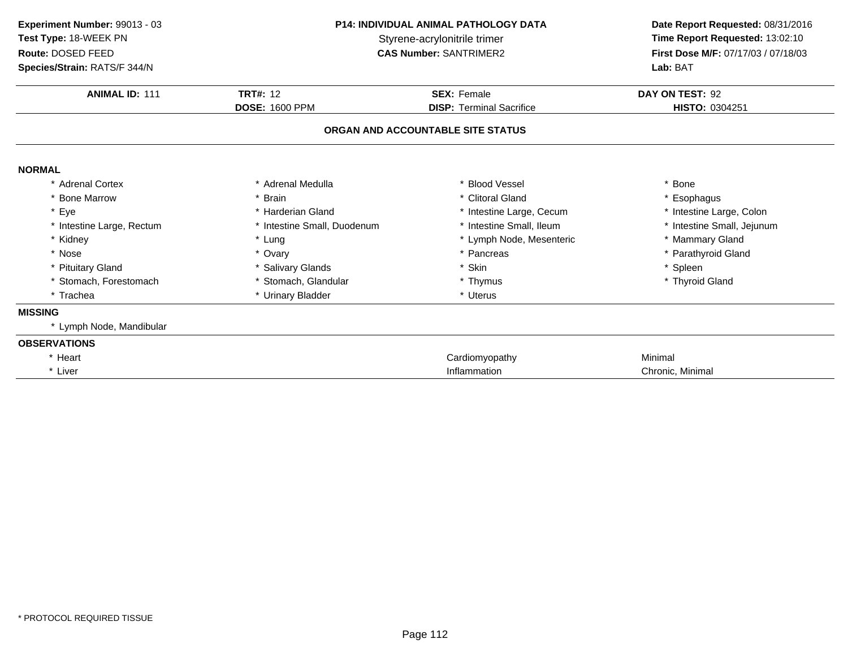| Experiment Number: 99013 - 03<br>Test Type: 18-WEEK PN<br>Route: DOSED FEED<br>Species/Strain: RATS/F 344/N | <b>P14: INDIVIDUAL ANIMAL PATHOLOGY DATA</b><br>Styrene-acrylonitrile trimer<br><b>CAS Number: SANTRIMER2</b><br><b>TRT#: 12</b><br><b>SEX: Female</b><br><b>DOSE: 1600 PPM</b><br><b>DISP: Terminal Sacrifice</b> |                                   | Date Report Requested: 08/31/2016<br>Time Report Requested: 13:02:10<br>First Dose M/F: 07/17/03 / 07/18/03<br>Lab: BAT |  |
|-------------------------------------------------------------------------------------------------------------|--------------------------------------------------------------------------------------------------------------------------------------------------------------------------------------------------------------------|-----------------------------------|-------------------------------------------------------------------------------------------------------------------------|--|
| <b>ANIMAL ID: 111</b>                                                                                       |                                                                                                                                                                                                                    |                                   | DAY ON TEST: 92<br>HISTO: 0304251                                                                                       |  |
|                                                                                                             |                                                                                                                                                                                                                    | ORGAN AND ACCOUNTABLE SITE STATUS |                                                                                                                         |  |
| <b>NORMAL</b>                                                                                               |                                                                                                                                                                                                                    |                                   |                                                                                                                         |  |
| * Adrenal Cortex                                                                                            | * Adrenal Medulla                                                                                                                                                                                                  | * Blood Vessel                    | * Bone                                                                                                                  |  |
| * Bone Marrow                                                                                               | * Brain                                                                                                                                                                                                            | * Clitoral Gland                  | * Esophagus                                                                                                             |  |
| * Eye                                                                                                       | * Harderian Gland                                                                                                                                                                                                  | * Intestine Large, Cecum          | * Intestine Large, Colon                                                                                                |  |
| * Intestine Large, Rectum                                                                                   | * Intestine Small, Duodenum                                                                                                                                                                                        | * Intestine Small, Ileum          | * Intestine Small, Jejunum                                                                                              |  |
| * Kidney                                                                                                    | * Lung                                                                                                                                                                                                             | * Lymph Node, Mesenteric          | * Mammary Gland                                                                                                         |  |
| * Nose                                                                                                      | * Ovary                                                                                                                                                                                                            | * Pancreas                        | * Parathyroid Gland                                                                                                     |  |
| * Pituitary Gland                                                                                           | * Salivary Glands                                                                                                                                                                                                  | * Skin                            | * Spleen                                                                                                                |  |
| Stomach, Forestomach                                                                                        | * Stomach, Glandular                                                                                                                                                                                               | * Thymus                          | * Thyroid Gland                                                                                                         |  |
| * Trachea                                                                                                   | * Urinary Bladder                                                                                                                                                                                                  | * Uterus                          |                                                                                                                         |  |
| <b>MISSING</b>                                                                                              |                                                                                                                                                                                                                    |                                   |                                                                                                                         |  |
| * Lymph Node, Mandibular                                                                                    |                                                                                                                                                                                                                    |                                   |                                                                                                                         |  |
| <b>OBSERVATIONS</b>                                                                                         |                                                                                                                                                                                                                    |                                   |                                                                                                                         |  |
| * Heart                                                                                                     |                                                                                                                                                                                                                    | Cardiomyopathy                    | Minimal                                                                                                                 |  |
| * Liver                                                                                                     |                                                                                                                                                                                                                    | Inflammation                      | Chronic, Minimal                                                                                                        |  |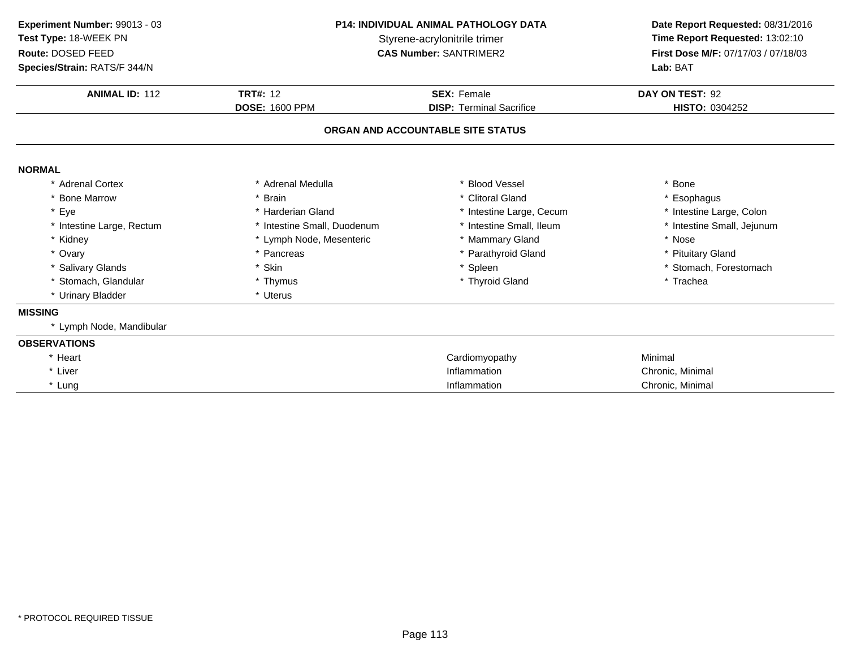| Experiment Number: 99013 - 03<br>Test Type: 18-WEEK PN<br>Route: DOSED FEED<br>Species/Strain: RATS/F 344/N | <b>P14: INDIVIDUAL ANIMAL PATHOLOGY DATA</b><br>Styrene-acrylonitrile trimer<br><b>CAS Number: SANTRIMER2</b><br><b>TRT#: 12</b><br><b>SEX: Female</b><br><b>DOSE: 1600 PPM</b><br><b>DISP: Terminal Sacrifice</b> |                                   | Date Report Requested: 08/31/2016<br>Time Report Requested: 13:02:10<br>First Dose M/F: 07/17/03 / 07/18/03<br>Lab: BAT |  |
|-------------------------------------------------------------------------------------------------------------|--------------------------------------------------------------------------------------------------------------------------------------------------------------------------------------------------------------------|-----------------------------------|-------------------------------------------------------------------------------------------------------------------------|--|
| <b>ANIMAL ID: 112</b>                                                                                       |                                                                                                                                                                                                                    |                                   | DAY ON TEST: 92<br>HISTO: 0304252                                                                                       |  |
|                                                                                                             |                                                                                                                                                                                                                    | ORGAN AND ACCOUNTABLE SITE STATUS |                                                                                                                         |  |
| <b>NORMAL</b>                                                                                               |                                                                                                                                                                                                                    |                                   |                                                                                                                         |  |
| * Adrenal Cortex                                                                                            | * Adrenal Medulla                                                                                                                                                                                                  | * Blood Vessel                    | * Bone                                                                                                                  |  |
| * Bone Marrow                                                                                               | * Brain                                                                                                                                                                                                            | * Clitoral Gland                  | * Esophagus                                                                                                             |  |
| * Eye                                                                                                       | * Harderian Gland                                                                                                                                                                                                  | * Intestine Large, Cecum          | * Intestine Large, Colon                                                                                                |  |
| * Intestine Large, Rectum                                                                                   | * Intestine Small, Duodenum                                                                                                                                                                                        | * Intestine Small, Ileum          | * Intestine Small, Jejunum                                                                                              |  |
| * Kidney                                                                                                    | * Lymph Node, Mesenteric                                                                                                                                                                                           | * Mammary Gland                   | * Nose                                                                                                                  |  |
| * Ovary                                                                                                     | * Pancreas                                                                                                                                                                                                         | * Parathyroid Gland               | * Pituitary Gland                                                                                                       |  |
| * Salivary Glands                                                                                           | * Skin                                                                                                                                                                                                             | * Spleen                          | * Stomach, Forestomach                                                                                                  |  |
| * Stomach, Glandular                                                                                        | * Thymus                                                                                                                                                                                                           | * Thyroid Gland                   | * Trachea                                                                                                               |  |
| * Urinary Bladder                                                                                           | * Uterus                                                                                                                                                                                                           |                                   |                                                                                                                         |  |
| <b>MISSING</b>                                                                                              |                                                                                                                                                                                                                    |                                   |                                                                                                                         |  |
| * Lymph Node, Mandibular                                                                                    |                                                                                                                                                                                                                    |                                   |                                                                                                                         |  |
| <b>OBSERVATIONS</b>                                                                                         |                                                                                                                                                                                                                    |                                   |                                                                                                                         |  |
| * Heart                                                                                                     |                                                                                                                                                                                                                    | Cardiomyopathy                    | Minimal                                                                                                                 |  |
| * Liver                                                                                                     |                                                                                                                                                                                                                    | Inflammation                      | Chronic, Minimal                                                                                                        |  |
| * Lung                                                                                                      |                                                                                                                                                                                                                    | Inflammation                      | Chronic, Minimal                                                                                                        |  |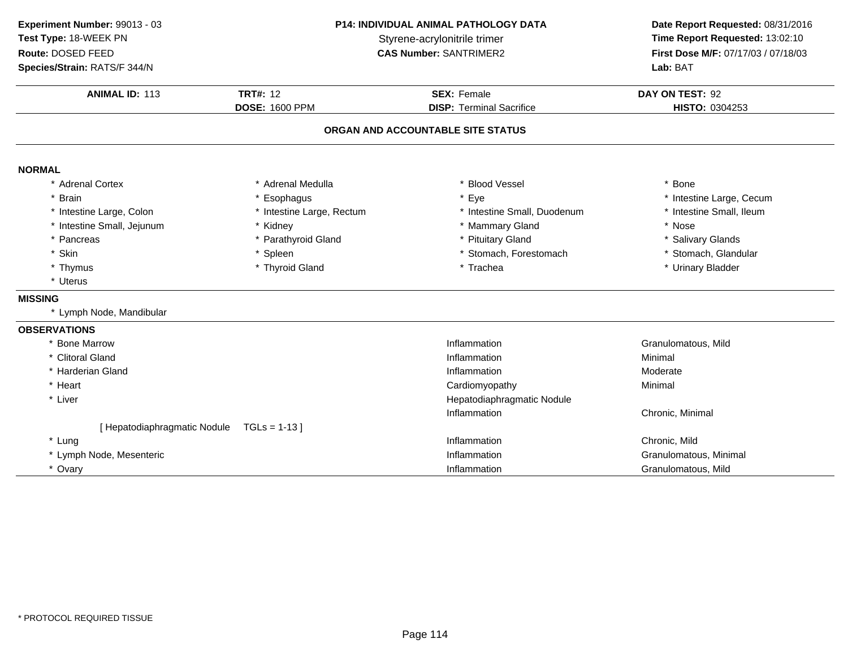| Experiment Number: 99013 - 03         |                           | <b>P14: INDIVIDUAL ANIMAL PATHOLOGY DATA</b> | Date Report Requested: 08/31/2016   |  |
|---------------------------------------|---------------------------|----------------------------------------------|-------------------------------------|--|
| Test Type: 18-WEEK PN                 |                           | Styrene-acrylonitrile trimer                 |                                     |  |
| Route: DOSED FEED                     |                           | <b>CAS Number: SANTRIMER2</b>                | First Dose M/F: 07/17/03 / 07/18/03 |  |
| Species/Strain: RATS/F 344/N          |                           |                                              | Lab: BAT                            |  |
| <b>ANIMAL ID: 113</b>                 | <b>TRT#: 12</b>           | <b>SEX: Female</b>                           | DAY ON TEST: 92                     |  |
|                                       | <b>DOSE: 1600 PPM</b>     | <b>DISP: Terminal Sacrifice</b>              | HISTO: 0304253                      |  |
|                                       |                           | ORGAN AND ACCOUNTABLE SITE STATUS            |                                     |  |
| <b>NORMAL</b>                         |                           |                                              |                                     |  |
| * Adrenal Cortex                      | * Adrenal Medulla         | * Blood Vessel                               | * Bone                              |  |
| * Brain                               | * Esophagus               | * Eye                                        | * Intestine Large, Cecum            |  |
| * Intestine Large, Colon              | * Intestine Large, Rectum | * Intestine Small, Duodenum                  | * Intestine Small, Ileum            |  |
| * Intestine Small, Jejunum            | * Kidney                  | * Mammary Gland                              | * Nose                              |  |
| * Pancreas                            | * Parathyroid Gland       | * Pituitary Gland                            | * Salivary Glands                   |  |
| * Skin                                | * Spleen                  | * Stomach, Forestomach                       | * Stomach, Glandular                |  |
| * Thymus                              | * Thyroid Gland           | * Trachea                                    | * Urinary Bladder                   |  |
| * Uterus                              |                           |                                              |                                     |  |
| <b>MISSING</b>                        |                           |                                              |                                     |  |
| * Lymph Node, Mandibular              |                           |                                              |                                     |  |
| <b>OBSERVATIONS</b>                   |                           |                                              |                                     |  |
| * Bone Marrow                         |                           | Inflammation                                 | Granulomatous, Mild                 |  |
| * Clitoral Gland                      |                           | Inflammation                                 | Minimal                             |  |
| * Harderian Gland                     |                           | Inflammation                                 | Moderate                            |  |
| * Heart                               |                           | Cardiomyopathy                               | Minimal                             |  |
| * Liver<br>Hepatodiaphragmatic Nodule |                           |                                              |                                     |  |
|                                       |                           | Inflammation                                 | Chronic, Minimal                    |  |
| [ Hepatodiaphragmatic Nodule          | $TGLs = 1-13$             |                                              |                                     |  |
| * Lung                                |                           | Inflammation                                 | Chronic, Mild                       |  |
| * Lymph Node, Mesenteric              |                           | Inflammation                                 | Granulomatous, Minimal              |  |
| * Ovary                               |                           | Inflammation                                 | Granulomatous, Mild                 |  |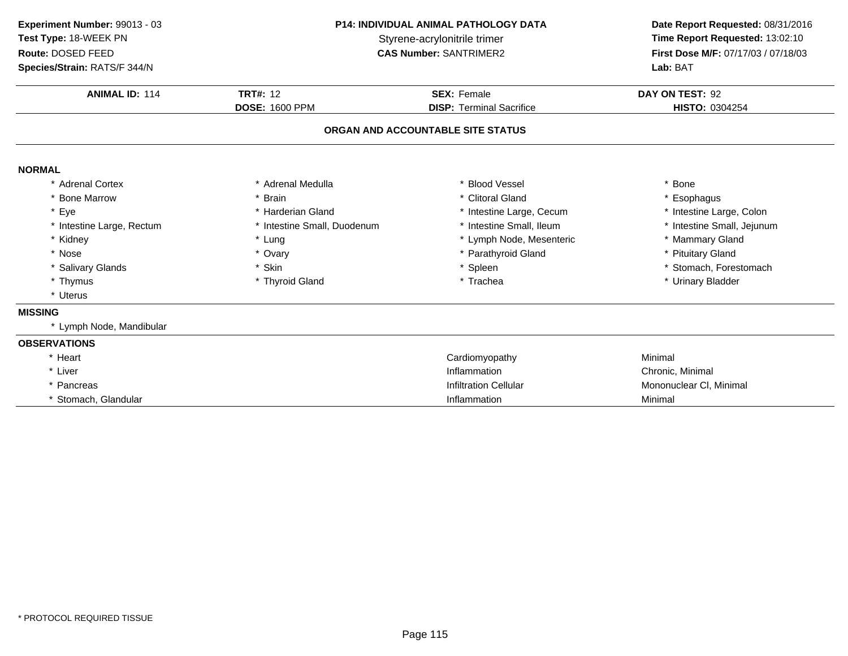| Experiment Number: 99013 - 03 | <b>P14: INDIVIDUAL ANIMAL PATHOLOGY DATA</b><br>Styrene-acrylonitrile trimer |                                   | Date Report Requested: 08/31/2016   |  |
|-------------------------------|------------------------------------------------------------------------------|-----------------------------------|-------------------------------------|--|
| Test Type: 18-WEEK PN         |                                                                              |                                   | Time Report Requested: 13:02:10     |  |
| Route: DOSED FEED             |                                                                              | <b>CAS Number: SANTRIMER2</b>     | First Dose M/F: 07/17/03 / 07/18/03 |  |
| Species/Strain: RATS/F 344/N  |                                                                              |                                   | Lab: BAT                            |  |
| <b>ANIMAL ID: 114</b>         | <b>TRT#: 12</b>                                                              | <b>SEX: Female</b>                | DAY ON TEST: 92                     |  |
|                               | <b>DOSE: 1600 PPM</b>                                                        | <b>DISP: Terminal Sacrifice</b>   | HISTO: 0304254                      |  |
|                               |                                                                              | ORGAN AND ACCOUNTABLE SITE STATUS |                                     |  |
| <b>NORMAL</b>                 |                                                                              |                                   |                                     |  |
| * Adrenal Cortex              | * Adrenal Medulla                                                            | * Blood Vessel                    | * Bone                              |  |
| <b>Bone Marrow</b>            | * Brain                                                                      | * Clitoral Gland                  | * Esophagus                         |  |
| Eye                           | * Harderian Gland                                                            | * Intestine Large, Cecum          | * Intestine Large, Colon            |  |
| * Intestine Large, Rectum     | * Intestine Small, Duodenum                                                  | * Intestine Small, Ileum          | * Intestine Small, Jejunum          |  |
| * Kidney                      | * Lung                                                                       | * Lymph Node, Mesenteric          | * Mammary Gland                     |  |
| * Nose                        | * Ovary                                                                      | * Parathyroid Gland               | * Pituitary Gland                   |  |
| * Salivary Glands             | * Skin                                                                       | * Spleen                          | * Stomach, Forestomach              |  |
| * Thymus                      | * Thyroid Gland                                                              | * Trachea                         | * Urinary Bladder                   |  |
| * Uterus                      |                                                                              |                                   |                                     |  |
| <b>MISSING</b>                |                                                                              |                                   |                                     |  |
| * Lymph Node, Mandibular      |                                                                              |                                   |                                     |  |
| <b>OBSERVATIONS</b>           |                                                                              |                                   |                                     |  |
| * Heart                       |                                                                              | Cardiomyopathy                    | Minimal                             |  |
| * Liver                       |                                                                              | Inflammation                      | Chronic, Minimal                    |  |
| * Pancreas                    |                                                                              | <b>Infiltration Cellular</b>      | Mononuclear CI, Minimal             |  |
| * Stomach, Glandular          |                                                                              | Inflammation                      | Minimal                             |  |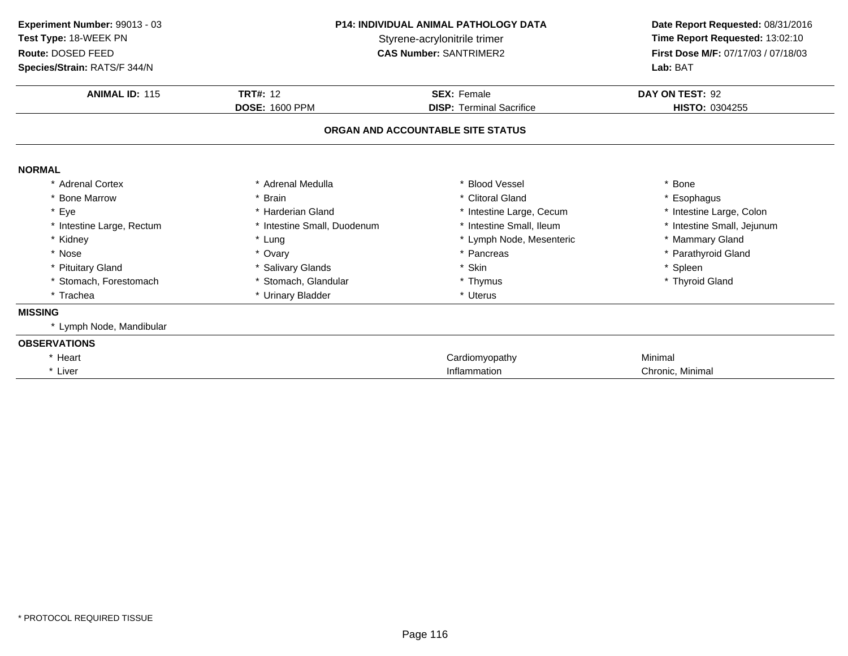| Experiment Number: 99013 - 03<br>Test Type: 18-WEEK PN | <b>P14: INDIVIDUAL ANIMAL PATHOLOGY DATA</b><br>Styrene-acrylonitrile trimer<br><b>CAS Number: SANTRIMER2</b> |                                   | Date Report Requested: 08/31/2016<br>Time Report Requested: 13:02:10<br>First Dose M/F: 07/17/03 / 07/18/03 |
|--------------------------------------------------------|---------------------------------------------------------------------------------------------------------------|-----------------------------------|-------------------------------------------------------------------------------------------------------------|
| Route: DOSED FEED                                      |                                                                                                               |                                   |                                                                                                             |
| Species/Strain: RATS/F 344/N                           |                                                                                                               |                                   | Lab: BAT                                                                                                    |
| <b>ANIMAL ID: 115</b>                                  | <b>TRT#: 12</b>                                                                                               | <b>SEX: Female</b>                | DAY ON TEST: 92                                                                                             |
|                                                        | <b>DOSE: 1600 PPM</b>                                                                                         | <b>DISP: Terminal Sacrifice</b>   | HISTO: 0304255                                                                                              |
|                                                        |                                                                                                               | ORGAN AND ACCOUNTABLE SITE STATUS |                                                                                                             |
| <b>NORMAL</b>                                          |                                                                                                               |                                   |                                                                                                             |
| * Adrenal Cortex                                       | * Adrenal Medulla                                                                                             | * Blood Vessel                    | <b>Bone</b>                                                                                                 |
| * Bone Marrow                                          | * Brain                                                                                                       | * Clitoral Gland                  | * Esophagus                                                                                                 |
| * Eye                                                  | * Harderian Gland                                                                                             | * Intestine Large, Cecum          | * Intestine Large, Colon                                                                                    |
| * Intestine Large, Rectum                              | * Intestine Small, Duodenum                                                                                   | * Intestine Small, Ileum          | * Intestine Small, Jejunum                                                                                  |
| * Kidney                                               | * Lung                                                                                                        | * Lymph Node, Mesenteric          | * Mammary Gland                                                                                             |
| * Nose                                                 | * Ovary                                                                                                       | * Pancreas                        | * Parathyroid Gland                                                                                         |
| * Pituitary Gland                                      | * Salivary Glands                                                                                             | * Skin                            | * Spleen                                                                                                    |
| Stomach, Forestomach                                   | * Stomach, Glandular                                                                                          | * Thymus                          | * Thyroid Gland                                                                                             |
| * Trachea                                              | * Urinary Bladder                                                                                             | * Uterus                          |                                                                                                             |
| <b>MISSING</b>                                         |                                                                                                               |                                   |                                                                                                             |
| * Lymph Node, Mandibular                               |                                                                                                               |                                   |                                                                                                             |
| <b>OBSERVATIONS</b>                                    |                                                                                                               |                                   |                                                                                                             |
| * Heart                                                |                                                                                                               | Cardiomyopathy                    | Minimal                                                                                                     |
| * Liver                                                |                                                                                                               | Inflammation                      | Chronic, Minimal                                                                                            |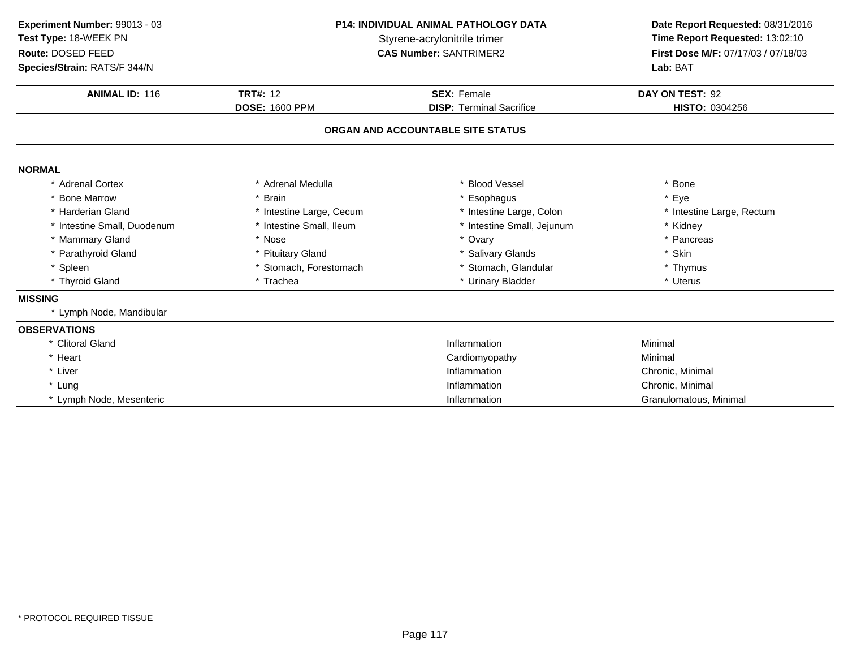| Experiment Number: 99013 - 03<br>Test Type: 18-WEEK PN<br>Route: DOSED FEED<br>Species/Strain: RATS/F 344/N | <b>P14: INDIVIDUAL ANIMAL PATHOLOGY DATA</b><br>Styrene-acrylonitrile trimer<br><b>CAS Number: SANTRIMER2</b> |                                   | Date Report Requested: 08/31/2016<br>Time Report Requested: 13:02:10<br>First Dose M/F: 07/17/03 / 07/18/03<br>Lab: BAT |
|-------------------------------------------------------------------------------------------------------------|---------------------------------------------------------------------------------------------------------------|-----------------------------------|-------------------------------------------------------------------------------------------------------------------------|
| <b>ANIMAL ID: 116</b>                                                                                       | <b>TRT#: 12</b>                                                                                               | <b>SEX: Female</b>                | DAY ON TEST: 92                                                                                                         |
|                                                                                                             | <b>DOSE: 1600 PPM</b>                                                                                         | <b>DISP: Terminal Sacrifice</b>   | HISTO: 0304256                                                                                                          |
|                                                                                                             |                                                                                                               | ORGAN AND ACCOUNTABLE SITE STATUS |                                                                                                                         |
| <b>NORMAL</b>                                                                                               |                                                                                                               |                                   |                                                                                                                         |
| * Adrenal Cortex                                                                                            | * Adrenal Medulla                                                                                             | * Blood Vessel                    | * Bone                                                                                                                  |
| * Bone Marrow                                                                                               | * Brain                                                                                                       | * Esophagus                       | * Eye                                                                                                                   |
| * Harderian Gland                                                                                           | * Intestine Large, Cecum                                                                                      | * Intestine Large, Colon          | * Intestine Large, Rectum                                                                                               |
| * Intestine Small, Duodenum                                                                                 | * Intestine Small, Ileum                                                                                      | * Intestine Small, Jejunum        | * Kidney                                                                                                                |
| * Mammary Gland                                                                                             | * Nose                                                                                                        | * Ovary                           | * Pancreas                                                                                                              |
| * Parathyroid Gland                                                                                         | * Pituitary Gland                                                                                             | * Salivary Glands                 | * Skin                                                                                                                  |
| * Spleen                                                                                                    | * Stomach, Forestomach                                                                                        | * Stomach, Glandular              | * Thymus                                                                                                                |
| * Thyroid Gland                                                                                             | * Trachea                                                                                                     | * Urinary Bladder                 | * Uterus                                                                                                                |
| <b>MISSING</b>                                                                                              |                                                                                                               |                                   |                                                                                                                         |
| * Lymph Node, Mandibular                                                                                    |                                                                                                               |                                   |                                                                                                                         |
| <b>OBSERVATIONS</b>                                                                                         |                                                                                                               |                                   |                                                                                                                         |
| * Clitoral Gland                                                                                            |                                                                                                               | Inflammation                      | Minimal                                                                                                                 |
| * Heart                                                                                                     |                                                                                                               | Cardiomyopathy                    | Minimal                                                                                                                 |
| * Liver                                                                                                     |                                                                                                               | Inflammation                      | Chronic, Minimal                                                                                                        |
| * Lung                                                                                                      |                                                                                                               | Inflammation                      | Chronic, Minimal                                                                                                        |
| * Lymph Node, Mesenteric                                                                                    |                                                                                                               | Inflammation                      | Granulomatous, Minimal                                                                                                  |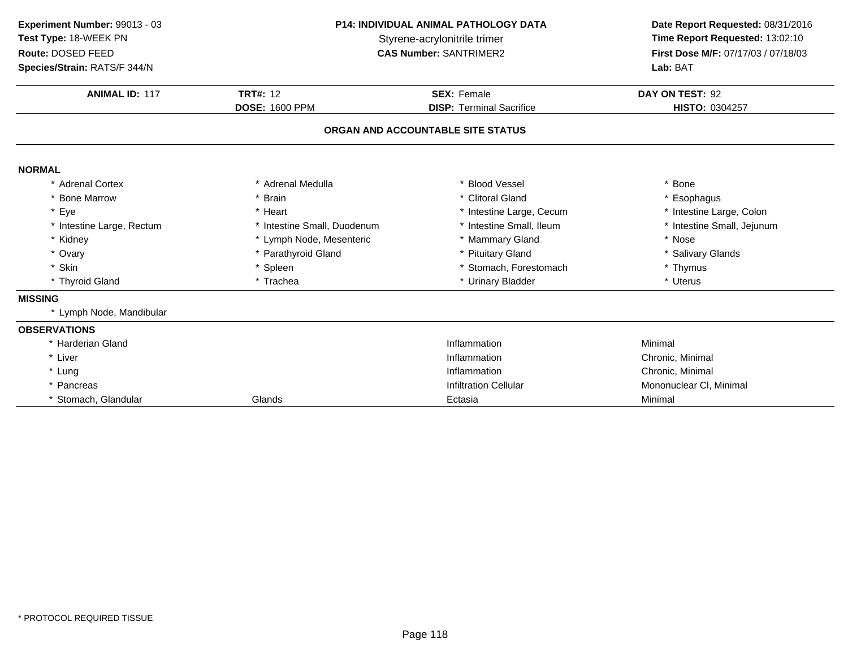| Experiment Number: 99013 - 03<br>Test Type: 18-WEEK PN | <b>P14: INDIVIDUAL ANIMAL PATHOLOGY DATA</b><br>Styrene-acrylonitrile trimer |                                   | Date Report Requested: 08/31/2016<br>Time Report Requested: 13:02:10 |
|--------------------------------------------------------|------------------------------------------------------------------------------|-----------------------------------|----------------------------------------------------------------------|
| Route: DOSED FEED                                      |                                                                              | <b>CAS Number: SANTRIMER2</b>     | First Dose M/F: 07/17/03 / 07/18/03                                  |
| Species/Strain: RATS/F 344/N                           |                                                                              |                                   | Lab: BAT                                                             |
| <b>ANIMAL ID: 117</b>                                  | <b>TRT#: 12</b>                                                              | <b>SEX: Female</b>                | DAY ON TEST: 92                                                      |
|                                                        | <b>DOSE: 1600 PPM</b>                                                        | <b>DISP: Terminal Sacrifice</b>   | HISTO: 0304257                                                       |
|                                                        |                                                                              | ORGAN AND ACCOUNTABLE SITE STATUS |                                                                      |
| <b>NORMAL</b>                                          |                                                                              |                                   |                                                                      |
| * Adrenal Cortex                                       | * Adrenal Medulla                                                            | * Blood Vessel                    | * Bone                                                               |
| * Bone Marrow                                          | * Brain                                                                      | * Clitoral Gland                  | * Esophagus                                                          |
| * Eye                                                  | * Heart                                                                      | * Intestine Large, Cecum          | * Intestine Large, Colon                                             |
| * Intestine Large, Rectum                              | * Intestine Small, Duodenum                                                  | * Intestine Small, Ileum          | * Intestine Small, Jejunum                                           |
| * Kidney                                               | * Lymph Node, Mesenteric                                                     | * Mammary Gland                   | * Nose                                                               |
| * Ovary                                                | * Parathyroid Gland                                                          | * Pituitary Gland                 | * Salivary Glands                                                    |
| * Skin                                                 | * Spleen                                                                     | * Stomach, Forestomach            | * Thymus                                                             |
| * Thyroid Gland                                        | * Trachea                                                                    | * Urinary Bladder                 | * Uterus                                                             |
| <b>MISSING</b>                                         |                                                                              |                                   |                                                                      |
| * Lymph Node, Mandibular                               |                                                                              |                                   |                                                                      |
| <b>OBSERVATIONS</b>                                    |                                                                              |                                   |                                                                      |
| * Harderian Gland                                      |                                                                              | Inflammation                      | Minimal                                                              |
| * Liver                                                |                                                                              | Inflammation                      | Chronic, Minimal                                                     |
| * Lung                                                 |                                                                              | Inflammation                      | Chronic, Minimal                                                     |
| * Pancreas                                             |                                                                              | <b>Infiltration Cellular</b>      | Mononuclear CI, Minimal                                              |
| Stomach, Glandular                                     | Glands                                                                       | Ectasia                           | Minimal                                                              |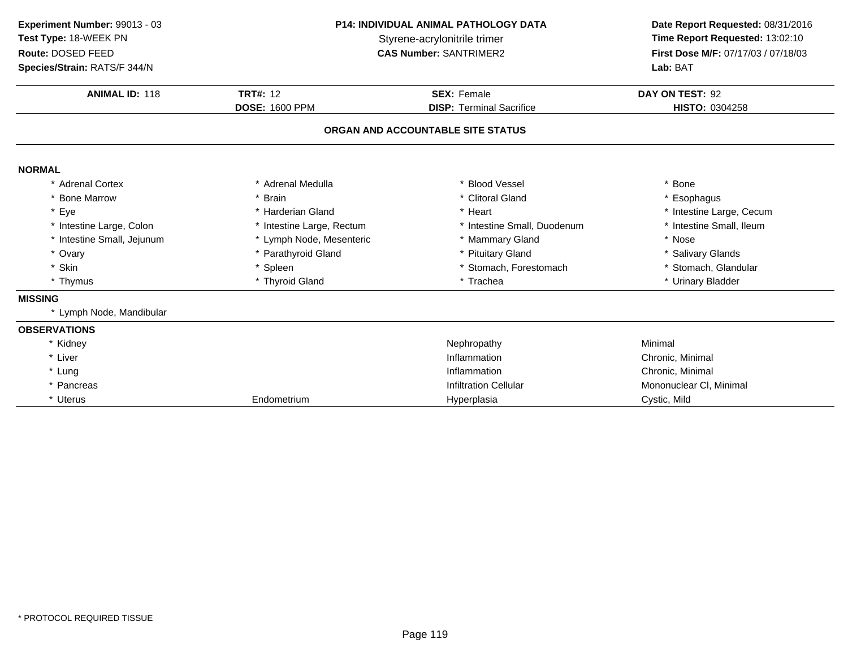| Experiment Number: 99013 - 03 | P14: INDIVIDUAL ANIMAL PATHOLOGY DATA<br>Styrene-acrylonitrile trimer<br><b>CAS Number: SANTRIMER2</b> |                                   | Date Report Requested: 08/31/2016   |  |
|-------------------------------|--------------------------------------------------------------------------------------------------------|-----------------------------------|-------------------------------------|--|
| Test Type: 18-WEEK PN         |                                                                                                        |                                   | Time Report Requested: 13:02:10     |  |
| Route: DOSED FEED             |                                                                                                        |                                   | First Dose M/F: 07/17/03 / 07/18/03 |  |
| Species/Strain: RATS/F 344/N  |                                                                                                        |                                   | Lab: BAT                            |  |
| <b>ANIMAL ID: 118</b>         | <b>TRT#: 12</b>                                                                                        | <b>SEX: Female</b>                | DAY ON TEST: 92                     |  |
|                               | <b>DOSE: 1600 PPM</b>                                                                                  | <b>DISP: Terminal Sacrifice</b>   | HISTO: 0304258                      |  |
|                               |                                                                                                        | ORGAN AND ACCOUNTABLE SITE STATUS |                                     |  |
| <b>NORMAL</b>                 |                                                                                                        |                                   |                                     |  |
| * Adrenal Cortex              | * Adrenal Medulla                                                                                      | * Blood Vessel                    | * Bone                              |  |
| * Bone Marrow                 | * Brain                                                                                                | * Clitoral Gland                  | * Esophagus                         |  |
| * Eye                         | * Harderian Gland                                                                                      | * Heart                           | * Intestine Large, Cecum            |  |
| * Intestine Large, Colon      | * Intestine Large, Rectum                                                                              | * Intestine Small, Duodenum       | * Intestine Small, Ileum            |  |
| * Intestine Small, Jejunum    | * Lymph Node, Mesenteric                                                                               | * Mammary Gland                   | * Nose                              |  |
| * Ovary                       | * Parathyroid Gland                                                                                    | * Pituitary Gland                 | * Salivary Glands                   |  |
| * Skin                        | * Spleen                                                                                               | * Stomach, Forestomach            | * Stomach, Glandular                |  |
| * Thymus                      | * Thyroid Gland                                                                                        | * Trachea                         | * Urinary Bladder                   |  |
| <b>MISSING</b>                |                                                                                                        |                                   |                                     |  |
| * Lymph Node, Mandibular      |                                                                                                        |                                   |                                     |  |
| <b>OBSERVATIONS</b>           |                                                                                                        |                                   |                                     |  |
| * Kidney                      |                                                                                                        | Nephropathy                       | Minimal                             |  |
| * Liver                       |                                                                                                        | Inflammation                      | Chronic, Minimal                    |  |
| * Lung                        |                                                                                                        | Inflammation                      | Chronic, Minimal                    |  |
| * Pancreas                    |                                                                                                        | <b>Infiltration Cellular</b>      | Mononuclear CI, Minimal             |  |
| * Uterus                      | Endometrium                                                                                            | Hyperplasia                       | Cystic, Mild                        |  |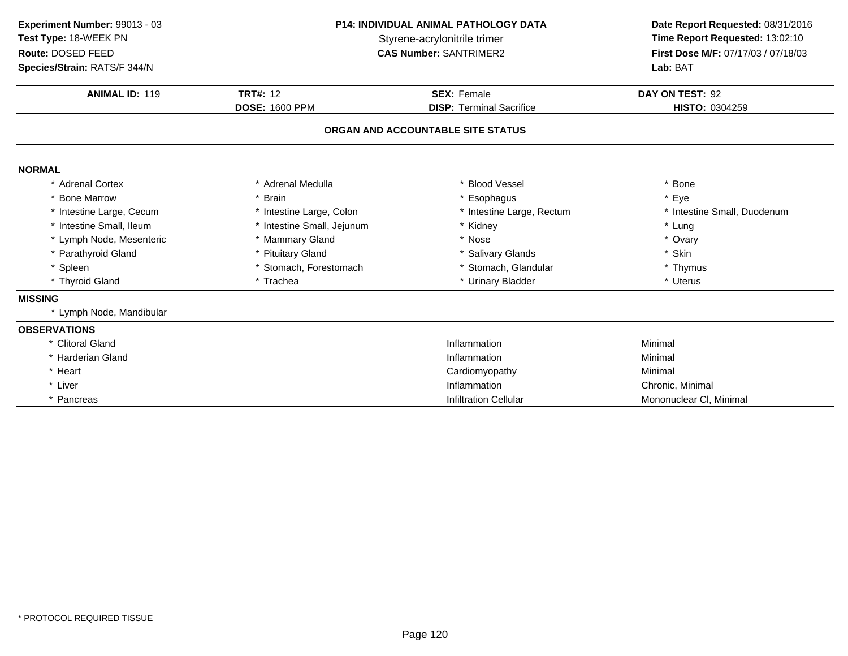| Experiment Number: 99013 - 03<br>Test Type: 18-WEEK PN<br>Route: DOSED FEED<br>Species/Strain: RATS/F 344/N | <b>P14: INDIVIDUAL ANIMAL PATHOLOGY DATA</b><br>Styrene-acrylonitrile trimer<br><b>CAS Number: SANTRIMER2</b> |                                   | Date Report Requested: 08/31/2016<br>Time Report Requested: 13:02:10<br>First Dose M/F: 07/17/03 / 07/18/03<br>Lab: BAT |  |
|-------------------------------------------------------------------------------------------------------------|---------------------------------------------------------------------------------------------------------------|-----------------------------------|-------------------------------------------------------------------------------------------------------------------------|--|
| <b>ANIMAL ID: 119</b>                                                                                       | <b>TRT#: 12</b>                                                                                               | <b>SEX: Female</b>                | DAY ON TEST: 92                                                                                                         |  |
|                                                                                                             | <b>DOSE: 1600 PPM</b>                                                                                         | <b>DISP: Terminal Sacrifice</b>   | HISTO: 0304259                                                                                                          |  |
|                                                                                                             |                                                                                                               | ORGAN AND ACCOUNTABLE SITE STATUS |                                                                                                                         |  |
| <b>NORMAL</b>                                                                                               |                                                                                                               |                                   |                                                                                                                         |  |
| * Adrenal Cortex                                                                                            | * Adrenal Medulla                                                                                             | * Blood Vessel                    | * Bone                                                                                                                  |  |
| * Bone Marrow                                                                                               | * Brain                                                                                                       | * Esophagus                       | * Eye                                                                                                                   |  |
| * Intestine Large, Cecum                                                                                    | * Intestine Large, Colon                                                                                      | * Intestine Large, Rectum         | * Intestine Small, Duodenum                                                                                             |  |
| * Intestine Small, Ileum                                                                                    | * Intestine Small, Jejunum                                                                                    | * Kidney                          | * Lung                                                                                                                  |  |
| * Lymph Node, Mesenteric                                                                                    | * Mammary Gland                                                                                               | * Nose                            | * Ovary                                                                                                                 |  |
| * Parathyroid Gland                                                                                         | * Pituitary Gland                                                                                             | * Salivary Glands                 | * Skin                                                                                                                  |  |
| * Spleen                                                                                                    | * Stomach, Forestomach                                                                                        | * Stomach, Glandular              | * Thymus                                                                                                                |  |
| * Thyroid Gland                                                                                             | * Trachea                                                                                                     | * Urinary Bladder                 | * Uterus                                                                                                                |  |
| <b>MISSING</b>                                                                                              |                                                                                                               |                                   |                                                                                                                         |  |
| * Lymph Node, Mandibular                                                                                    |                                                                                                               |                                   |                                                                                                                         |  |
| <b>OBSERVATIONS</b>                                                                                         |                                                                                                               |                                   |                                                                                                                         |  |
| * Clitoral Gland                                                                                            |                                                                                                               | Inflammation                      | Minimal                                                                                                                 |  |
| * Harderian Gland                                                                                           |                                                                                                               | Inflammation                      | Minimal                                                                                                                 |  |
| * Heart                                                                                                     |                                                                                                               | Cardiomyopathy                    | Minimal                                                                                                                 |  |
| * Liver                                                                                                     |                                                                                                               | Inflammation                      | Chronic, Minimal                                                                                                        |  |
| * Pancreas                                                                                                  |                                                                                                               | <b>Infiltration Cellular</b>      | Mononuclear CI, Minimal                                                                                                 |  |